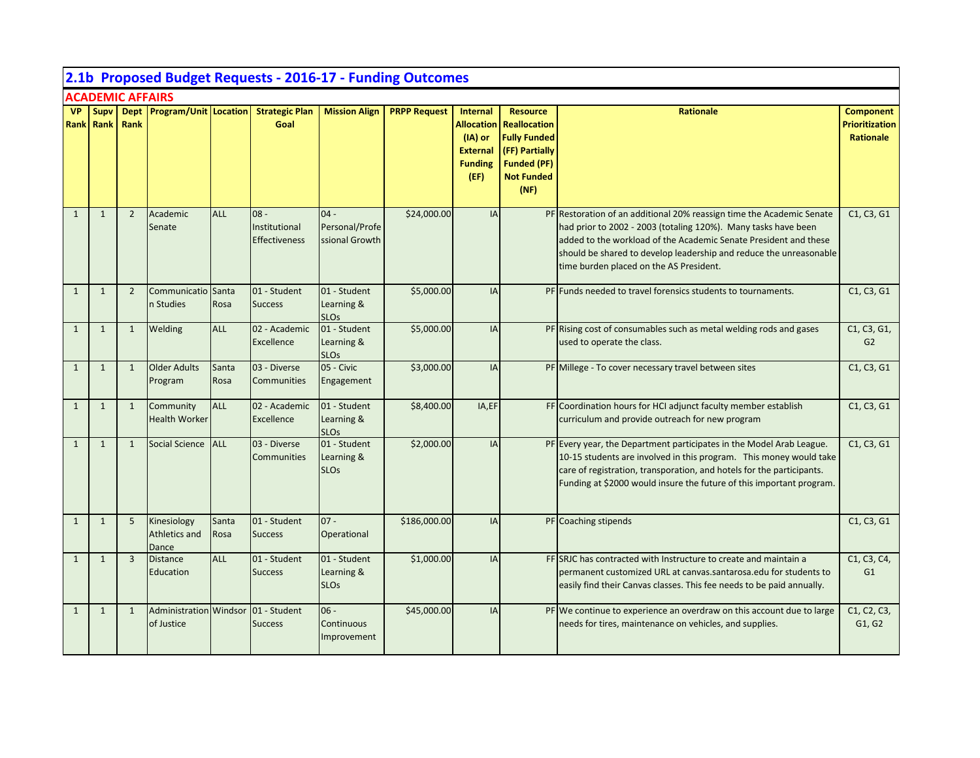|              | 2.1b Proposed Budget Requests - 2016-17 - Funding Outcomes |                |                                                   |               |                                                 |                                                      |                     |                                                                                              |                                                                                                                                    |                                                                                                                                                                                                                                                                                                                              |                                                               |  |  |
|--------------|------------------------------------------------------------|----------------|---------------------------------------------------|---------------|-------------------------------------------------|------------------------------------------------------|---------------------|----------------------------------------------------------------------------------------------|------------------------------------------------------------------------------------------------------------------------------------|------------------------------------------------------------------------------------------------------------------------------------------------------------------------------------------------------------------------------------------------------------------------------------------------------------------------------|---------------------------------------------------------------|--|--|
|              | <b>ACADEMIC AFFAIRS</b><br>Supv Dept Program/Unit Location |                |                                                   |               |                                                 |                                                      |                     |                                                                                              |                                                                                                                                    |                                                                                                                                                                                                                                                                                                                              |                                                               |  |  |
| <b>VP</b>    | Rank Rank                                                  | Rank           |                                                   |               | <b>Strategic Plan</b><br>Goal                   | <b>Mission Align</b>                                 | <b>PRPP Request</b> | <b>Internal</b><br><b>Allocation</b><br>(IA) or<br><b>External</b><br><b>Funding</b><br>(EF) | <b>Resource</b><br><b>Reallocation</b><br><b>Fully Funded</b><br>(FF) Partially<br><b>Funded (PF)</b><br><b>Not Funded</b><br>(NF) | <b>Rationale</b>                                                                                                                                                                                                                                                                                                             | <b>Component</b><br><b>Prioritization</b><br><b>Rationale</b> |  |  |
| $\mathbf{1}$ | $\mathbf{1}$                                               | $\overline{2}$ | Academic<br>Senate                                | <b>ALL</b>    | $08 -$<br>Institutional<br><b>Effectiveness</b> | $04 -$<br>Personal/Profe<br>ssional Growth           | \$24,000.00         | IA                                                                                           |                                                                                                                                    | PF Restoration of an additional 20% reassign time the Academic Senate<br>had prior to 2002 - 2003 (totaling 120%). Many tasks have been<br>added to the workload of the Academic Senate President and these<br>should be shared to develop leadership and reduce the unreasonable<br>time burden placed on the AS President. | C1, C3, G1                                                    |  |  |
| $\mathbf{1}$ | $\mathbf{1}$                                               | $\overline{2}$ | Communicatio Santa<br>n Studies                   | Rosa          | 01 - Student<br><b>Success</b>                  | 01 - Student<br>Learning &<br><b>SLO<sub>S</sub></b> | \$5,000.00          | IA                                                                                           |                                                                                                                                    | PF Funds needed to travel forensics students to tournaments.                                                                                                                                                                                                                                                                 | C1, C3, G1                                                    |  |  |
| $\mathbf{1}$ | $\mathbf{1}$                                               | $\mathbf{1}$   | Welding                                           | ALL           | 02 - Academic<br>Excellence                     | 01 - Student<br>Learning &<br><b>SLOs</b>            | \$5,000.00          | IA                                                                                           |                                                                                                                                    | PF Rising cost of consumables such as metal welding rods and gases<br>used to operate the class.                                                                                                                                                                                                                             | C1, C3, G1,<br>G <sub>2</sub>                                 |  |  |
| $\mathbf{1}$ | $\mathbf{1}$                                               | $\mathbf{1}$   | <b>Older Adults</b><br>Program                    | Santa<br>Rosa | 03 - Diverse<br><b>Communities</b>              | 05 - Civic<br>Engagement                             | \$3,000.00          | IA                                                                                           |                                                                                                                                    | PF Millege - To cover necessary travel between sites                                                                                                                                                                                                                                                                         | C1, C3, G1                                                    |  |  |
| $\mathbf{1}$ | $\overline{\mathbf{1}}$                                    | 1              | Community<br><b>Health Worker</b>                 | <b>ALL</b>    | 02 - Academic<br>Excellence                     | 01 - Student<br>Learning &<br><b>SLOs</b>            | \$8,400.00          | IA,EF                                                                                        |                                                                                                                                    | FF Coordination hours for HCI adjunct faculty member establish<br>curriculum and provide outreach for new program                                                                                                                                                                                                            | C1, C3, G1                                                    |  |  |
| $\mathbf{1}$ | $\mathbf{1}$                                               | $\mathbf{1}$   | Social Science ALL                                |               | 03 - Diverse<br>Communities                     | 01 - Student<br>Learning &<br><b>SLOs</b>            | \$2,000.00          | IA                                                                                           |                                                                                                                                    | PF Every year, the Department participates in the Model Arab League.<br>10-15 students are involved in this program. This money would take<br>care of registration, transporation, and hotels for the participants.<br>Funding at \$2000 would insure the future of this important program.                                  | C1, C3, G1                                                    |  |  |
| $\mathbf{1}$ | $\mathbf{1}$                                               | 5              | Kinesiology<br>Athletics and<br>Dance             | Santa<br>Rosa | 01 - Student<br><b>Success</b>                  | $07 -$<br>Operational                                | \$186,000.00        | IA                                                                                           |                                                                                                                                    | PF Coaching stipends                                                                                                                                                                                                                                                                                                         | C1, C3, G1                                                    |  |  |
| $\mathbf{1}$ | $\mathbf{1}$                                               | $\overline{3}$ | <b>Distance</b><br>Education                      | ALL           | 01 - Student<br><b>Success</b>                  | 01 - Student<br>Learning &<br><b>SLOs</b>            | \$1,000.00          | IA                                                                                           |                                                                                                                                    | FF SRJC has contracted with Instructure to create and maintain a<br>permanent customized URL at canvas.santarosa.edu for students to<br>easily find their Canvas classes. This fee needs to be paid annually.                                                                                                                | C1, C3, C4,<br>G1                                             |  |  |
| $\mathbf{1}$ | $\mathbf{1}$                                               | $\mathbf{1}$   | Administration Windsor 01 - Student<br>of Justice |               | <b>Success</b>                                  | $06 -$<br>Continuous<br>Improvement                  | \$45,000.00         | IA                                                                                           |                                                                                                                                    | PF We continue to experience an overdraw on this account due to large<br>needs for tires, maintenance on vehicles, and supplies.                                                                                                                                                                                             | C1, C2, C3,<br>G1, G2                                         |  |  |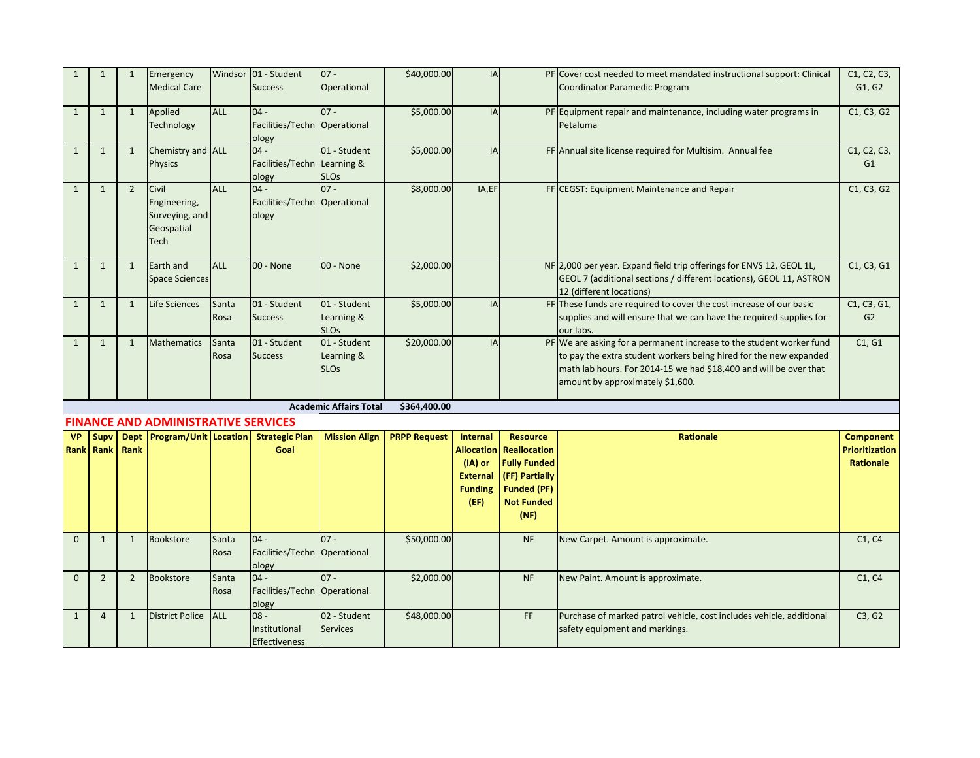| $\mathbf{1}$ | $\mathbf{1}$             | $\mathbf{1}$        | Emergency<br><b>Medical Care</b>                              |               | Windsor 01 - Student<br><b>Success</b>              | $07 -$<br>Operational                     | \$40,000.00         | IA                                                                                      |                                                                                                                                    | PF Cover cost needed to meet mandated instructional support: Clinical<br>Coordinator Paramedic Program                                                                                                                                             | C1, C2, C3,<br>G1, G2                                         |
|--------------|--------------------------|---------------------|---------------------------------------------------------------|---------------|-----------------------------------------------------|-------------------------------------------|---------------------|-----------------------------------------------------------------------------------------|------------------------------------------------------------------------------------------------------------------------------------|----------------------------------------------------------------------------------------------------------------------------------------------------------------------------------------------------------------------------------------------------|---------------------------------------------------------------|
|              |                          |                     |                                                               |               |                                                     |                                           |                     |                                                                                         |                                                                                                                                    |                                                                                                                                                                                                                                                    |                                                               |
| $\mathbf{1}$ | $\mathbf{1}$             | $\mathbf{1}$        | Applied<br>Technology                                         | <b>ALL</b>    | $04 -$<br>Facilities/Techn Operational<br>ology     | $07 -$                                    | \$5,000.00          | IA                                                                                      |                                                                                                                                    | PF Equipment repair and maintenance, including water programs in<br>Petaluma                                                                                                                                                                       | C1, C3, G2                                                    |
| $\mathbf{1}$ | $\mathbf{1}$             | $\mathbf{1}$        | Chemistry and ALL<br><b>Physics</b>                           |               | $04 -$<br>Facilities/Techn Learning &<br>ology      | 01 - Student<br><b>SLOs</b>               | \$5,000.00          | IA                                                                                      |                                                                                                                                    | FF Annual site license required for Multisim. Annual fee                                                                                                                                                                                           | C1, C2, C3,<br>G1                                             |
| $\mathbf{1}$ | $\mathbf{1}$             | $\overline{2}$      | Civil<br>Engineering,<br>Surveying, and<br>Geospatial<br>Tech | <b>ALL</b>    | $04 -$<br>Facilities/Techn Operational<br>ology     | $07 -$                                    | \$8,000.00          | IA,EF                                                                                   |                                                                                                                                    | FF CEGST: Equipment Maintenance and Repair                                                                                                                                                                                                         | C1, C3, G2                                                    |
| $\mathbf{1}$ | $\mathbf{1}$             | 1                   | Earth and<br><b>Space Sciences</b>                            | <b>ALL</b>    | 00 - None                                           | 00 - None                                 | \$2,000.00          |                                                                                         |                                                                                                                                    | NF 2,000 per year. Expand field trip offerings for ENVS 12, GEOL 1L,<br>GEOL 7 (additional sections / different locations), GEOL 11, ASTRON<br>12 (different locations)                                                                            | C1, C3, G1                                                    |
| $\mathbf{1}$ | $\mathbf{1}$             | 1                   | Life Sciences                                                 | Santa<br>Rosa | 01 - Student<br><b>Success</b>                      | 01 - Student<br>Learning &<br><b>SLOs</b> | \$5,000.00          | IA                                                                                      |                                                                                                                                    | FF These funds are required to cover the cost increase of our basic<br>supplies and will ensure that we can have the required supplies for<br>our labs.                                                                                            | C1, C3, G1,<br>G2                                             |
| $\mathbf{1}$ | $\mathbf{1}$             | 1                   | <b>Mathematics</b>                                            | Santa<br>Rosa | 01 - Student<br><b>Success</b>                      | 01 - Student<br>Learning &<br><b>SLOs</b> | \$20,000.00         | IA                                                                                      |                                                                                                                                    | PF We are asking for a permanent increase to the student worker fund<br>to pay the extra student workers being hired for the new expanded<br>math lab hours. For 2014-15 we had \$18,400 and will be over that<br>amount by approximately \$1,600. | C1, G1                                                        |
|              |                          |                     |                                                               |               |                                                     | <b>Academic Affairs Total</b>             | \$364,400.00        |                                                                                         |                                                                                                                                    |                                                                                                                                                                                                                                                    |                                                               |
|              |                          |                     | <b>FINANCE AND ADMINISTRATIVE SERVICES</b>                    |               |                                                     |                                           |                     |                                                                                         |                                                                                                                                    |                                                                                                                                                                                                                                                    |                                                               |
| <b>VP</b>    | <b>Supv</b><br>Rank Rank | <b>Dept</b><br>Rank |                                                               |               | <b>Program/Unit Location Strategic Plan</b><br>Goal | <b>Mission Align</b>                      | <b>PRPP Request</b> | Internal<br><b>Allocation</b><br>$(IA)$ or<br><b>External</b><br><b>Funding</b><br>(EF) | <b>Resource</b><br><b>Reallocation</b><br><b>Fully Funded</b><br>(FF) Partially<br><b>Funded (PF)</b><br><b>Not Funded</b><br>(NF) | <b>Rationale</b>                                                                                                                                                                                                                                   | <b>Component</b><br><b>Prioritization</b><br><b>Rationale</b> |
| $\Omega$     | $\mathbf{1}$             | $\mathbf{1}$        | Bookstore                                                     | Santa<br>Rosa | $04 -$<br>Facilities/Techn Operational<br>ology     | $07 -$                                    | \$50,000.00         |                                                                                         | <b>NF</b>                                                                                                                          | New Carpet. Amount is approximate.                                                                                                                                                                                                                 | C1, C4                                                        |
| $\mathbf{0}$ | $\overline{2}$           | $\overline{2}$      | Bookstore                                                     | Santa<br>Rosa | $04 -$<br>Facilities/Techn Operational<br>ology     | $07 -$                                    | \$2,000.00          |                                                                                         | <b>NF</b>                                                                                                                          | New Paint. Amount is approximate.                                                                                                                                                                                                                  | C1, C4                                                        |
| $\mathbf{1}$ | $\overline{4}$           | $\mathbf{1}$        | <b>District Police</b>                                        | <b>ALL</b>    | $08 -$<br>Institutional<br><b>Effectiveness</b>     | 02 - Student<br><b>Services</b>           | \$48,000.00         |                                                                                         | FF                                                                                                                                 | Purchase of marked patrol vehicle, cost includes vehicle, additional<br>safety equipment and markings.                                                                                                                                             | C3, G2                                                        |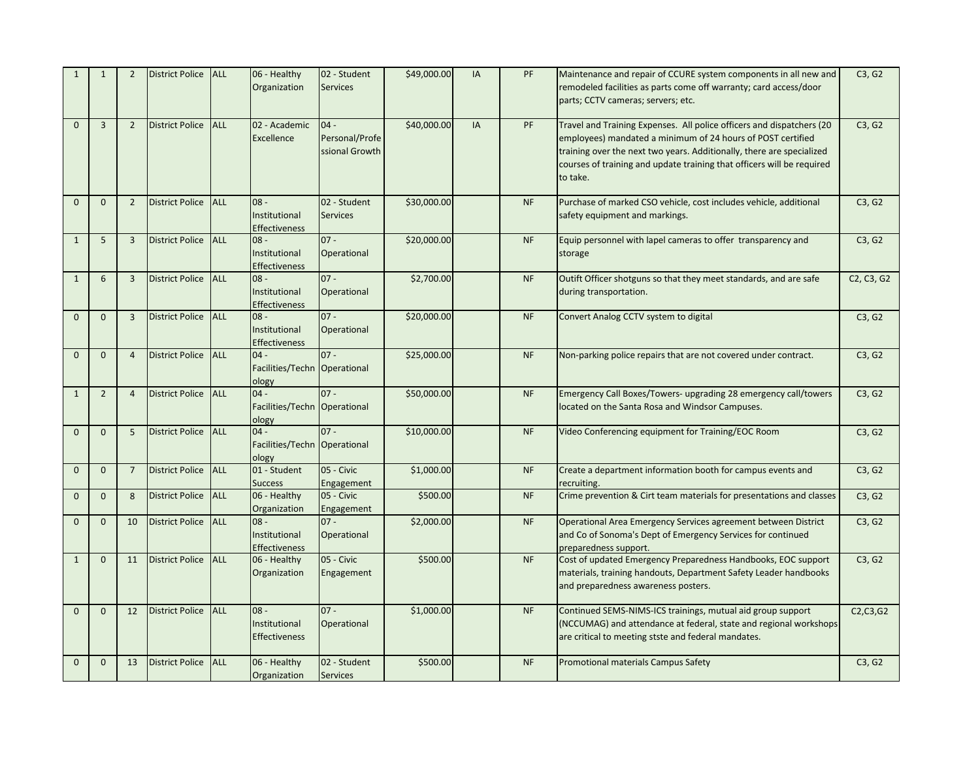| $\mathbf{1}$ | $\mathbf{1}$   | $\overline{2}$ | District Police ALL        |            | 06 - Healthy<br>Organization                    | 02 - Student<br><b>Services</b>            | \$49,000.00 | IA | PF        | Maintenance and repair of CCURE system components in all new and<br>remodeled facilities as parts come off warranty; card access/door<br>parts; CCTV cameras; servers; etc.                                                                                                                         | C3, G2                                           |
|--------------|----------------|----------------|----------------------------|------------|-------------------------------------------------|--------------------------------------------|-------------|----|-----------|-----------------------------------------------------------------------------------------------------------------------------------------------------------------------------------------------------------------------------------------------------------------------------------------------------|--------------------------------------------------|
| $\mathbf{0}$ | $\overline{3}$ | $\overline{2}$ | <b>District Police</b>     | ALL        | 02 - Academic<br>Excellence                     | $04 -$<br>Personal/Profe<br>ssional Growth | \$40,000.00 | IA | PF        | Travel and Training Expenses. All police officers and dispatchers (20<br>employees) mandated a minimum of 24 hours of POST certified<br>training over the next two years. Additionally, there are specialized<br>courses of training and update training that officers will be required<br>to take. | C3, G2                                           |
| $\mathbf{0}$ | $\mathbf{0}$   | $\overline{2}$ | <b>District Police</b>     | <b>ALL</b> | $08 -$<br>Institutional<br><b>Effectiveness</b> | 02 - Student<br><b>Services</b>            | \$30,000.00 |    | <b>NF</b> | Purchase of marked CSO vehicle, cost includes vehicle, additional<br>safety equipment and markings.                                                                                                                                                                                                 | C3, G2                                           |
| $\mathbf{1}$ | 5              | $\overline{3}$ | District Police ALL        |            | $08 -$<br>Institutional<br>Effectiveness        | $07 -$<br>Operational                      | \$20,000.00 |    | <b>NF</b> | Equip personnel with lapel cameras to offer transparency and<br>storage                                                                                                                                                                                                                             | C3, G2                                           |
| $\mathbf{1}$ | 6              | $\overline{3}$ | <b>District Police ALL</b> |            | $08 -$<br>Institutional<br><b>Effectiveness</b> | $07 -$<br>Operational                      | \$2,700.00  |    | <b>NF</b> | Outift Officer shotguns so that they meet standards, and are safe<br>during transportation.                                                                                                                                                                                                         | C <sub>2</sub> , C <sub>3</sub> , G <sub>2</sub> |
| $\mathbf{0}$ | $\mathbf{0}$   | $\overline{3}$ | <b>District Police</b>     | <b>ALL</b> | $08 -$<br>Institutional<br><b>Effectiveness</b> | $07 -$<br>Operational                      | \$20,000.00 |    | <b>NF</b> | Convert Analog CCTV system to digital                                                                                                                                                                                                                                                               | C3, G2                                           |
| $\Omega$     | $\mathbf{0}$   | $\overline{4}$ | District Police ALL        |            | $04 -$<br>Facilities/Techn Operational<br>ology | $07 -$                                     | \$25,000.00 |    | <b>NF</b> | Non-parking police repairs that are not covered under contract.                                                                                                                                                                                                                                     | C3, G2                                           |
| $\mathbf{1}$ | $\overline{2}$ | $\overline{4}$ | <b>District Police</b>     | <b>ALL</b> | $04 -$<br>Facilities/Techn Operational<br>ology | $07 -$                                     | \$50,000.00 |    | <b>NF</b> | Emergency Call Boxes/Towers- upgrading 28 emergency call/towers<br>located on the Santa Rosa and Windsor Campuses.                                                                                                                                                                                  | C3, G2                                           |
| $\Omega$     | $\mathbf 0$    | 5              | <b>District Police</b>     | ALL        | $04 -$<br>Facilities/Techn Operational<br>ology | $07 -$                                     | \$10,000.00 |    | <b>NF</b> | Video Conferencing equipment for Training/EOC Room                                                                                                                                                                                                                                                  | C3, G2                                           |
| $\mathbf{0}$ | $\mathbf{0}$   | $\overline{7}$ | District Police ALL        |            | 01 - Student<br><b>Success</b>                  | 05 - Civic<br>Engagement                   | \$1,000.00  |    | <b>NF</b> | Create a department information booth for campus events and<br>recruiting.                                                                                                                                                                                                                          | C3, G2                                           |
| $\mathbf{0}$ | $\mathbf{0}$   | 8              | <b>District Police</b>     | ALL        | 06 - Healthy<br>Organization                    | 05 - Civic<br>Engagement                   | \$500.00    |    | <b>NF</b> | Crime prevention & Cirt team materials for presentations and classes                                                                                                                                                                                                                                | C3, G2                                           |
| $\Omega$     | $\mathbf{0}$   | 10             | District Police ALL        |            | $08 -$<br>Institutional<br><b>Effectiveness</b> | $07 -$<br>Operational                      | \$2,000.00  |    | <b>NF</b> | Operational Area Emergency Services agreement between District<br>and Co of Sonoma's Dept of Emergency Services for continued<br>preparedness support.                                                                                                                                              | C3, G2                                           |
| $\mathbf{1}$ | $\mathbf{0}$   | 11             | <b>District Police</b>     | <b>ALL</b> | 06 - Healthy<br>Organization                    | 05 - Civic<br>Engagement                   | \$500.00    |    | <b>NF</b> | Cost of updated Emergency Preparedness Handbooks, EOC support<br>materials, training handouts, Department Safety Leader handbooks<br>and preparedness awareness posters.                                                                                                                            | C3, G2                                           |
| $\Omega$     | $\mathbf{0}$   | 12             | <b>District Police</b>     | <b>ALL</b> | $08 -$<br>Institutional<br>Effectiveness        | $07 -$<br>Operational                      | \$1,000.00  |    | <b>NF</b> | Continued SEMS-NIMS-ICS trainings, mutual aid group support<br>(NCCUMAG) and attendance at federal, state and regional workshops<br>are critical to meeting stste and federal mandates.                                                                                                             | C2, C3, G2                                       |
| $\mathbf{0}$ | $\mathbf{0}$   | 13             | <b>District Police</b>     | <b>ALL</b> | 06 - Healthy<br>Organization                    | 02 - Student<br><b>Services</b>            | \$500.00    |    | <b>NF</b> | Promotional materials Campus Safety                                                                                                                                                                                                                                                                 | C3, G2                                           |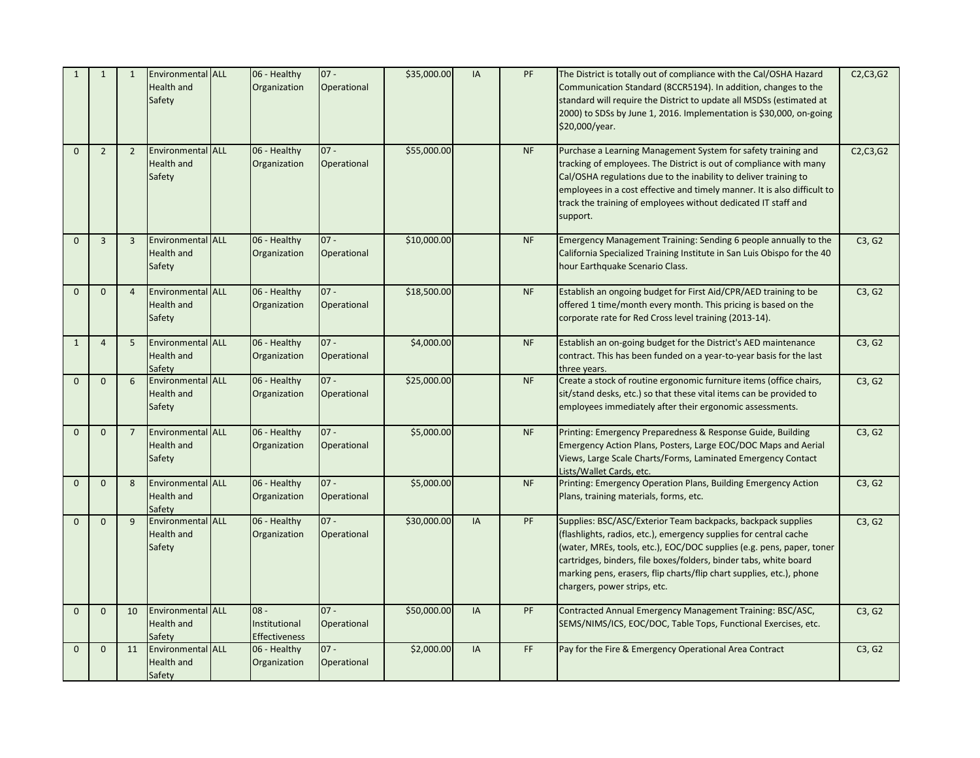| $\mathbf{1}$ | $\mathbf{1}$   | 1              | Environmental ALL<br><b>Health and</b><br>Safety        | 06 - Healthy<br>Organization                    | $07 -$<br>Operational | \$35,000.00 | IA        | PF        | The District is totally out of compliance with the Cal/OSHA Hazard<br>Communication Standard (8CCR5194). In addition, changes to the<br>standard will require the District to update all MSDSs (estimated at<br>2000) to SDSs by June 1, 2016. Implementation is \$30,000, on-going<br>\$20,000/year.                                                                                   | C2, C3, G2 |
|--------------|----------------|----------------|---------------------------------------------------------|-------------------------------------------------|-----------------------|-------------|-----------|-----------|-----------------------------------------------------------------------------------------------------------------------------------------------------------------------------------------------------------------------------------------------------------------------------------------------------------------------------------------------------------------------------------------|------------|
| $\Omega$     | $\overline{2}$ | $\overline{2}$ | Environmental ALL<br><b>Health and</b><br>Safety        | 06 - Healthy<br>Organization                    | $07 -$<br>Operational | \$55,000.00 |           | <b>NF</b> | Purchase a Learning Management System for safety training and<br>tracking of employees. The District is out of compliance with many<br>Cal/OSHA regulations due to the inability to deliver training to<br>employees in a cost effective and timely manner. It is also difficult to<br>track the training of employees without dedicated IT staff and<br>support.                       | C2, C3, G2 |
| $\mathbf{0}$ | $\overline{3}$ | $\overline{3}$ | <b>Environmental ALL</b><br><b>Health and</b><br>Safety | 06 - Healthy<br>Organization                    | $07 -$<br>Operational | \$10,000.00 |           | <b>NF</b> | Emergency Management Training: Sending 6 people annually to the<br>California Specialized Training Institute in San Luis Obispo for the 40<br>hour Earthquake Scenario Class.                                                                                                                                                                                                           | C3, G2     |
| $\mathbf{0}$ | $\mathbf{0}$   | $\overline{4}$ | <b>Environmental ALL</b><br><b>Health and</b><br>Safety | 06 - Healthy<br>Organization                    | $07 -$<br>Operational | \$18,500.00 |           | <b>NF</b> | Establish an ongoing budget for First Aid/CPR/AED training to be<br>offered 1 time/month every month. This pricing is based on the<br>corporate rate for Red Cross level training (2013-14).                                                                                                                                                                                            | C3, G2     |
| $\mathbf{1}$ | $\overline{4}$ | 5              | Environmental ALL<br><b>Health and</b><br>Safety        | 06 - Healthy<br>Organization                    | $07 -$<br>Operational | \$4,000.00  |           | <b>NF</b> | Establish an on-going budget for the District's AED maintenance<br>contract. This has been funded on a year-to-year basis for the last<br>three years.                                                                                                                                                                                                                                  | C3, G2     |
| $\mathbf{0}$ | $\mathbf{0}$   | 6              | Environmental ALL<br><b>Health and</b><br>Safety        | 06 - Healthy<br>Organization                    | $07 -$<br>Operational | \$25,000.00 |           | <b>NF</b> | Create a stock of routine ergonomic furniture items (office chairs,<br>sit/stand desks, etc.) so that these vital items can be provided to<br>employees immediately after their ergonomic assessments.                                                                                                                                                                                  | C3, G2     |
| $\Omega$     | $\Omega$       | $\overline{7}$ | Environmental ALL<br><b>Health and</b><br>Safety        | 06 - Healthy<br>Organization                    | $07 -$<br>Operational | \$5,000.00  |           | NF        | Printing: Emergency Preparedness & Response Guide, Building<br>Emergency Action Plans, Posters, Large EOC/DOC Maps and Aerial<br>Views, Large Scale Charts/Forms, Laminated Emergency Contact<br>Lists/Wallet Cards, etc.                                                                                                                                                               | C3, G2     |
| $\mathbf{0}$ | $\mathbf{0}$   | 8              | Environmental ALL<br><b>Health and</b><br>Safety        | 06 - Healthy<br>Organization                    | $07 -$<br>Operational | \$5,000.00  |           | <b>NF</b> | Printing: Emergency Operation Plans, Building Emergency Action<br>Plans, training materials, forms, etc.                                                                                                                                                                                                                                                                                | C3, G2     |
| $\mathbf{0}$ | $\mathbf{0}$   | 9              | Environmental ALL<br><b>Health and</b><br>Safety        | 06 - Healthy<br>Organization                    | $07 -$<br>Operational | \$30,000.00 | <b>IA</b> | PF        | Supplies: BSC/ASC/Exterior Team backpacks, backpack supplies<br>(flashlights, radios, etc.), emergency supplies for central cache<br>(water, MREs, tools, etc.), EOC/DOC supplies (e.g. pens, paper, toner<br>cartridges, binders, file boxes/folders, binder tabs, white board<br>marking pens, erasers, flip charts/flip chart supplies, etc.), phone<br>chargers, power strips, etc. | C3, G2     |
| $\mathbf{0}$ | $\mathbf{0}$   | 10             | <b>Environmental ALL</b><br><b>Health and</b><br>Safety | $08 -$<br>Institutional<br><b>Effectiveness</b> | $07 -$<br>Operational | \$50,000.00 | IA        | PF        | Contracted Annual Emergency Management Training: BSC/ASC,<br>SEMS/NIMS/ICS, EOC/DOC, Table Tops, Functional Exercises, etc.                                                                                                                                                                                                                                                             | C3, G2     |
| $\mathbf{0}$ | $\mathbf 0$    | 11             | Environmental ALL<br><b>Health and</b><br>Safety        | 06 - Healthy<br>Organization                    | $07 -$<br>Operational | \$2,000.00  | IA        | FF        | Pay for the Fire & Emergency Operational Area Contract                                                                                                                                                                                                                                                                                                                                  | C3, G2     |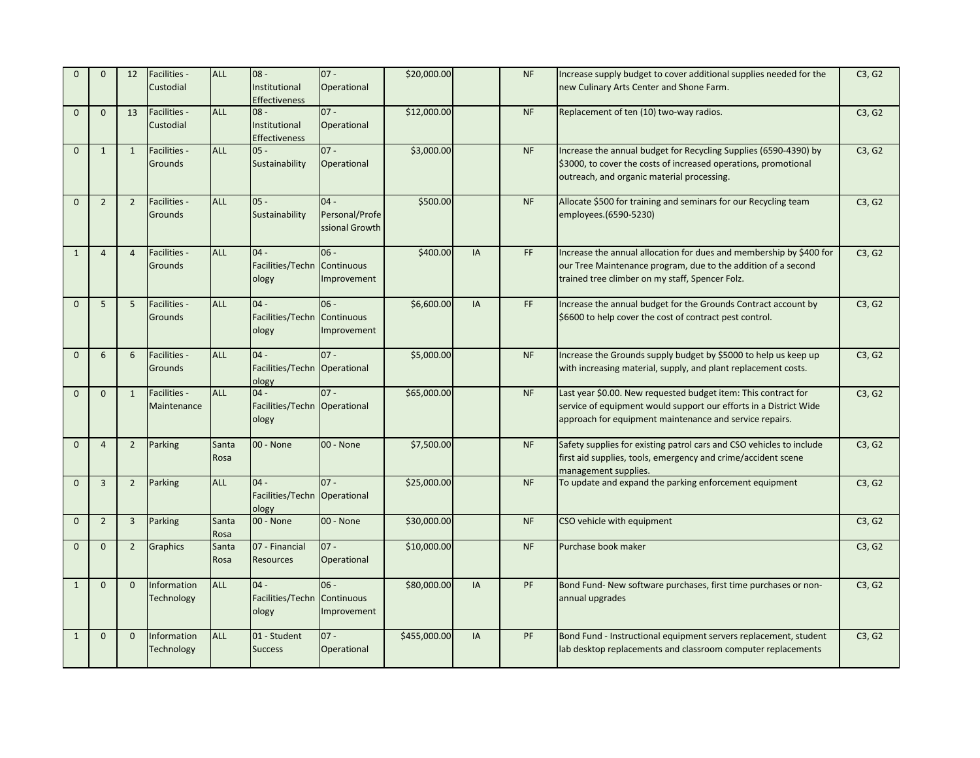| $\Omega$     | $\Omega$       | 12             | Facilities -<br>Custodial      | <b>ALL</b>    | $-80$<br>Institutional<br><b>Effectiveness</b>  | $07 -$<br>Operational                      | \$20,000.00  |           | <b>NF</b> | Increase supply budget to cover additional supplies needed for the<br>new Culinary Arts Center and Shone Farm.                                                                                 | C3, G2 |
|--------------|----------------|----------------|--------------------------------|---------------|-------------------------------------------------|--------------------------------------------|--------------|-----------|-----------|------------------------------------------------------------------------------------------------------------------------------------------------------------------------------------------------|--------|
| $\mathbf{0}$ | $\mathbf{0}$   | 13             | Facilities -<br>Custodial      | <b>ALL</b>    | $08 -$<br>Institutional<br><b>Effectiveness</b> | $07 -$<br>Operational                      | \$12,000.00  |           | <b>NF</b> | Replacement of ten (10) two-way radios.                                                                                                                                                        | C3, G2 |
| $\mathbf{0}$ | $\mathbf{1}$   | $\mathbf{1}$   | Facilities -<br>Grounds        | <b>ALL</b>    | $05 -$<br>Sustainability                        | $07 -$<br>Operational                      | \$3,000.00   |           | <b>NF</b> | Increase the annual budget for Recycling Supplies (6590-4390) by<br>\$3000, to cover the costs of increased operations, promotional<br>outreach, and organic material processing.              | C3, G2 |
| $\mathbf{0}$ | $\overline{2}$ | $\overline{2}$ | Facilities -<br><b>Grounds</b> | <b>ALL</b>    | $05 -$<br>Sustainability                        | $04 -$<br>Personal/Profe<br>ssional Growth | \$500.00     |           | <b>NF</b> | Allocate \$500 for training and seminars for our Recycling team<br>employees.(6590-5230)                                                                                                       | C3, G2 |
| $\mathbf{1}$ | $\overline{4}$ | $\overline{4}$ | Facilities -<br>Grounds        | <b>ALL</b>    | $04 -$<br>Facilities/Techn Continuous<br>ology  | $06 -$<br>Improvement                      | \$400.00     | <b>IA</b> | FF.       | Increase the annual allocation for dues and membership by \$400 for<br>our Tree Maintenance program, due to the addition of a second<br>trained tree climber on my staff, Spencer Folz.        | C3, G2 |
| $\mathbf{0}$ | 5              | 5              | Facilities -<br>Grounds        | <b>ALL</b>    | $04 -$<br>Facilities/Techn Continuous<br>ology  | $06 -$<br>Improvement                      | \$6,600.00   | IA        | FF        | Increase the annual budget for the Grounds Contract account by<br>\$6600 to help cover the cost of contract pest control.                                                                      | C3, G2 |
| $\mathbf 0$  | 6              | 6              | Facilities -<br>Grounds        | <b>ALL</b>    | $04 -$<br>Facilities/Techn Operational<br>ology | $07 -$                                     | \$5,000.00   |           | <b>NF</b> | Increase the Grounds supply budget by \$5000 to help us keep up<br>with increasing material, supply, and plant replacement costs.                                                              | C3, G2 |
| $\mathbf{0}$ | $\mathbf{0}$   | $\mathbf{1}$   | Facilities -<br>Maintenance    | <b>ALL</b>    | $04 -$<br>Facilities/Techn Operational<br>ology | $07 -$                                     | \$65,000.00  |           | <b>NF</b> | Last year \$0.00. New requested budget item: This contract for<br>service of equipment would support our efforts in a District Wide<br>approach for equipment maintenance and service repairs. | C3, G2 |
| $\Omega$     | $\overline{4}$ | $2^{\circ}$    | Parking                        | Santa<br>Rosa | 00 - None                                       | 00 - None                                  | \$7,500.00   |           | <b>NF</b> | Safety supplies for existing patrol cars and CSO vehicles to include<br>first aid supplies, tools, emergency and crime/accident scene<br>management supplies.                                  | C3, G2 |
| $\mathbf{0}$ | $\overline{3}$ | $\overline{2}$ | Parking                        | <b>ALL</b>    | $04 -$<br>Facilities/Techn Operational<br>ology | $07 -$                                     | \$25,000.00  |           | <b>NF</b> | To update and expand the parking enforcement equipment                                                                                                                                         | C3, G2 |
| $\mathbf{0}$ | $\overline{2}$ | $\overline{3}$ | Parking                        | Santa<br>Rosa | 00 - None                                       | 00 - None                                  | \$30,000.00  |           | <b>NF</b> | CSO vehicle with equipment                                                                                                                                                                     | C3, G2 |
| $\mathbf 0$  | $\mathbf{0}$   | $\overline{2}$ | Graphics                       | Santa<br>Rosa | 07 - Financial<br><b>Resources</b>              | $07 -$<br>Operational                      | \$10,000.00  |           | <b>NF</b> | Purchase book maker                                                                                                                                                                            | C3, G2 |
| $\mathbf{1}$ | $\mathbf{0}$   | $\mathbf{0}$   | Information<br>Technology      | <b>ALL</b>    | $04 -$<br>Facilities/Techn Continuous<br>ology  | $06 -$<br>Improvement                      | \$80,000.00  | IA        | PF        | Bond Fund- New software purchases, first time purchases or non-<br>annual upgrades                                                                                                             | C3, G2 |
| $\mathbf{1}$ | $\mathbf 0$    | $\mathbf 0$    | Information<br>Technology      | <b>ALL</b>    | 01 - Student<br><b>Success</b>                  | $07 -$<br>Operational                      | \$455,000.00 | IA        | PF        | Bond Fund - Instructional equipment servers replacement, student<br>lab desktop replacements and classroom computer replacements                                                               | C3, G2 |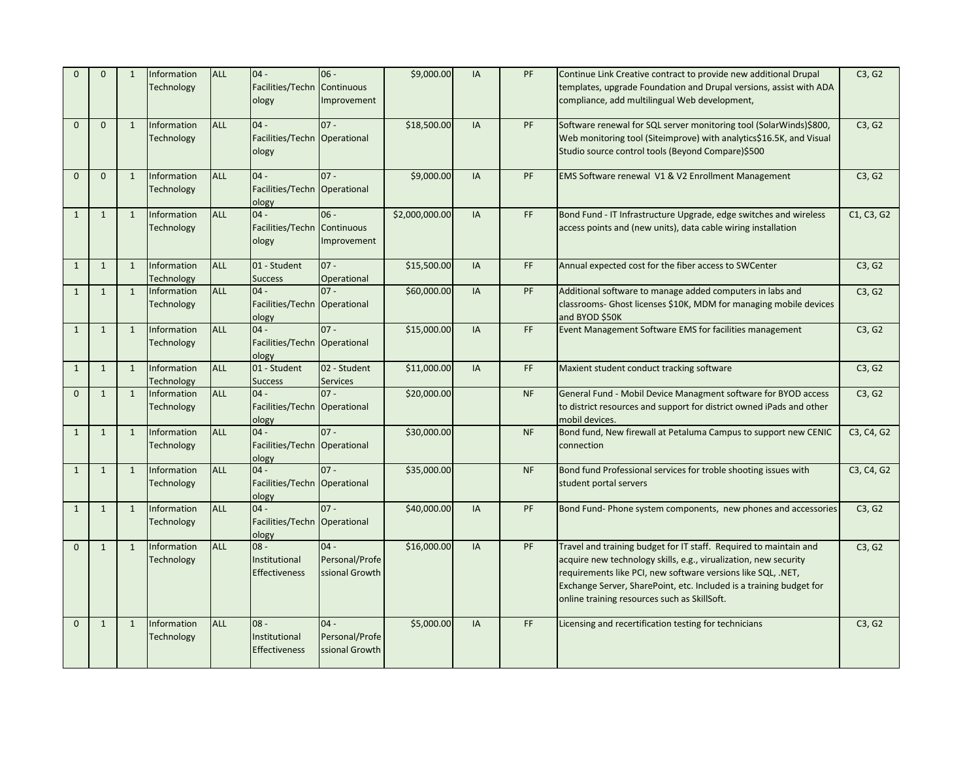| $\Omega$     | $\mathbf{0}$ | $\mathbf{1}$ | Information<br><b>Technology</b> | <b>ALL</b> | $04 -$<br>Facilities/Techn Continuous<br>ology  | $06 -$<br>Improvement                      | \$9,000.00     | IA        | PF        | Continue Link Creative contract to provide new additional Drupal<br>templates, upgrade Foundation and Drupal versions, assist with ADA<br>compliance, add multilingual Web development,                                                                                                                                      | C3, G2     |
|--------------|--------------|--------------|----------------------------------|------------|-------------------------------------------------|--------------------------------------------|----------------|-----------|-----------|------------------------------------------------------------------------------------------------------------------------------------------------------------------------------------------------------------------------------------------------------------------------------------------------------------------------------|------------|
| $\Omega$     | $\mathbf 0$  | $\mathbf{1}$ | Information<br><b>Technology</b> | <b>ALL</b> | $04 -$<br>Facilities/Techn Operational<br>ology | $07 -$                                     | \$18,500.00    | IA        | PF        | Software renewal for SQL server monitoring tool (SolarWinds)\$800,<br>Web monitoring tool (Siteimprove) with analytics\$16.5K, and Visual<br>Studio source control tools (Beyond Compare)\$500                                                                                                                               | C3, G2     |
| $\Omega$     | $\mathbf{0}$ | $\mathbf{1}$ | Information<br><b>Technology</b> | <b>ALL</b> | $04 -$<br>Facilities/Techn Operational<br>ology | $07 -$                                     | \$9,000.00     | IA        | PF        | EMS Software renewal V1 & V2 Enrollment Management                                                                                                                                                                                                                                                                           | C3, G2     |
| $\mathbf{1}$ | $\mathbf{1}$ | $\mathbf{1}$ | Information<br><b>Technology</b> | <b>ALL</b> | $04 -$<br>Facilities/Techn Continuous<br>ology  | $06 -$<br>Improvement                      | \$2,000,000.00 | IA        | FF        | Bond Fund - IT Infrastructure Upgrade, edge switches and wireless<br>access points and (new units), data cable wiring installation                                                                                                                                                                                           | C1, C3, G2 |
| $\mathbf{1}$ | $\mathbf{1}$ | $\mathbf{1}$ | Information<br><b>Technology</b> | <b>ALL</b> | 01 - Student<br><b>Success</b>                  | $07 -$<br>Operational                      | \$15,500.00    | IA        | FF        | Annual expected cost for the fiber access to SWCenter                                                                                                                                                                                                                                                                        | C3, G2     |
| $\mathbf{1}$ | $\mathbf{1}$ | $\mathbf{1}$ | Information<br><b>Technology</b> | <b>ALL</b> | $04 -$<br>Facilities/Techn Operational<br>ology | $07 -$                                     | \$60,000.00    | <b>IA</b> | PF        | Additional software to manage added computers in labs and<br>classrooms- Ghost licenses \$10K, MDM for managing mobile devices<br>and BYOD \$50K                                                                                                                                                                             | C3, G2     |
| $\mathbf{1}$ | $\mathbf{1}$ | $\mathbf{1}$ | Information<br><b>Technology</b> | <b>ALL</b> | $04 -$<br>Facilities/Techn Operational<br>ology | $07 -$                                     | \$15,000.00    | <b>IA</b> | FF        | Event Management Software EMS for facilities management                                                                                                                                                                                                                                                                      | C3, G2     |
| $\mathbf{1}$ | $\mathbf 1$  | $\mathbf{1}$ | Information<br><b>Technology</b> | <b>ALL</b> | 01 - Student<br><b>Success</b>                  | 02 - Student<br><b>Services</b>            | \$11,000.00    | IA        | FF        | Maxient student conduct tracking software                                                                                                                                                                                                                                                                                    | C3, G2     |
| $\Omega$     | $\mathbf{1}$ | 1            | Information<br><b>Technology</b> | <b>ALL</b> | $04 -$<br>Facilities/Techn Operational<br>ology | $07 -$                                     | \$20,000.00    |           | <b>NF</b> | General Fund - Mobil Device Managment software for BYOD access<br>to district resources and support for district owned iPads and other<br>mobil devices.                                                                                                                                                                     | C3, G2     |
| $\mathbf{1}$ | $\mathbf{1}$ | $\mathbf{1}$ | Information<br><b>Technology</b> | <b>ALL</b> | $04 -$<br>Facilities/Techn Operational<br>ology | $07 -$                                     | \$30,000.00    |           | <b>NF</b> | Bond fund, New firewall at Petaluma Campus to support new CENIC<br>connection                                                                                                                                                                                                                                                | C3, C4, G2 |
| $\mathbf{1}$ | $\mathbf{1}$ | 1            | Information<br><b>Technology</b> | <b>ALL</b> | $04 -$<br>Facilities/Techn Operational<br>ology | $07 -$                                     | \$35,000.00    |           | <b>NF</b> | Bond fund Professional services for troble shooting issues with<br>student portal servers                                                                                                                                                                                                                                    | C3, C4, G2 |
| $\mathbf{1}$ | $\mathbf{1}$ | $\mathbf{1}$ | Information<br><b>Technology</b> | <b>ALL</b> | $04 -$<br>Facilities/Techn Operational<br>ology | $07 -$                                     | \$40,000.00    | IA        | PF        | Bond Fund- Phone system components, new phones and accessories                                                                                                                                                                                                                                                               | C3, G2     |
| $\mathbf{0}$ | $\mathbf{1}$ | $\mathbf{1}$ | Information<br>Technology        | <b>ALL</b> | $08 -$<br>Institutional<br><b>Effectiveness</b> | $04 -$<br>Personal/Profe<br>ssional Growth | \$16,000.00    | IA        | PF        | Travel and training budget for IT staff. Required to maintain and<br>acquire new technology skills, e.g., virualization, new security<br>requirements like PCI, new software versions like SQL, .NET,<br>Exchange Server, SharePoint, etc. Included is a training budget for<br>online training resources such as SkillSoft. | C3, G2     |
| $\Omega$     | $\mathbf{1}$ | $\mathbf{1}$ | Information<br><b>Technology</b> | <b>ALL</b> | $08 -$<br>Institutional<br><b>Effectiveness</b> | $04 -$<br>Personal/Profe<br>ssional Growth | \$5,000.00     | IA        | FF        | Licensing and recertification testing for technicians                                                                                                                                                                                                                                                                        | C3, G2     |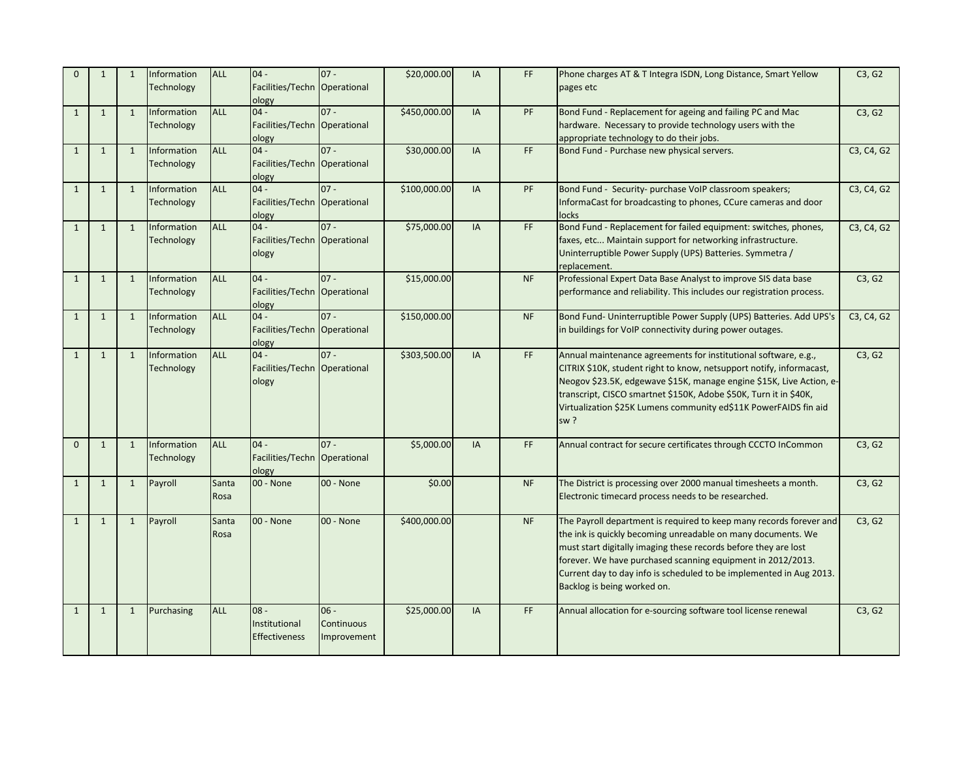| $\Omega$     | $\mathbf{1}$ | 1            | Information<br><b>Technology</b> | <b>ALL</b>    | $04 -$<br>Facilities/Techn Operational<br>ology | $07 -$                              | \$20,000.00  | IA | FF.                          | Phone charges AT & T Integra ISDN, Long Distance, Smart Yellow<br>pages etc                                                                                                                                                                                                                                                                                                 | C3, G2                                           |
|--------------|--------------|--------------|----------------------------------|---------------|-------------------------------------------------|-------------------------------------|--------------|----|------------------------------|-----------------------------------------------------------------------------------------------------------------------------------------------------------------------------------------------------------------------------------------------------------------------------------------------------------------------------------------------------------------------------|--------------------------------------------------|
| $\mathbf{1}$ | $\mathbf{1}$ | 1            | Information<br><b>Technology</b> | <b>ALL</b>    | $04 -$<br>Facilities/Techn Operational<br>ology | $07 -$                              | \$450,000.00 | IA | PF                           | Bond Fund - Replacement for ageing and failing PC and Mac<br>hardware. Necessary to provide technology users with the<br>appropriate technology to do their jobs.                                                                                                                                                                                                           | C3, G2                                           |
| $\mathbf{1}$ | $\mathbf{1}$ | $\mathbf{1}$ | Information<br><b>Technology</b> | ALL           | $04 -$<br>Facilities/Techn Operational<br>ology | $07 -$                              | \$30,000.00  | IA | FF.                          | Bond Fund - Purchase new physical servers.                                                                                                                                                                                                                                                                                                                                  | C3, C4, G2                                       |
| $\mathbf{1}$ | $\mathbf{1}$ | $\mathbf{1}$ | Information<br><b>Technology</b> | <b>ALL</b>    | $04 -$<br>Facilities/Techn Operational<br>ology | $07 -$                              | \$100,000.00 | IA | <b>PF</b>                    | Bond Fund - Security- purchase VoIP classroom speakers;<br>InformaCast for broadcasting to phones, CCure cameras and door<br>locks                                                                                                                                                                                                                                          | C <sub>3</sub> , C <sub>4</sub> , G <sub>2</sub> |
| $\mathbf{1}$ | $\mathbf{1}$ | $\mathbf{1}$ | Information<br>Technology        | <b>ALL</b>    | $04 -$<br>Facilities/Techn Operational<br>ology | $07 -$                              | \$75,000.00  | IA | $\mathsf{FF}% _{\mathsf{F}}$ | Bond Fund - Replacement for failed equipment: switches, phones,<br>faxes, etc Maintain support for networking infrastructure.<br>Uninterruptible Power Supply (UPS) Batteries. Symmetra /<br>replacement.                                                                                                                                                                   | C3, C4, G2                                       |
| $\mathbf{1}$ | $\mathbf{1}$ | 1            | Information<br><b>Technology</b> | <b>ALL</b>    | $04 -$<br>Facilities/Techn Operational<br>ology | $07 -$                              | \$15,000.00  |    | <b>NF</b>                    | Professional Expert Data Base Analyst to improve SIS data base<br>performance and reliability. This includes our registration process.                                                                                                                                                                                                                                      | C3, G2                                           |
| $\mathbf{1}$ | $\mathbf{1}$ | $\mathbf{1}$ | Information<br><b>Technology</b> | <b>ALL</b>    | $04 -$<br>Facilities/Techn Operational<br>ology | $07 -$                              | \$150,000.00 |    | <b>NF</b>                    | Bond Fund- Uninterruptible Power Supply (UPS) Batteries. Add UPS's<br>in buildings for VoIP connectivity during power outages.                                                                                                                                                                                                                                              | C3, C4, G2                                       |
| $\mathbf{1}$ | $\mathbf{1}$ | 1            | Information<br><b>Technology</b> | <b>ALL</b>    | $04 -$<br>Facilities/Techn Operational<br>ology | $07 -$                              | \$303,500.00 | IA | $\mathsf{FF}% _{\mathsf{F}}$ | Annual maintenance agreements for institutional software, e.g.,<br>CITRIX \$10K, student right to know, netsupport notify, informacast,<br>Neogov \$23.5K, edgewave \$15K, manage engine \$15K, Live Action, e-<br>transcript, CISCO smartnet \$150K, Adobe \$50K, Turn it in \$40K,<br>Virtualization \$25K Lumens community ed\$11K PowerFAIDS fin aid<br>sw <sup>2</sup> | C3, G2                                           |
| $\Omega$     | $\mathbf{1}$ | $\mathbf{1}$ | Information<br><b>Technology</b> | <b>ALL</b>    | $04 -$<br>Facilities/Techn Operational<br>ology | $07 -$                              | \$5,000.00   | IA | <b>FF</b>                    | Annual contract for secure certificates through CCCTO InCommon                                                                                                                                                                                                                                                                                                              | C3, G2                                           |
| $\mathbf{1}$ | $\mathbf{1}$ | $\mathbf{1}$ | Payroll                          | Santa<br>Rosa | 00 - None                                       | 00 - None                           | \$0.00       |    | <b>NF</b>                    | The District is processing over 2000 manual timesheets a month.<br>Electronic timecard process needs to be researched.                                                                                                                                                                                                                                                      | C3, G2                                           |
| $\mathbf{1}$ | $\mathbf{1}$ | $\mathbf{1}$ | Payroll                          | Santa<br>Rosa | 00 - None                                       | 00 - None                           | \$400,000.00 |    | <b>NF</b>                    | The Payroll department is required to keep many records forever and<br>the ink is quickly becoming unreadable on many documents. We<br>must start digitally imaging these records before they are lost<br>forever. We have purchased scanning equipment in 2012/2013.<br>Current day to day info is scheduled to be implemented in Aug 2013.<br>Backlog is being worked on. | C3, G2                                           |
| $\mathbf{1}$ | $\mathbf{1}$ | $\mathbf{1}$ | Purchasing                       | <b>ALL</b>    | $08 -$<br>Institutional<br><b>Effectiveness</b> | $06 -$<br>Continuous<br>Improvement | \$25,000.00  | IA | FF.                          | Annual allocation for e-sourcing software tool license renewal                                                                                                                                                                                                                                                                                                              | C3, G2                                           |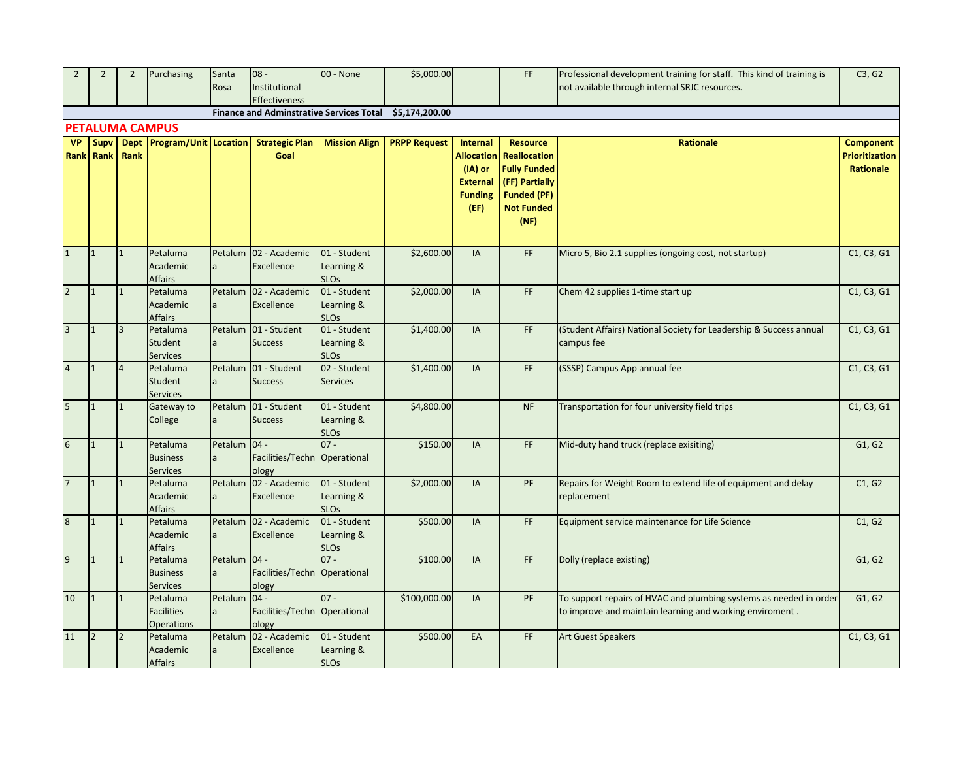| $\overline{2}$   | $\overline{2}$           | $\overline{2}$ | Purchasing                                         | Santa                   | $08 -$                                          | 00 - None                                 | \$5,000.00          |                                                             | FF.                                                                             | Professional development training for staff. This kind of training is                                                          | C3, G2                                                 |
|------------------|--------------------------|----------------|----------------------------------------------------|-------------------------|-------------------------------------------------|-------------------------------------------|---------------------|-------------------------------------------------------------|---------------------------------------------------------------------------------|--------------------------------------------------------------------------------------------------------------------------------|--------------------------------------------------------|
|                  |                          |                |                                                    | Rosa                    | Institutional                                   |                                           |                     |                                                             |                                                                                 | not available through internal SRJC resources.                                                                                 |                                                        |
|                  |                          |                |                                                    |                         | Effectiveness                                   |                                           |                     |                                                             |                                                                                 |                                                                                                                                |                                                        |
|                  |                          |                |                                                    |                         | <b>Finance and Adminstrative Services Total</b> |                                           | \$5,174,200.00      |                                                             |                                                                                 |                                                                                                                                |                                                        |
|                  |                          |                | <b>PETALUMA CAMPUS</b>                             |                         |                                                 |                                           |                     |                                                             |                                                                                 |                                                                                                                                |                                                        |
| <b>VP</b>        | Supv<br><b>Rank</b> Rank | Rank           | Dept Program/Unit Location                         |                         | <b>Strategic Plan</b><br>Goal                   | <b>Mission Align</b>                      | <b>PRPP Request</b> | Internal<br><b>Allocation</b><br>(IA) or<br><b>External</b> | <b>Resource</b><br><b>Reallocation</b><br><b>Fully Funded</b><br>(FF) Partially | <b>Rationale</b>                                                                                                               | <b>Component</b><br><b>Prioritization</b><br>Rationale |
|                  |                          |                |                                                    |                         |                                                 |                                           |                     | <b>Funding</b><br>(EF)                                      | <b>Funded (PF)</b><br><b>Not Funded</b><br>(NF)                                 |                                                                                                                                |                                                        |
| $\mathbf{1}$     | $\mathbf{1}$             | $\mathbf{1}$   | Petaluma<br>Academic<br><b>Affairs</b>             | Petalum<br>a            | 02 - Academic<br>Excellence                     | 01 - Student<br>Learning &<br><b>SLOs</b> | \$2,600.00          | IA                                                          | FF.                                                                             | Micro 5, Bio 2.1 supplies (ongoing cost, not startup)                                                                          | C1, C3, G1                                             |
| $\overline{2}$   | $\mathbf{1}$             | $\overline{1}$ | Petaluma<br>Academic<br><b>Affairs</b>             | Petalum<br>a            | 02 - Academic<br>Excellence                     | 01 - Student<br>Learning &<br><b>SLOs</b> | \$2,000.00          | IA                                                          | FF                                                                              | Chem 42 supplies 1-time start up                                                                                               | C1, C3, G1                                             |
| $\overline{3}$   | $\mathbf{1}$             | $\overline{3}$ | Petaluma<br>Student<br><b>Services</b>             | Petalum<br>a            | 01 - Student<br><b>Success</b>                  | 01 - Student<br>Learning &<br><b>SLOs</b> | \$1,400.00          | IA                                                          | FF.                                                                             | (Student Affairs) National Society for Leadership & Success annual<br>campus fee                                               | C1, C3, G1                                             |
| $\overline{4}$   | $\overline{1}$           | $\overline{4}$ | Petaluma<br>Student<br><b>Services</b>             | Petalum<br>a            | 01 - Student<br><b>Success</b>                  | 02 - Student<br><b>Services</b>           | \$1,400.00          | IA                                                          | FF.                                                                             | (SSSP) Campus App annual fee                                                                                                   | C1, C3, G1                                             |
| 5                | $\mathbf{1}$             | $\mathbf{1}$   | Gateway to<br>College                              | Petalum                 | 01 - Student<br><b>Success</b>                  | 01 - Student<br>Learning &<br><b>SLOs</b> | \$4,800.00          |                                                             | <b>NF</b>                                                                       | Transportation for four university field trips                                                                                 | C1, C3, G1                                             |
| $\boldsymbol{6}$ | $\mathbf{1}$             | $\overline{1}$ | Petaluma<br><b>Business</b><br><b>Services</b>     | Petalum<br>a            | $04 -$<br>Facilities/Techn Operational<br>ology | $07 -$                                    | \$150.00            | IA                                                          | FF                                                                              | Mid-duty hand truck (replace exisiting)                                                                                        | G1, G2                                                 |
| $\overline{7}$   | $\mathbf{1}$             | $\overline{1}$ | Petaluma<br>Academic<br>Affairs                    | Petalum<br>$\mathsf{a}$ | 02 - Academic<br>Excellence                     | 01 - Student<br>Learning &<br><b>SLOs</b> | \$2,000.00          | <b>IA</b>                                                   | PF                                                                              | Repairs for Weight Room to extend life of equipment and delay<br>replacement                                                   | C1, G2                                                 |
| 8                | $\mathbf{1}$             | $\overline{1}$ | Petaluma<br>Academic<br><b>Affairs</b>             | Petalum<br>a            | 02 - Academic<br>Excellence                     | 01 - Student<br>Learning &<br><b>SLOs</b> | \$500.00            | IA                                                          | FF.                                                                             | Equipment service maintenance for Life Science                                                                                 | C1, G2                                                 |
| 9                | $\mathbf{1}$             | $\mathbf{1}$   | Petaluma<br><b>Business</b><br><b>Services</b>     | Petalum 04 -            | Facilities/Techn Operational<br>ology           | $07 -$                                    | \$100.00            | <b>IA</b>                                                   | FF.                                                                             | Dolly (replace existing)                                                                                                       | G1, G2                                                 |
| 10               | $\mathbf{1}$             | $\overline{1}$ | Petaluma<br><b>Facilities</b><br><b>Operations</b> | Petalum                 | $04 -$<br>Facilities/Techn Operational<br>ology | $07 -$                                    | \$100,000.00        | IA                                                          | PF                                                                              | To support repairs of HVAC and plumbing systems as needed in order<br>to improve and maintain learning and working enviroment. | G1, G2                                                 |
| 11               | $\overline{2}$           | $\overline{2}$ | Petaluma<br>Academic<br><b>Affairs</b>             | Petalum<br>$\mathsf{a}$ | 02 - Academic<br>Excellence                     | 01 - Student<br>Learning &<br><b>SLOs</b> | \$500.00            | EA                                                          | FF                                                                              | <b>Art Guest Speakers</b>                                                                                                      | C1, C3, G1                                             |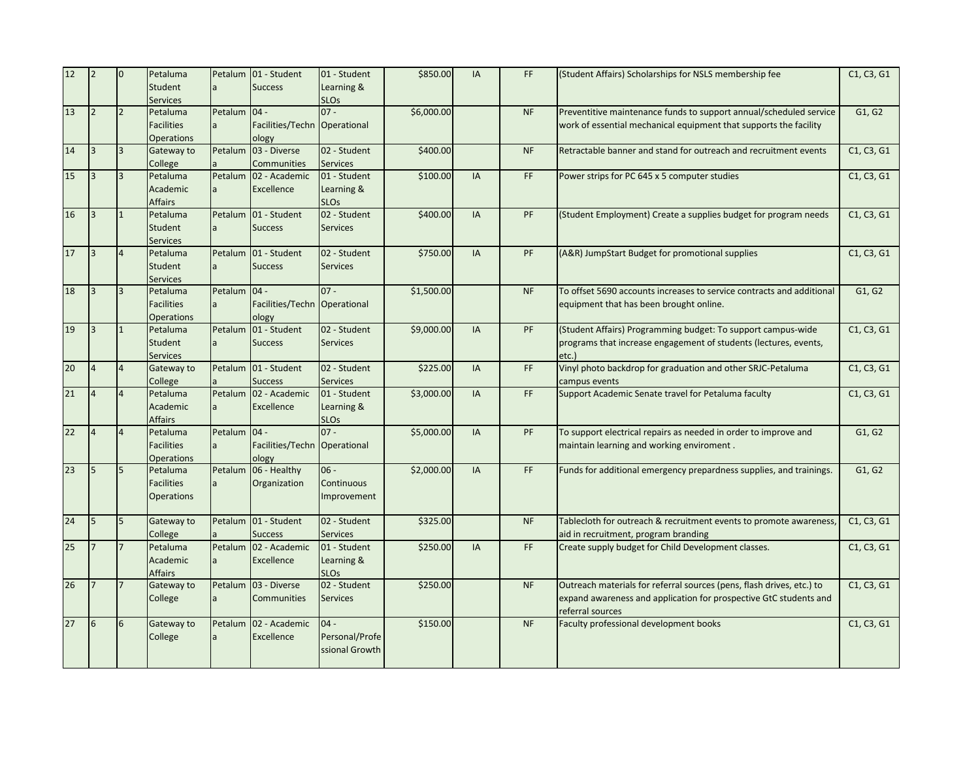| 12 | $\overline{2}$          | $\overline{0}$ | Petaluma<br>Student<br><b>Services</b>             | la.                            | Petalum 01 - Student<br><b>Success</b>           | 01 - Student<br>Learning &<br><b>SLOs</b>  | \$850.00   | IA        | FF        | (Student Affairs) Scholarships for NSLS membership fee                                                                                                         | C1, C3, G1 |
|----|-------------------------|----------------|----------------------------------------------------|--------------------------------|--------------------------------------------------|--------------------------------------------|------------|-----------|-----------|----------------------------------------------------------------------------------------------------------------------------------------------------------------|------------|
| 13 | $\overline{2}$          | $\overline{2}$ | Petaluma<br><b>Facilities</b><br><b>Operations</b> | Petalum 04 -<br>$\overline{a}$ | Facilities/Techn Operational<br>ology            | $07 -$                                     | \$6,000.00 |           | <b>NF</b> | Preventitive maintenance funds to support annual/scheduled service<br>work of essential mechanical equipment that supports the facility                        | G1, G2     |
| 14 | R                       | $\overline{3}$ | Gateway to<br>College                              | Petalum                        | 03 - Diverse<br><b>Communities</b>               | 02 - Student<br><b>Services</b>            | \$400.00   |           | <b>NF</b> | Retractable banner and stand for outreach and recruitment events                                                                                               | C1, C3, G1 |
| 15 | $\overline{\mathbf{3}}$ | $\overline{3}$ | Petaluma<br>Academic<br><b>Affairs</b>             | a                              | Petalum 02 - Academic<br>Excellence              | 01 - Student<br>Learning &<br><b>SLOs</b>  | \$100.00   | IA        | FF.       | Power strips for PC 645 x 5 computer studies                                                                                                                   | C1, C3, G1 |
| 16 | $\overline{\mathbf{3}}$ | $\mathbf{1}$   | Petaluma<br>Student<br><b>Services</b>             |                                | Petalum 01 - Student<br><b>Success</b>           | 02 - Student<br><b>Services</b>            | \$400.00   | IA        | PF        | (Student Employment) Create a supplies budget for program needs                                                                                                | C1, C3, G1 |
| 17 | 3                       | $\overline{4}$ | Petaluma<br>Student<br><b>Services</b>             | Petalum                        | 01 - Student<br><b>Success</b>                   | 02 - Student<br><b>Services</b>            | \$750.00   | IA        | PF        | (A&R) JumpStart Budget for promotional supplies                                                                                                                | C1, C3, G1 |
| 18 | 3                       | $\overline{3}$ | Petaluma<br><b>Facilities</b><br><b>Operations</b> | Petalum 04 -<br>la.            | Facilities/Techn Operational<br>ology            | $07 -$                                     | \$1,500.00 |           | <b>NF</b> | To offset 5690 accounts increases to service contracts and additional<br>equipment that has been brought online.                                               | G1, G2     |
| 19 |                         | $\mathbf{1}$   | Petaluma<br>Student<br><b>Services</b>             | Petalum<br>a                   | 01 - Student<br><b>Success</b>                   | 02 - Student<br><b>Services</b>            | \$9,000.00 | IA        | PF        | (Student Affairs) Programming budget: To support campus-wide<br>programs that increase engagement of students (lectures, events,<br>etc.)                      | C1, C3, G1 |
| 20 | $\overline{4}$          | $\overline{4}$ | Gateway to<br>College                              |                                | Petalum 01 - Student<br><b>Success</b>           | 02 - Student<br><b>Services</b>            | \$225.00   | IA        | FF        | Vinyl photo backdrop for graduation and other SRJC-Petaluma<br>campus events                                                                                   | C1, C3, G1 |
| 21 | $\overline{4}$          | $\overline{4}$ | Petaluma<br>Academic<br><b>Affairs</b>             | a                              | Petalum 02 - Academic<br>Excellence              | 01 - Student<br>Learning &<br><b>SLOs</b>  | \$3,000.00 | IA        | FF.       | Support Academic Senate travel for Petaluma faculty                                                                                                            | C1, C3, G1 |
| 22 | $\overline{4}$          | $\overline{4}$ | Petaluma<br><b>Facilities</b><br><b>Operations</b> | Petalum                        | $ 04 -$<br>Facilities/Techn Operational<br>ology | $07 -$                                     | \$5,000.00 | IA        | PF        | To support electrical repairs as needed in order to improve and<br>maintain learning and working enviroment.                                                   | G1, G2     |
| 23 | 5                       | 5              | Petaluma<br><b>Facilities</b><br><b>Operations</b> |                                | Petalum 06 - Healthy<br>Organization             | $06 -$<br>Continuous<br>Improvement        | \$2,000.00 | <b>IA</b> | FF.       | Funds for additional emergency prepardness supplies, and trainings.                                                                                            | G1, G2     |
| 24 | 5                       | 5              | Gateway to<br>College                              |                                | Petalum 01 - Student<br><b>Success</b>           | 02 - Student<br><b>Services</b>            | \$325.00   |           | <b>NF</b> | Tablecloth for outreach & recruitment events to promote awareness,<br>aid in recruitment, program branding                                                     | C1, C3, G1 |
| 25 | $\overline{7}$          | $\overline{7}$ | Petaluma<br>Academic<br><b>Affairs</b>             | a                              | Petalum 02 - Academic<br>Excellence              | 01 - Student<br>Learning &<br><b>SLOs</b>  | \$250.00   | IA        | FF        | Create supply budget for Child Development classes.                                                                                                            | C1, C3, G1 |
| 26 |                         |                | Gateway to<br>College                              |                                | Petalum 03 - Diverse<br>Communities              | 02 - Student<br><b>Services</b>            | \$250.00   |           | <b>NF</b> | Outreach materials for referral sources (pens, flash drives, etc.) to<br>expand awareness and application for prospective GtC students and<br>referral sources | C1, C3, G1 |
| 27 | 6                       | 6              | Gateway to<br>College                              | Petalum                        | 02 - Academic<br>Excellence                      | $04 -$<br>Personal/Profe<br>ssional Growth | \$150.00   |           | <b>NF</b> | Faculty professional development books                                                                                                                         | C1, C3, G1 |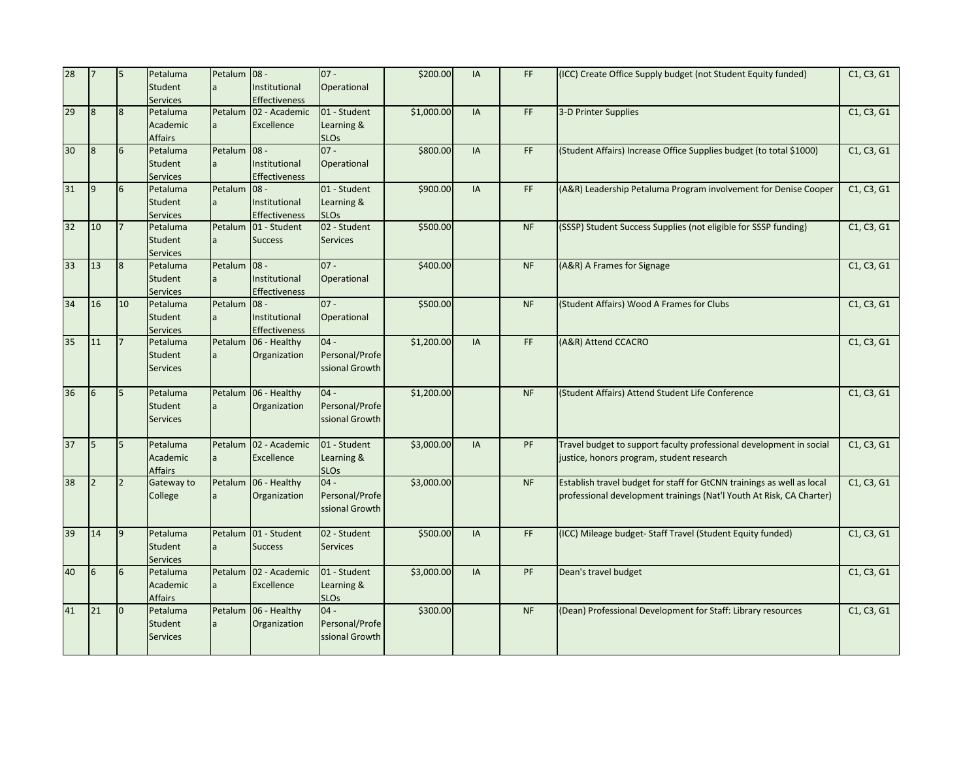| 28 | $\overline{7}$ | 5              | Petaluma<br>Student<br><b>Services</b> | Petalum 08 -  | Institutional<br><b>Effectiveness</b>           | $07 -$<br>Operational                      | \$200.00   | IA | FF.       | (ICC) Create Office Supply budget (not Student Equity funded)                                                                                  | C1, C3, G1 |
|----|----------------|----------------|----------------------------------------|---------------|-------------------------------------------------|--------------------------------------------|------------|----|-----------|------------------------------------------------------------------------------------------------------------------------------------------------|------------|
| 29 | 8              | 8              | Petaluma<br>Academic<br><b>Affairs</b> | Petalum<br>la | 02 - Academic<br>Excellence                     | 01 - Student<br>Learning &<br><b>SLOs</b>  | \$1,000.00 | IA | FF.       | 3-D Printer Supplies                                                                                                                           | C1, C3, G1 |
| 30 | 8              | 6              | Petaluma<br>Student<br><b>Services</b> | Petalum<br>la | $ 08 -$<br>Institutional<br>Effectiveness       | $07 -$<br>Operational                      | \$800.00   | IA | FF        | (Student Affairs) Increase Office Supplies budget (to total \$1000)                                                                            | C1, C3, G1 |
| 31 | $\overline{9}$ | 6              | Petaluma<br>Student<br><b>Services</b> | Petalum<br>la | $08 -$<br>Institutional<br><b>Effectiveness</b> | 01 - Student<br>Learning &<br><b>SLOs</b>  | \$900.00   | IA | FF.       | (A&R) Leadership Petaluma Program involvement for Denise Cooper                                                                                | C1, C3, G1 |
| 32 | 10             | <b>7</b>       | Petaluma<br>Student<br><b>Services</b> | Petalum<br>la | 01 - Student<br><b>Success</b>                  | 02 - Student<br><b>Services</b>            | \$500.00   |    | <b>NF</b> | (SSSP) Student Success Supplies (not eligible for SSSP funding)                                                                                | C1, C3, G1 |
| 33 | 13             | $\sqrt{8}$     | Petaluma<br>Student<br><b>Services</b> | Petalum<br>la | $08 -$<br>Institutional<br><b>Effectiveness</b> | $07 -$<br>Operational                      | \$400.00   |    | <b>NF</b> | (A&R) A Frames for Signage                                                                                                                     | C1, C3, G1 |
| 34 | 16             | 10             | Petaluma<br>Student<br><b>Services</b> | Petalum<br>la | $08 -$<br>Institutional<br><b>Effectiveness</b> | $07 -$<br>Operational                      | \$500.00   |    | <b>NF</b> | (Student Affairs) Wood A Frames for Clubs                                                                                                      | C1, C3, G1 |
| 35 | 11             |                | Petaluma<br>Student<br><b>Services</b> | Petalum       | 06 - Healthy<br>Organization                    | $04 -$<br>Personal/Profe<br>ssional Growth | \$1,200.00 | IA | FF        | (A&R) Attend CCACRO                                                                                                                            | C1, C3, G1 |
| 36 | 6              | 5              | Petaluma<br>Student<br><b>Services</b> | Petalum<br>la | 06 - Healthy<br>Organization                    | $04 -$<br>Personal/Profe<br>ssional Growth | \$1,200.00 |    | NF        | (Student Affairs) Attend Student Life Conference                                                                                               | C1, C3, G1 |
| 37 | 5              | 5              | Petaluma<br>Academic<br><b>Affairs</b> | la            | Petalum 02 - Academic<br>Excellence             | 01 - Student<br>Learning &<br><b>SLOs</b>  | \$3,000.00 | IA | PF        | Travel budget to support faculty professional development in social<br>justice, honors program, student research                               | C1, C3, G1 |
| 38 | $\overline{2}$ | $\overline{2}$ | Gateway to<br>College                  | <b>a</b>      | Petalum 06 - Healthy<br>Organization            | $04 -$<br>Personal/Profe<br>ssional Growth | \$3,000.00 |    | NF        | Establish travel budget for staff for GtCNN trainings as well as local<br>professional development trainings (Nat'l Youth At Risk, CA Charter) | C1, C3, G1 |
| 39 | 14             | $\overline{9}$ | Petaluma<br>Student<br><b>Services</b> | Petalum<br>la | 01 - Student<br><b>Success</b>                  | 02 - Student<br><b>Services</b>            | \$500.00   | IA | FF        | (ICC) Mileage budget- Staff Travel (Student Equity funded)                                                                                     | C1, C3, G1 |
| 40 | 6              | 6              | Petaluma<br>Academic<br><b>Affairs</b> | Petalum<br>la | 02 - Academic<br>Excellence                     | 01 - Student<br>Learning &<br><b>SLOs</b>  | \$3,000.00 | IA | PF        | Dean's travel budget                                                                                                                           | C1, C3, G1 |
| 41 | 21             | $\overline{0}$ | Petaluma<br>Student<br><b>Services</b> | Petalum       | 06 - Healthy<br>Organization                    | $04 -$<br>Personal/Profe<br>ssional Growth | \$300.00   |    | <b>NF</b> | (Dean) Professional Development for Staff: Library resources                                                                                   | C1, C3, G1 |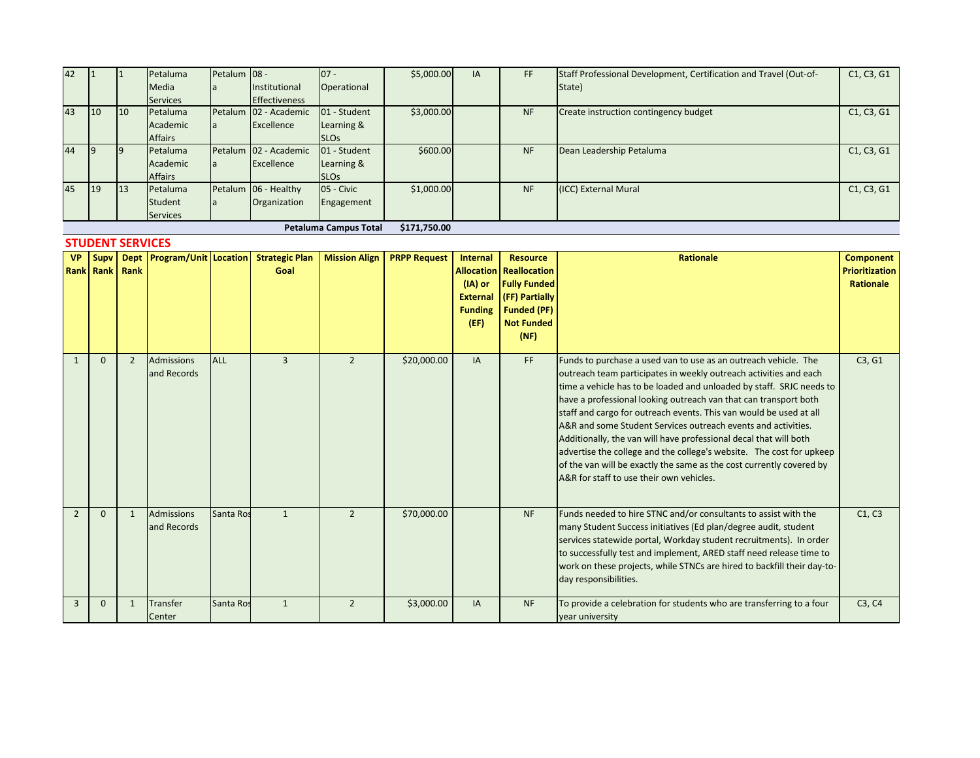| 42 |            |    | Petaluma        | Petalum 08 - |                       | $07 -$                       | \$5,000.00   | IA | <b>FF</b> | Staff Professional Development, Certification and Travel (Out-of- | C1, C3, G1 |
|----|------------|----|-----------------|--------------|-----------------------|------------------------------|--------------|----|-----------|-------------------------------------------------------------------|------------|
|    |            |    | Media           |              | Institutional         | Operational                  |              |    |           | State)                                                            |            |
|    |            |    | <b>Services</b> |              | <b>Effectiveness</b>  |                              |              |    |           |                                                                   |            |
| 43 | 10         | 10 | Petaluma        |              | Petalum 02 - Academic | 01 - Student                 | \$3,000.00   |    | <b>NF</b> | Create instruction contingency budget                             | C1, C3, G1 |
|    |            |    | Academic        | <b>l</b> a   | Excellence            | Learning &                   |              |    |           |                                                                   |            |
|    |            |    | <b>Affairs</b>  |              |                       | <b>SLOs</b>                  |              |    |           |                                                                   |            |
| 44 | 19         | 19 | Petaluma        | Petalum      | 02 - Academic         | 01 - Student                 | \$600.00     |    | <b>NF</b> | Dean Leadership Petaluma                                          | C1, C3, G1 |
|    |            |    | Academic        | <b>l</b> a   | Excellence            | Learning &                   |              |    |           |                                                                   |            |
|    |            |    | <b>Affairs</b>  |              |                       | <b>SLO<sub>S</sub></b>       |              |    |           |                                                                   |            |
| 45 | <b>119</b> | 13 | Petaluma        |              | Petalum 06 - Healthy  | 05 - Civic                   | \$1,000.00   |    | <b>NF</b> | (ICC) External Mural                                              | C1, C3, G1 |
|    |            |    | Student         | la           | Organization          | Engagement                   |              |    |           |                                                                   |            |
|    |            |    | <b>Services</b> |              |                       |                              |              |    |           |                                                                   |            |
|    |            |    |                 |              |                       | <b>Petaluma Campus Total</b> | \$171.750.00 |    |           |                                                                   |            |

# **STUDENT SERVICES**

| <b>VP</b>     | Supy<br><b>Rank Rank Rank</b> |                |                                  |            | Dept Program/Unit Location Strategic Plan<br>Goal | <b>Mission Align</b> | <b>PRPP Request</b> | Internal<br>$(IA)$ or<br><b>External</b><br><b>Funding</b><br>(EF) | <b>Resource</b><br><b>Allocation</b> Reallocation<br><b>Fully Funded</b><br>(FF) Partially<br><b>Funded (PF)</b><br><b>Not Funded</b><br>(NF) | <b>Rationale</b>                                                                                                                                                                                                                                                                                                                                                                                                                                                                                                                                                                                                                                                                         | <b>Component</b><br><b>Prioritization</b><br><b>Rationale</b> |
|---------------|-------------------------------|----------------|----------------------------------|------------|---------------------------------------------------|----------------------|---------------------|--------------------------------------------------------------------|-----------------------------------------------------------------------------------------------------------------------------------------------|------------------------------------------------------------------------------------------------------------------------------------------------------------------------------------------------------------------------------------------------------------------------------------------------------------------------------------------------------------------------------------------------------------------------------------------------------------------------------------------------------------------------------------------------------------------------------------------------------------------------------------------------------------------------------------------|---------------------------------------------------------------|
|               | $\Omega$                      | $\overline{2}$ | <b>Admissions</b><br>and Records | <b>ALL</b> | 3                                                 | $\overline{2}$       | \$20,000.00         | IA                                                                 | FF.                                                                                                                                           | Funds to purchase a used van to use as an outreach vehicle. The<br>outreach team participates in weekly outreach activities and each<br>time a vehicle has to be loaded and unloaded by staff. SRJC needs to<br>have a professional looking outreach van that can transport both<br>staff and cargo for outreach events. This van would be used at all<br>A&R and some Student Services outreach events and activities.<br>Additionally, the van will have professional decal that will both<br>advertise the college and the college's website. The cost for upkeep<br>of the van will be exactly the same as the cost currently covered by<br>A&R for staff to use their own vehicles. | C3, G1                                                        |
| $\mathcal{P}$ | $\mathbf 0$                   | $\mathbf{1}$   | <b>Admissions</b><br>and Records | Santa Ros  |                                                   | $\mathcal{L}$        | \$70,000.00         |                                                                    | <b>NF</b>                                                                                                                                     | Funds needed to hire STNC and/or consultants to assist with the<br>many Student Success initiatives (Ed plan/degree audit, student<br>services statewide portal, Workday student recruitments). In order<br>to successfully test and implement, ARED staff need release time to<br>work on these projects, while STNCs are hired to backfill their day-to-<br>day responsibilities.                                                                                                                                                                                                                                                                                                      | C1, C3                                                        |
| 3             | $\Omega$                      | $\mathbf{1}$   | <b>Transfer</b><br>Center        | Santa Ros  |                                                   | $\overline{2}$       | \$3,000.00          | IA                                                                 | <b>NF</b>                                                                                                                                     | To provide a celebration for students who are transferring to a four<br>year university                                                                                                                                                                                                                                                                                                                                                                                                                                                                                                                                                                                                  | C <sub>3</sub> , C <sub>4</sub>                               |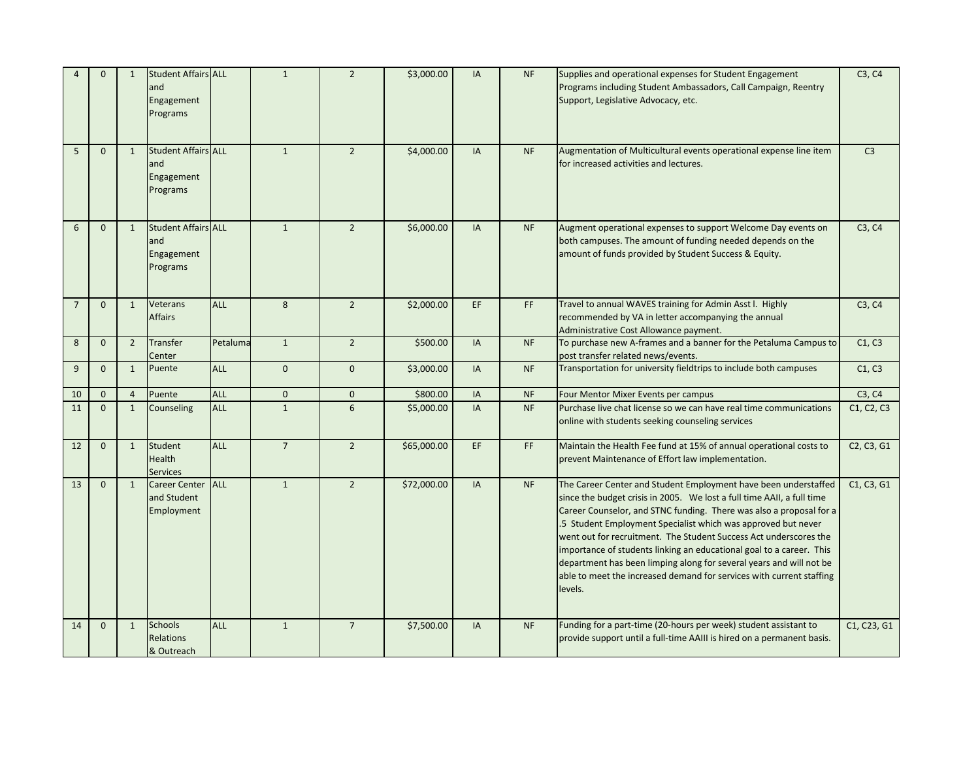|                | $\mathbf{0}$   | 1              | <b>Student Affairs ALL</b><br>and<br>Engagement<br>Programs |            | $\mathbf{1}$   | $\overline{2}$ | \$3,000.00  | <b>IA</b> | <b>NF</b>                                                                                                                                               | Supplies and operational expenses for Student Engagement<br>Programs including Student Ambassadors, Call Campaign, Reentry<br>Support, Legislative Advocacy, etc.                                                                                                                                                                                                                                                                                                                                                                                                                        |                |
|----------------|----------------|----------------|-------------------------------------------------------------|------------|----------------|----------------|-------------|-----------|---------------------------------------------------------------------------------------------------------------------------------------------------------|------------------------------------------------------------------------------------------------------------------------------------------------------------------------------------------------------------------------------------------------------------------------------------------------------------------------------------------------------------------------------------------------------------------------------------------------------------------------------------------------------------------------------------------------------------------------------------------|----------------|
| 5              | $\Omega$       | $\mathbf{1}$   | <b>Student Affairs ALL</b><br>and<br>Engagement<br>Programs |            | $\mathbf{1}$   | $\overline{2}$ | \$4,000.00  | <b>IA</b> | <b>NF</b>                                                                                                                                               | Augmentation of Multicultural events operational expense line item<br>for increased activities and lectures.                                                                                                                                                                                                                                                                                                                                                                                                                                                                             | C <sub>3</sub> |
| 6              | $\overline{0}$ | $\mathbf{1}$   | <b>Student Affairs ALL</b><br>and<br>Engagement<br>Programs |            | $\mathbf{1}$   | $\overline{2}$ | \$6,000.00  | IA        | <b>NF</b>                                                                                                                                               | Augment operational expenses to support Welcome Day events on<br>both campuses. The amount of funding needed depends on the<br>amount of funds provided by Student Success & Equity.                                                                                                                                                                                                                                                                                                                                                                                                     | C3, C4         |
| $\overline{7}$ | $\Omega$       | $\mathbf{1}$   | Veterans<br><b>Affairs</b>                                  | <b>ALL</b> | 8              | $\overline{2}$ | \$2,000.00  | EF        | FF.                                                                                                                                                     | Travel to annual WAVES training for Admin Asst l. Highly<br>recommended by VA in letter accompanying the annual<br>Administrative Cost Allowance payment.                                                                                                                                                                                                                                                                                                                                                                                                                                |                |
| 8              | $\mathbf{0}$   | $\overline{2}$ | <b>Transfer</b><br>Center                                   | Petaluma   | $\mathbf{1}$   | $\overline{2}$ | \$500.00    | <b>IA</b> | <b>NF</b>                                                                                                                                               | To purchase new A-frames and a banner for the Petaluma Campus to<br>post transfer related news/events.                                                                                                                                                                                                                                                                                                                                                                                                                                                                                   |                |
| 9              | $\mathbf{0}$   | $\mathbf{1}$   | Puente                                                      | <b>ALL</b> | $\mathbf{0}$   | $\mathbf{0}$   | \$3,000.00  | <b>IA</b> | <b>NF</b>                                                                                                                                               | Transportation for university fieldtrips to include both campuses                                                                                                                                                                                                                                                                                                                                                                                                                                                                                                                        | C1, C3         |
| 10             | $\mathbf{0}$   | $\overline{4}$ | Puente                                                      | <b>ALL</b> | $\mathbf{0}$   | $\mathbf 0$    | \$800.00    | IA        | <b>NF</b>                                                                                                                                               | Four Mentor Mixer Events per campus                                                                                                                                                                                                                                                                                                                                                                                                                                                                                                                                                      | C3, C4         |
| 11             | $\Omega$       | $\mathbf{1}$   | Counseling                                                  | <b>ALL</b> | $\mathbf{1}$   | 6              | \$5,000.00  | <b>IA</b> | <b>NF</b>                                                                                                                                               | Purchase live chat license so we can have real time communications<br>online with students seeking counseling services                                                                                                                                                                                                                                                                                                                                                                                                                                                                   | C1, C2, C3     |
| 12             | $\mathbf{0}$   | $\mathbf{1}$   | <b>Student</b><br>Health<br><b>Services</b>                 | <b>ALL</b> | $\overline{7}$ | $\overline{2}$ | \$65,000.00 | EF.       | FF.                                                                                                                                                     | Maintain the Health Fee fund at 15% of annual operational costs to<br>prevent Maintenance of Effort law implementation.                                                                                                                                                                                                                                                                                                                                                                                                                                                                  | C2, C3, G1     |
| 13             | $\Omega$       | $\mathbf{1}$   | Career Center ALL<br>and Student<br>Employment              |            | $\mathbf{1}$   | $\overline{2}$ | \$72,000.00 | <b>IA</b> | <b>NF</b>                                                                                                                                               | The Career Center and Student Employment have been understaffed<br>since the budget crisis in 2005. We lost a full time AAII, a full time<br>Career Counselor, and STNC funding. There was also a proposal for a<br>.5 Student Employment Specialist which was approved but never<br>went out for recruitment. The Student Success Act underscores the<br>importance of students linking an educational goal to a career. This<br>department has been limping along for several years and will not be<br>able to meet the increased demand for services with current staffing<br>levels. |                |
| 14             | $\mathbf{0}$   | $\mathbf{1}$   | Schools<br><b>Relations</b><br>& Outreach                   | <b>ALL</b> | $\mathbf{1}$   | $\overline{7}$ | \$7,500.00  | <b>IA</b> | Funding for a part-time (20-hours per week) student assistant to<br><b>NF</b><br>provide support until a full-time AAIII is hired on a permanent basis. |                                                                                                                                                                                                                                                                                                                                                                                                                                                                                                                                                                                          | C1, C23, G1    |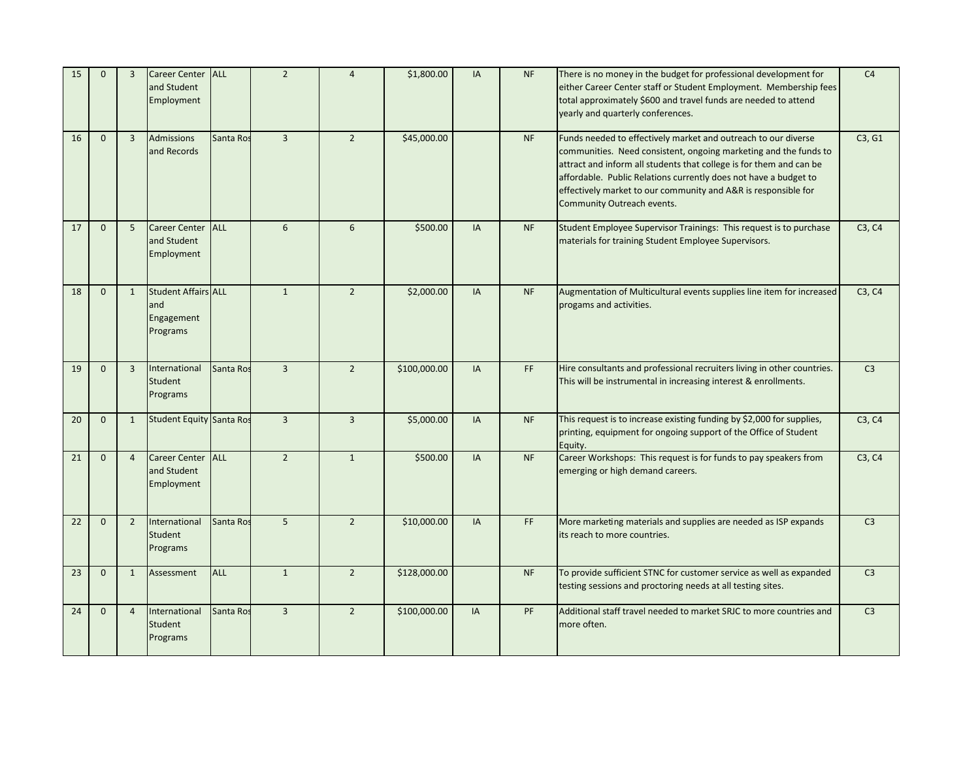| 15 | $\Omega$     | $\overline{3}$ | Career Center ALL<br>and Student<br>Employment              |            | $\overline{2}$ | $\overline{4}$ | \$1,800.00   | IA        | <b>NF</b> | There is no money in the budget for professional development for<br>either Career Center staff or Student Employment. Membership fees<br>total approximately \$600 and travel funds are needed to attend<br>yearly and quarterly conferences.                                                                                                                                 |        |
|----|--------------|----------------|-------------------------------------------------------------|------------|----------------|----------------|--------------|-----------|-----------|-------------------------------------------------------------------------------------------------------------------------------------------------------------------------------------------------------------------------------------------------------------------------------------------------------------------------------------------------------------------------------|--------|
| 16 | $\mathbf{0}$ | $\overline{3}$ | <b>Admissions</b><br>and Records                            | Santa Ros  | $\overline{3}$ | $\overline{2}$ | \$45,000.00  |           | <b>NF</b> | Funds needed to effectively market and outreach to our diverse<br>communities. Need consistent, ongoing marketing and the funds to<br>attract and inform all students that college is for them and can be<br>affordable. Public Relations currently does not have a budget to<br>effectively market to our community and A&R is responsible for<br>Community Outreach events. | C3, G1 |
| 17 | $\mathbf{0}$ | 5              | <b>Career Center</b><br>and Student<br>Employment           | <b>ALL</b> | 6              | 6              | \$500.00     | IA        | <b>NF</b> | Student Employee Supervisor Trainings: This request is to purchase<br>materials for training Student Employee Supervisors.                                                                                                                                                                                                                                                    |        |
| 18 | $\mathbf{0}$ | 1              | <b>Student Affairs ALL</b><br>and<br>Engagement<br>Programs |            | $\mathbf{1}$   | $\overline{2}$ | \$2,000.00   | <b>IA</b> | <b>NF</b> | Augmentation of Multicultural events supplies line item for increased<br>progams and activities.                                                                                                                                                                                                                                                                              |        |
| 19 | $\mathbf{0}$ | $\overline{3}$ | International<br>Student<br>Programs                        | Santa Ros  | $\overline{3}$ | $\overline{2}$ | \$100,000.00 | IA        | FF.       | Hire consultants and professional recruiters living in other countries.<br>This will be instrumental in increasing interest & enrollments.                                                                                                                                                                                                                                    |        |
| 20 | $\mathbf{0}$ | 1              | <b>Student Equity Santa Ros</b>                             |            | $\overline{3}$ | $\overline{3}$ | \$5,000.00   | IA        | <b>NF</b> | This request is to increase existing funding by \$2,000 for supplies,<br>printing, equipment for ongoing support of the Office of Student<br>Equity.                                                                                                                                                                                                                          | C3, C4 |
| 21 | $\Omega$     | $\overline{4}$ | <b>Career Center</b><br>and Student<br>Employment           | <b>ALL</b> | $\overline{2}$ | $\mathbf{1}$   | \$500.00     | <b>IA</b> | <b>NF</b> | Career Workshops: This request is for funds to pay speakers from<br>emerging or high demand careers.                                                                                                                                                                                                                                                                          | C3, C4 |
| 22 | $\Omega$     | $\overline{2}$ | International<br>Student<br>Programs                        | Santa Ros  | 5 <sup>1</sup> | $\overline{2}$ | \$10,000.00  | IA        | <b>FF</b> | More marketing materials and supplies are needed as ISP expands<br>its reach to more countries.                                                                                                                                                                                                                                                                               |        |
| 23 | $\mathbf{0}$ | $\mathbf{1}$   | Assessment                                                  | <b>ALL</b> | $\mathbf{1}$   | $\overline{2}$ | \$128,000.00 |           | <b>NF</b> | To provide sufficient STNC for customer service as well as expanded<br>testing sessions and proctoring needs at all testing sites.                                                                                                                                                                                                                                            |        |
| 24 | $\mathbf{0}$ | $\overline{4}$ | International<br>Student<br>Programs                        | Santa Ros  | $\overline{3}$ | $\overline{2}$ | \$100,000.00 | IA        | PF        | Additional staff travel needed to market SRJC to more countries and<br>more often.                                                                                                                                                                                                                                                                                            |        |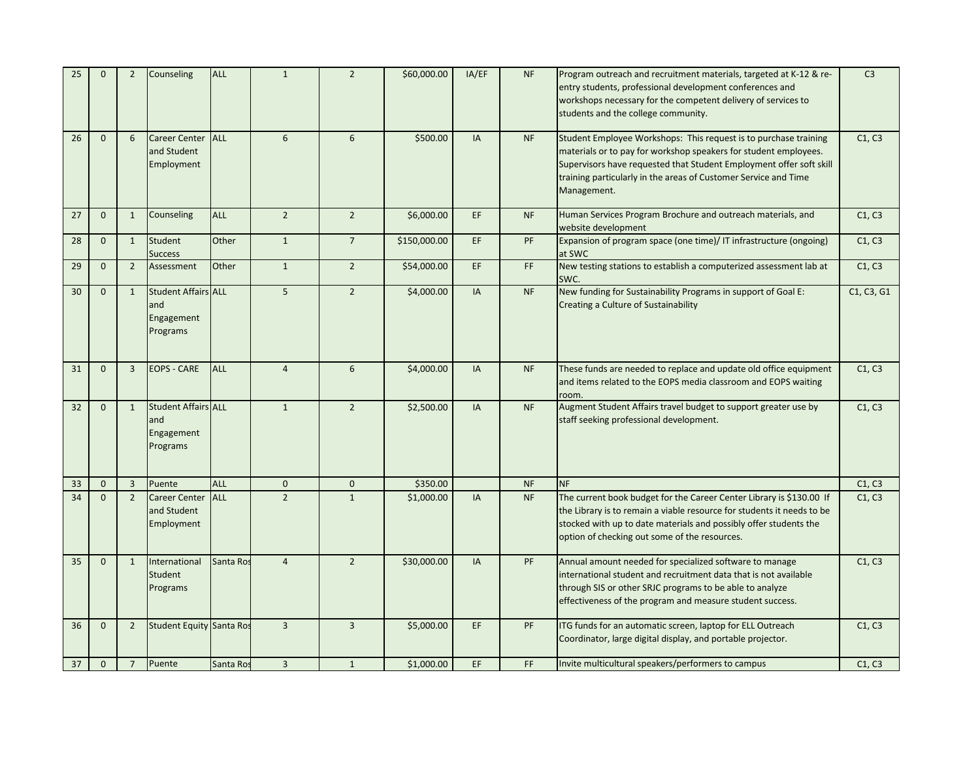| 25 | $\Omega$     | $\overline{2}$ | Counseling                                                  | <b>ALL</b> | $\mathbf{1}$            | $\overline{2}$ | \$60,000.00  | IA/EF     | <b>NF</b> | Program outreach and recruitment materials, targeted at K-12 & re-<br>entry students, professional development conferences and<br>workshops necessary for the competent delivery of services to<br>students and the college community.                                                        |                      |  |
|----|--------------|----------------|-------------------------------------------------------------|------------|-------------------------|----------------|--------------|-----------|-----------|-----------------------------------------------------------------------------------------------------------------------------------------------------------------------------------------------------------------------------------------------------------------------------------------------|----------------------|--|
| 26 | $\mathbf{0}$ | 6              | <b>Career Center</b><br>and Student<br>Employment           | <b>ALL</b> | $6\phantom{1}$          | 6              | \$500.00     | IA        | <b>NF</b> | Student Employee Workshops: This request is to purchase training<br>materials or to pay for workshop speakers for student employees.<br>Supervisors have requested that Student Employment offer soft skill<br>training particularly in the areas of Customer Service and Time<br>Management. | C1, C3               |  |
| 27 | $\mathbf{0}$ | $\mathbf{1}$   | Counseling                                                  | <b>ALL</b> | $\overline{2}$          | $\overline{2}$ | \$6,000.00   | EF.       | <b>NF</b> | Human Services Program Brochure and outreach materials, and<br>website development                                                                                                                                                                                                            | C1, C3               |  |
| 28 | $\mathbf 0$  | $\mathbf{1}$   | <b>Student</b><br><b>Success</b>                            | Other      | $\mathbf{1}$            | $\overline{7}$ | \$150,000.00 | EF.       | PF        | Expansion of program space (one time)/ IT infrastructure (ongoing)<br>at SWC                                                                                                                                                                                                                  | C1, C3               |  |
| 29 | $\mathbf{0}$ | $\overline{2}$ | Assessment                                                  | Other      | $\mathbf{1}$            | $\overline{2}$ | \$54,000.00  | EF.       | FF.       | New testing stations to establish a computerized assessment lab at<br>SWC.                                                                                                                                                                                                                    | C1, C3<br>C1, C3, G1 |  |
| 30 | $\mathbf{0}$ | $\mathbf{1}$   | <b>Student Affairs ALL</b><br>and<br>Engagement<br>Programs |            | 5 <sup>5</sup>          | $\overline{2}$ | \$4,000.00   | <b>IA</b> | <b>NF</b> | New funding for Sustainability Programs in support of Goal E:<br>Creating a Culture of Sustainability                                                                                                                                                                                         |                      |  |
| 31 | $\mathbf 0$  | $\overline{3}$ | <b>EOPS - CARE</b>                                          | <b>ALL</b> | $\overline{4}$          | $6\phantom{1}$ | \$4,000.00   | IA        | <b>NF</b> | These funds are needed to replace and update old office equipment<br>and items related to the EOPS media classroom and EOPS waiting<br>room.                                                                                                                                                  |                      |  |
| 32 | $\mathbf{0}$ | $\mathbf{1}$   | <b>Student Affairs ALL</b><br>and<br>Engagement<br>Programs |            | $\mathbf{1}$            | $\overline{2}$ | \$2,500.00   | <b>IA</b> | <b>NF</b> | Augment Student Affairs travel budget to support greater use by<br>staff seeking professional development.                                                                                                                                                                                    | C1, C3               |  |
| 33 | $\mathbf{0}$ | $\overline{3}$ | Puente                                                      | ALL        | $\mathbf{0}$            | $\mathbf 0$    | \$350.00     |           | <b>NF</b> | <b>NF</b>                                                                                                                                                                                                                                                                                     | C1, C3               |  |
| 34 | $\mathbf{0}$ | $\overline{2}$ | <b>Career Center</b><br>and Student<br>Employment           | <b>ALL</b> | $\overline{2}$          | $\mathbf{1}$   | \$1,000.00   | IA        | <b>NF</b> | The current book budget for the Career Center Library is \$130.00 If<br>the Library is to remain a viable resource for students it needs to be<br>stocked with up to date materials and possibly offer students the<br>option of checking out some of the resources.                          | C1, C3<br>C1, C3     |  |
| 35 | $\mathbf 0$  | $\mathbf{1}$   | International<br>Student<br>Programs                        | Santa Ros  | $\overline{4}$          | $\overline{2}$ | \$30,000.00  | IA        | PF        | Annual amount needed for specialized software to manage<br>international student and recruitment data that is not available<br>through SIS or other SRJC programs to be able to analyze<br>effectiveness of the program and measure student success.                                          |                      |  |
| 36 | $\mathbf{0}$ | $\overline{2}$ | <b>Student Equity Santa Ros</b>                             |            | $\overline{3}$          | $\overline{3}$ | \$5,000.00   | EF        | PF        | ITG funds for an automatic screen, laptop for ELL Outreach<br>Coordinator, large digital display, and portable projector.                                                                                                                                                                     | C1, C3               |  |
| 37 | $\mathbf 0$  | $\overline{7}$ | Puente                                                      | Santa Ros  | $\overline{\mathbf{3}}$ | $\mathbf{1}$   | \$1,000.00   | EF        | FF        | Invite multicultural speakers/performers to campus                                                                                                                                                                                                                                            |                      |  |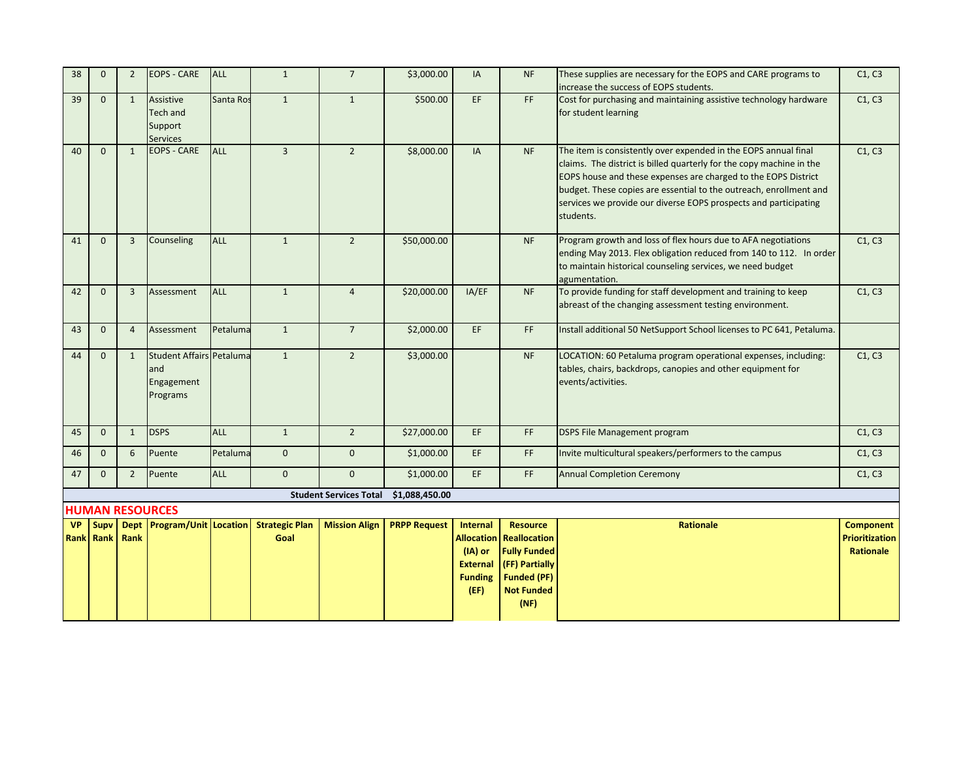| 38                            | $\Omega$     | $\overline{2}$ | <b>EOPS - CARE</b>                                               | ALL        | $\mathbf{1}$                  | $\overline{7}$                | \$3,000.00          | IA                                                                                                | <b>NF</b>                                                                                                                   | These supplies are necessary for the EOPS and CARE programs to<br>increase the success of EOPS students.                                                                                                                                                                                                                                                         |                  |
|-------------------------------|--------------|----------------|------------------------------------------------------------------|------------|-------------------------------|-------------------------------|---------------------|---------------------------------------------------------------------------------------------------|-----------------------------------------------------------------------------------------------------------------------------|------------------------------------------------------------------------------------------------------------------------------------------------------------------------------------------------------------------------------------------------------------------------------------------------------------------------------------------------------------------|------------------|
| 39                            | $\mathbf{0}$ | $\mathbf{1}$   | Assistive<br>Tech and<br>Support<br><b>Services</b>              | Santa Ros  | $\mathbf{1}$                  | $\mathbf{1}$                  | \$500.00            | EF                                                                                                | FF.                                                                                                                         | Cost for purchasing and maintaining assistive technology hardware<br>for student learning                                                                                                                                                                                                                                                                        | C1, C3           |
| 40                            | $\Omega$     | $\mathbf{1}$   | EOPS - CARE                                                      | <b>ALL</b> | $\overline{3}$                | $\overline{2}$                | \$8,000.00          | IA                                                                                                | <b>NF</b>                                                                                                                   | The item is consistently over expended in the EOPS annual final<br>claims. The district is billed quarterly for the copy machine in the<br>EOPS house and these expenses are charged to the EOPS District<br>budget. These copies are essential to the outreach, enrollment and<br>services we provide our diverse EOPS prospects and participating<br>students. | C1, C3           |
| 41                            | $\mathbf{0}$ | $\overline{3}$ | Counseling                                                       | <b>ALL</b> | $\mathbf{1}$                  | $\overline{2}$                | \$50,000.00         |                                                                                                   | <b>NF</b>                                                                                                                   | Program growth and loss of flex hours due to AFA negotiations<br>ending May 2013. Flex obligation reduced from 140 to 112. In order<br>to maintain historical counseling services, we need budget<br>agumentation.                                                                                                                                               |                  |
| 42                            | $\mathbf{0}$ | 3              | Assessment                                                       | <b>ALL</b> | $\mathbf{1}$                  | $\overline{4}$                | \$20,000.00         | IA/EF                                                                                             | <b>NF</b>                                                                                                                   | To provide funding for staff development and training to keep<br>abreast of the changing assessment testing environment.                                                                                                                                                                                                                                         |                  |
| 43                            | $\mathbf{0}$ | $\overline{4}$ | Assessment                                                       | Petaluma   | $\mathbf{1}$                  | $\overline{7}$                | \$2,000.00          | EF                                                                                                | FF                                                                                                                          | Install additional 50 NetSupport School licenses to PC 641, Petaluma.                                                                                                                                                                                                                                                                                            |                  |
| 44                            | $\mathbf{0}$ | $\mathbf{1}$   | <b>Student Affairs Petaluma</b><br>and<br>Engagement<br>Programs |            | $\mathbf{1}$                  | $\overline{2}$                | \$3,000.00          |                                                                                                   | <b>NF</b>                                                                                                                   | LOCATION: 60 Petaluma program operational expenses, including:<br>tables, chairs, backdrops, canopies and other equipment for<br>events/activities.                                                                                                                                                                                                              | C1, C3           |
| 45                            | $\mathbf{0}$ | $\mathbf{1}$   | <b>DSPS</b>                                                      | <b>ALL</b> | $\mathbf{1}$                  | $\overline{2}$                | \$27,000.00         | EF.                                                                                               | FF.                                                                                                                         | <b>DSPS File Management program</b>                                                                                                                                                                                                                                                                                                                              | C1, C3           |
| 46                            | $\mathbf 0$  | 6              | Puente                                                           | Petaluma   | $\mathbf 0$                   | $\mathbf 0$                   | \$1,000.00          | EF                                                                                                | FF.                                                                                                                         | Invite multicultural speakers/performers to the campus                                                                                                                                                                                                                                                                                                           | C1, C3           |
| 47                            | $\mathbf{0}$ | $2^{\circ}$    | Puente                                                           | <b>ALL</b> | $\mathbf{0}$                  | $\mathbf{0}$                  | \$1,000.00          | EF.                                                                                               | FF.                                                                                                                         | <b>Annual Completion Ceremony</b>                                                                                                                                                                                                                                                                                                                                | C1, C3           |
|                               |              |                |                                                                  |            |                               | <b>Student Services Total</b> | \$1,088,450.00      |                                                                                                   |                                                                                                                             |                                                                                                                                                                                                                                                                                                                                                                  |                  |
|                               |              |                | <b>HUMAN RESOURCES</b>                                           |            |                               |                               |                     |                                                                                                   |                                                                                                                             |                                                                                                                                                                                                                                                                                                                                                                  | <b>Component</b> |
| <b>VP</b><br><b>Rank Rank</b> | Supv         | Rank           | Dept Program/Unit Location                                       |            | <b>Strategic Plan</b><br>Goal | <b>Mission Align</b>          | <b>PRPP Request</b> | <b>Internal</b><br><b>Allocation</b><br>$(IA)$ or<br><b>External</b><br><b>Funding</b><br>$($ FF) | <b>Resource</b><br>Reallocation<br><b>Fully Funded</b><br>(FF) Partially<br><b>Funded (PF)</b><br><b>Not Funded</b><br>(NF) | Rationale                                                                                                                                                                                                                                                                                                                                                        |                  |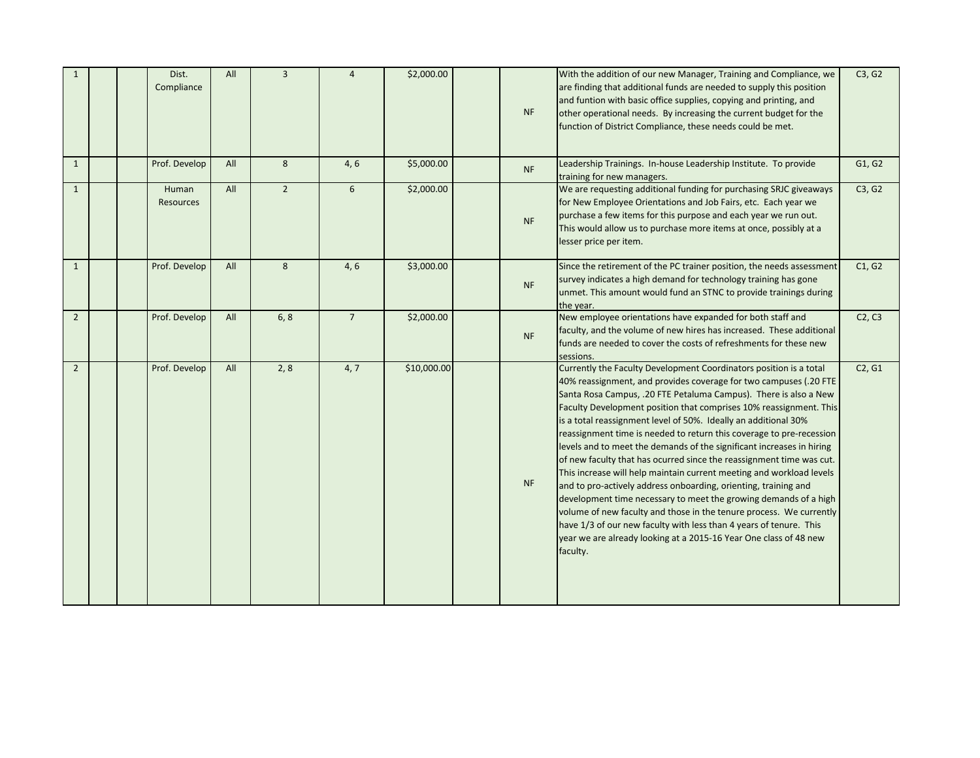| $\mathbf{1}$   |  | Dist.<br>Compliance | All | $\overline{3}$ | $\overline{4}$ | \$2,000.00  | <b>NF</b> | With the addition of our new Manager, Training and Compliance, we<br>are finding that additional funds are needed to supply this position<br>and funtion with basic office supplies, copying and printing, and<br>other operational needs. By increasing the current budget for the<br>function of District Compliance, these needs could be met.                                                                                                                                                                                                                                                                                                                                                                                                                                                                                                                                                                                                                                                                          | C3, G2 |
|----------------|--|---------------------|-----|----------------|----------------|-------------|-----------|----------------------------------------------------------------------------------------------------------------------------------------------------------------------------------------------------------------------------------------------------------------------------------------------------------------------------------------------------------------------------------------------------------------------------------------------------------------------------------------------------------------------------------------------------------------------------------------------------------------------------------------------------------------------------------------------------------------------------------------------------------------------------------------------------------------------------------------------------------------------------------------------------------------------------------------------------------------------------------------------------------------------------|--------|
| $\mathbf{1}$   |  | Prof. Develop       | All | 8              | 4, 6           | \$5,000.00  | <b>NF</b> | Leadership Trainings. In-house Leadership Institute. To provide<br>training for new managers.                                                                                                                                                                                                                                                                                                                                                                                                                                                                                                                                                                                                                                                                                                                                                                                                                                                                                                                              | G1, G2 |
| $\mathbf{1}$   |  | Human<br>Resources  | All | $\overline{2}$ | 6              | \$2,000.00  | <b>NF</b> | We are requesting additional funding for purchasing SRJC giveaways<br>for New Employee Orientations and Job Fairs, etc. Each year we<br>purchase a few items for this purpose and each year we run out.<br>This would allow us to purchase more items at once, possibly at a<br>lesser price per item.                                                                                                                                                                                                                                                                                                                                                                                                                                                                                                                                                                                                                                                                                                                     | C3, G2 |
| $\mathbf{1}$   |  | Prof. Develop       | All | 8              | 4, 6           | \$3,000.00  | <b>NF</b> | Since the retirement of the PC trainer position, the needs assessment<br>survey indicates a high demand for technology training has gone<br>unmet. This amount would fund an STNC to provide trainings during<br>the year.                                                                                                                                                                                                                                                                                                                                                                                                                                                                                                                                                                                                                                                                                                                                                                                                 | C1, G2 |
| $\overline{2}$ |  | Prof. Develop       | All | 6, 8           | $\overline{7}$ | \$2,000.00  | <b>NF</b> | New employee orientations have expanded for both staff and<br>faculty, and the volume of new hires has increased. These additional<br>funds are needed to cover the costs of refreshments for these new<br>sessions.                                                                                                                                                                                                                                                                                                                                                                                                                                                                                                                                                                                                                                                                                                                                                                                                       | C2, C3 |
| $\overline{2}$ |  | Prof. Develop       | All | 2, 8           | 4, 7           | \$10,000.00 | <b>NF</b> | Currently the Faculty Development Coordinators position is a total<br>40% reassignment, and provides coverage for two campuses (.20 FTE<br>Santa Rosa Campus, .20 FTE Petaluma Campus). There is also a New<br>Faculty Development position that comprises 10% reassignment. This<br>is a total reassignment level of 50%. Ideally an additional 30%<br>reassignment time is needed to return this coverage to pre-recession<br>levels and to meet the demands of the significant increases in hiring<br>of new faculty that has ocurred since the reassignment time was cut.<br>This increase will help maintain current meeting and workload levels<br>and to pro-actively address onboarding, orienting, training and<br>development time necessary to meet the growing demands of a high<br>volume of new faculty and those in the tenure process. We currently<br>have 1/3 of our new faculty with less than 4 years of tenure. This<br>year we are already looking at a 2015-16 Year One class of 48 new<br>faculty. | C2, G1 |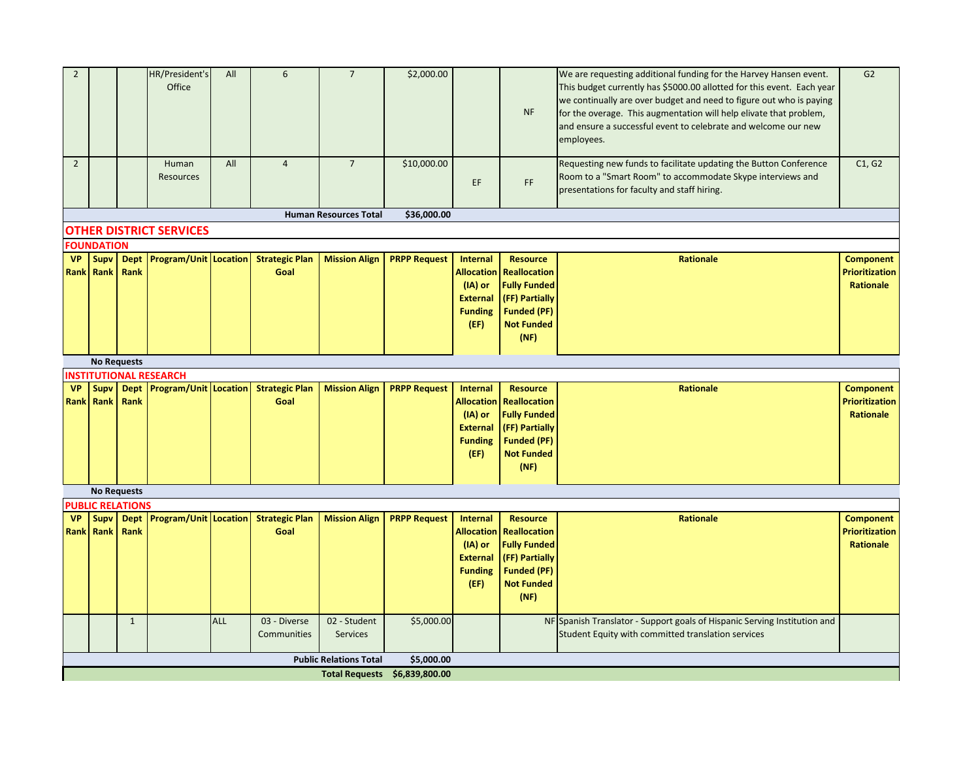| $\overline{2}$ |                                 |                         | HR/President's<br>Office       | All        | 6                                         | $\overline{7}$                | \$2,000.00                    |                                      |                                        | We are requesting additional funding for the Harvey Hansen event.<br>This budget currently has \$5000.00 allotted for this event. Each year | G2                                 |
|----------------|---------------------------------|-------------------------|--------------------------------|------------|-------------------------------------------|-------------------------------|-------------------------------|--------------------------------------|----------------------------------------|---------------------------------------------------------------------------------------------------------------------------------------------|------------------------------------|
|                |                                 |                         |                                |            |                                           |                               |                               |                                      |                                        | we continually are over budget and need to figure out who is paying                                                                         |                                    |
|                |                                 |                         |                                |            |                                           |                               |                               |                                      | <b>NF</b>                              | for the overage. This augmentation will help elivate that problem,                                                                          |                                    |
|                |                                 |                         |                                |            |                                           |                               |                               |                                      |                                        | and ensure a successful event to celebrate and welcome our new<br>employees.                                                                |                                    |
|                |                                 |                         |                                |            |                                           |                               |                               |                                      |                                        |                                                                                                                                             |                                    |
| $\overline{2}$ |                                 |                         | Human                          | All        | $\overline{4}$                            | $\overline{7}$                | \$10,000.00                   |                                      |                                        | Requesting new funds to facilitate updating the Button Conference                                                                           | C1, G2                             |
|                |                                 |                         | Resources                      |            |                                           |                               |                               | EF                                   | FF                                     | Room to a "Smart Room" to accommodate Skype interviews and                                                                                  |                                    |
|                |                                 |                         |                                |            |                                           |                               |                               |                                      |                                        | presentations for faculty and staff hiring.                                                                                                 |                                    |
|                |                                 |                         |                                |            |                                           | <b>Human Resources Total</b>  | \$36,000.00                   |                                      |                                        |                                                                                                                                             |                                    |
|                |                                 |                         | <b>OTHER DISTRICT SERVICES</b> |            |                                           |                               |                               |                                      |                                        |                                                                                                                                             |                                    |
|                | <b>FOUNDATION</b>               |                         |                                |            |                                           |                               |                               |                                      |                                        |                                                                                                                                             |                                    |
| <b>VP</b>      | <b>Supv</b><br><b>Rank Rank</b> | Rank                    | Dept Program/Unit Location     |            | <b>Strategic Plan</b><br>Goal             | <b>Mission Align</b>          | <b>PRPP Request</b>           | <b>Internal</b><br><b>Allocation</b> | <b>Resource</b><br><b>Reallocation</b> | Rationale                                                                                                                                   | <b>Component</b><br>Prioritization |
|                |                                 |                         |                                |            |                                           |                               |                               | $(IA)$ or                            | <b>Fully Funded</b>                    |                                                                                                                                             | <b>Rationale</b>                   |
|                |                                 |                         |                                |            |                                           |                               |                               | <b>External</b>                      | (FF) Partially                         |                                                                                                                                             |                                    |
|                |                                 |                         |                                |            |                                           |                               |                               | <b>Funding</b>                       | <b>Funded (PF)</b>                     |                                                                                                                                             |                                    |
|                |                                 |                         |                                |            |                                           |                               |                               | (EF)                                 | <b>Not Funded</b>                      |                                                                                                                                             |                                    |
|                |                                 |                         |                                |            |                                           |                               |                               |                                      | (NF)                                   |                                                                                                                                             |                                    |
|                | <b>No Requests</b>              |                         |                                |            |                                           |                               |                               |                                      |                                        |                                                                                                                                             |                                    |
|                |                                 |                         | <b>INSTITUTIONAL RESEARCH</b>  |            |                                           |                               |                               |                                      |                                        |                                                                                                                                             |                                    |
| <b>VP</b>      | <b>Supv</b>                     |                         |                                |            | Dept Program/Unit Location Strategic Plan | <b>Mission Align</b>          | <b>PRPP Request</b>           | <b>Internal</b>                      | <b>Resource</b>                        | <b>Rationale</b>                                                                                                                            | <b>Component</b>                   |
|                | <b>Rank Rank</b>                | Rank                    |                                |            | Goal                                      |                               |                               | <b>Allocation</b>                    | <b>Reallocation</b>                    |                                                                                                                                             | <b>Prioritization</b>              |
|                |                                 |                         |                                |            |                                           |                               |                               | (IA) or<br><b>External</b>           | <b>Fully Funded</b><br>(FF) Partially  |                                                                                                                                             | <b>Rationale</b>                   |
|                |                                 |                         |                                |            |                                           |                               |                               | <b>Funding</b>                       | <b>Funded (PF)</b>                     |                                                                                                                                             |                                    |
|                |                                 |                         |                                |            |                                           |                               |                               | (EF)                                 | <b>Not Funded</b>                      |                                                                                                                                             |                                    |
|                |                                 |                         |                                |            |                                           |                               |                               |                                      | (NF)                                   |                                                                                                                                             |                                    |
|                |                                 |                         |                                |            |                                           |                               |                               |                                      |                                        |                                                                                                                                             |                                    |
|                | <b>No Requests</b>              | <b>PUBLIC RELATIONS</b> |                                |            |                                           |                               |                               |                                      |                                        |                                                                                                                                             |                                    |
| <b>VP</b>      | <b>Supv</b>                     |                         | Dept Program/Unit Location     |            | <b>Strategic Plan</b>                     | <b>Mission Align</b>          | <b>PRPP Request</b>           | Internal                             | <b>Resource</b>                        | <b>Rationale</b>                                                                                                                            | <b>Component</b>                   |
|                | <b>Rank Rank</b>                | Rank                    |                                |            | Goal                                      |                               |                               | <b>Allocation</b>                    | <b>Reallocation</b>                    |                                                                                                                                             | <b>Prioritization</b>              |
|                |                                 |                         |                                |            |                                           |                               |                               | (IA) or                              | <b>Fully Funded</b>                    |                                                                                                                                             | Rationale                          |
|                |                                 |                         |                                |            |                                           |                               |                               | <b>External</b>                      | (FF) Partially                         |                                                                                                                                             |                                    |
|                |                                 |                         |                                |            |                                           |                               |                               | <b>Funding</b>                       | <b>Funded (PF)</b>                     |                                                                                                                                             |                                    |
|                |                                 |                         |                                |            |                                           |                               |                               | (EF)                                 | <b>Not Funded</b><br>(NF)              |                                                                                                                                             |                                    |
|                |                                 |                         |                                |            |                                           |                               |                               |                                      |                                        |                                                                                                                                             |                                    |
|                |                                 | $\mathbf{1}$            |                                | <b>ALL</b> | 03 - Diverse                              | 02 - Student                  | \$5,000.00                    |                                      |                                        | NF Spanish Translator - Support goals of Hispanic Serving Institution and                                                                   |                                    |
|                |                                 |                         |                                |            | Communities                               | <b>Services</b>               |                               |                                      |                                        | Student Equity with committed translation services                                                                                          |                                    |
|                |                                 |                         |                                |            |                                           | <b>Public Relations Total</b> | \$5,000.00                    |                                      |                                        |                                                                                                                                             |                                    |
|                |                                 |                         |                                |            |                                           |                               | Total Requests \$6,839,800.00 |                                      |                                        |                                                                                                                                             |                                    |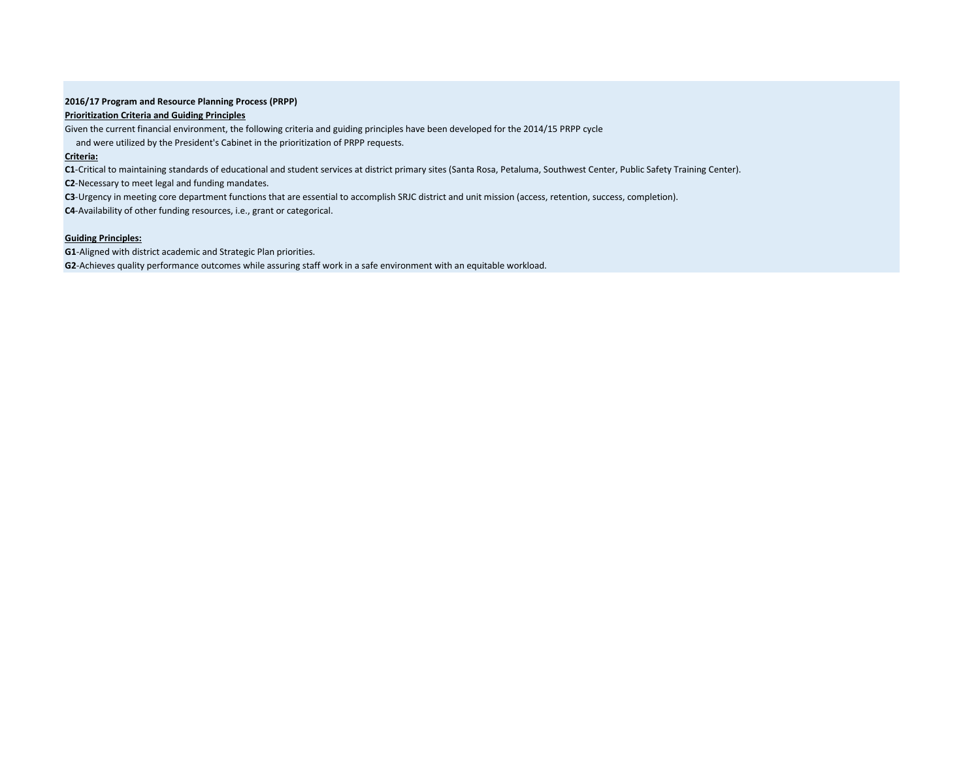### **2016/17 Program and Resource Planning Process (PRPP)**

### **Prioritization Criteria and Guiding Principles**

Given the current financial environment, the following criteria and guiding principles have been developed for the 2014/15 PRPP cycle

and were utilized by the President's Cabinet in the prioritization of PRPP requests.

## **Criteria:**

**C1**-Critical to maintaining standards of educational and student services at district primary sites (Santa Rosa, Petaluma, Southwest Center, Public Safety Training Center).

**C2**-Necessary to meet legal and funding mandates.

**C3**-Urgency in meeting core department functions that are essential to accomplish SRJC district and unit mission (access, retention, success, completion).

**C4**-Availability of other funding resources, i.e., grant or categorical.

## **Guiding Principles:**

**G1**-Aligned with district academic and Strategic Plan priorities.

**G2**-Achieves quality performance outcomes while assuring staff work in a safe environment with an equitable workload.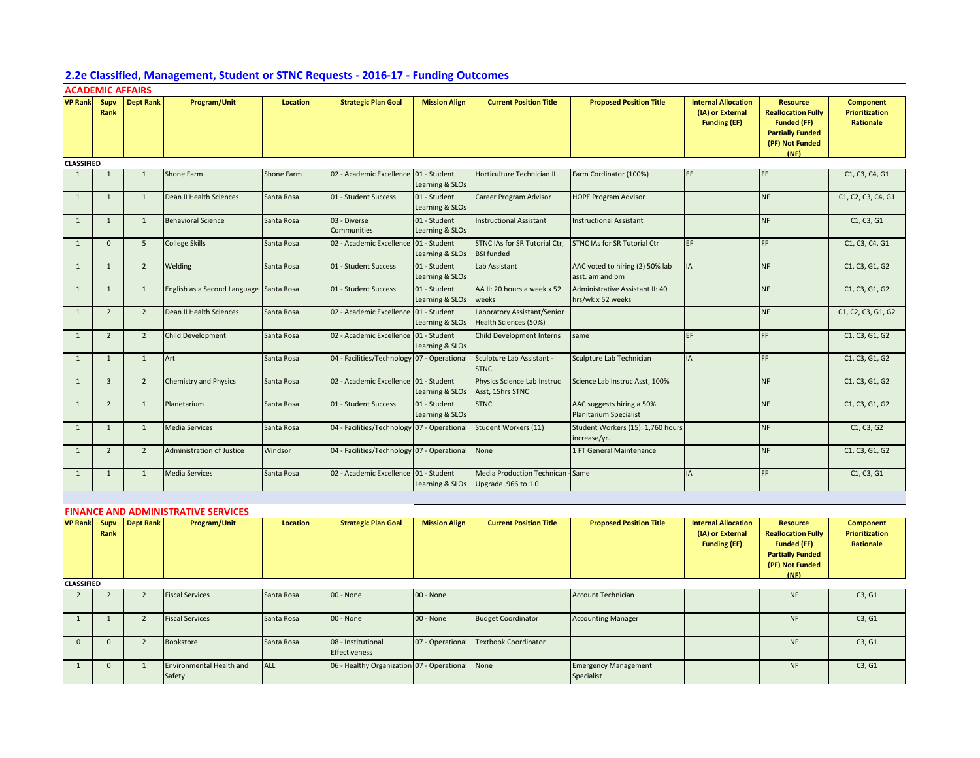# **2.2e Classified, Management, Student or STNC Requests - 2016-17 - Funding Outcomes**

|                   | <b>ACADEMIC AFFAIRS</b> |                  |                                            |                 |                                             |                                 |                                                          |                                                      |                                                                       |                                                                                                                          |                                                        |
|-------------------|-------------------------|------------------|--------------------------------------------|-----------------|---------------------------------------------|---------------------------------|----------------------------------------------------------|------------------------------------------------------|-----------------------------------------------------------------------|--------------------------------------------------------------------------------------------------------------------------|--------------------------------------------------------|
| <b>VP Rank</b>    | Supv<br>Rank            | <b>Dept Rank</b> | Program/Unit                               | <b>Location</b> | <b>Strategic Plan Goal</b>                  | <b>Mission Align</b>            | <b>Current Position Title</b>                            | <b>Proposed Position Title</b>                       | <b>Internal Allocation</b><br>(IA) or External<br><b>Funding (EF)</b> | <b>Resource</b><br><b>Reallocation Fully</b><br><b>Funded (FF)</b><br><b>Partially Funded</b><br>(PF) Not Funded<br>(NF) | Component<br>Prioritization<br>Rationale               |
| <b>CLASSIFIED</b> |                         |                  |                                            |                 |                                             |                                 |                                                          |                                                      |                                                                       |                                                                                                                          |                                                        |
| 1                 | $\mathbf{1}$            | $\mathbf{1}$     | Shone Farm                                 | Shone Farm      | 02 - Academic Excellence 01 - Student       | Learning & SLOs                 | Horticulture Technician II                               | Farm Cordinator (100%)                               | EF                                                                    | FF                                                                                                                       | C1, C3, C4, G1                                         |
| $\mathbf{1}$      | $\mathbf{1}$            | 1                | Dean II Health Sciences                    | Santa Rosa      | 01 - Student Success                        | 01 - Student<br>Learning & SLOs | Career Program Advisor                                   | <b>HOPE Program Advisor</b>                          |                                                                       | <b>NF</b>                                                                                                                | C1, C2, C3, C4, G1                                     |
| 1                 | $\mathbf{1}$            | 1                | <b>Behavioral Science</b>                  | Santa Rosa      | 03 - Diverse<br>Communities                 | 01 - Student<br>Learning & SLOs | Instructional Assistant                                  | <b>Instructional Assistant</b>                       |                                                                       | <b>NF</b>                                                                                                                | C1, C3, G1                                             |
| $\mathbf{1}$      | $\mathbf 0$             | 5                | <b>College Skills</b>                      | Santa Rosa      | 02 - Academic Excellence 01 - Student       | Learning & SLOs                 | STNC IAs for SR Tutorial Ctr,<br><b>BSI</b> funded       | STNC IAs for SR Tutorial Ctr                         | EF                                                                    | FF.                                                                                                                      | C1, C3, C4, G1                                         |
| $\mathbf{1}$      | $\mathbf{1}$            | $\overline{2}$   | Welding                                    | Santa Rosa      | 01 - Student Success                        | 01 - Student<br>Learning & SLOs | Lab Assistant                                            | AAC voted to hiring (2) 50% lab<br>asst. am and pm   | IA                                                                    | <b>NF</b>                                                                                                                | C1, C3, G1, G2                                         |
| $\mathbf{1}$      | $\mathbf{1}$            | $\mathbf{1}$     | English as a Second Language               | Santa Rosa      | 01 - Student Success                        | 01 - Student<br>Learning & SLOs | AA II: 20 hours a week x 52<br>weeks                     | Administrative Assistant II: 40<br>hrs/wk x 52 weeks |                                                                       | <b>NF</b>                                                                                                                | C1, C3, G1, G2                                         |
| $1\,$             | $\overline{2}$          | $\overline{2}$   | Dean II Health Sciences                    | Santa Rosa      | 02 - Academic Excellence 01 - Student       | Learning & SLOs                 | Laboratory Assistant/Senior<br>Health Sciences (50%)     |                                                      |                                                                       | <b>NF</b>                                                                                                                | C1, C2, C3, G1, G2                                     |
| $\mathbf{1}$      | $\overline{2}$          | $\overline{2}$   | Child Development                          | Santa Rosa      | 02 - Academic Excellence 01 - Student       | Learning & SLOs                 | Child Development Interns                                | same                                                 | EF                                                                    | FF.                                                                                                                      | C1, C3, G1, G2                                         |
| 1                 | $\mathbf{1}$            | $\mathbf{1}$     | Art                                        | Santa Rosa      | 04 - Facilities/Technology 07 - Operational |                                 | Sculpture Lab Assistant -<br><b>STNC</b>                 | Sculpture Lab Technician                             | <b>IA</b>                                                             | FF.                                                                                                                      | C1, C3, G1, G2                                         |
| $\mathbf{1}$      | $\overline{3}$          | $\overline{2}$   | <b>Chemistry and Physics</b>               | Santa Rosa      | 02 - Academic Excellence 01 - Student       | Learning & SLOs                 | Physics Science Lab Instruc<br>Asst, 15hrs STNC          | Science Lab Instruc Asst, 100%                       |                                                                       | <b>NF</b>                                                                                                                | C1, C3, G1, G2                                         |
| $\mathbf{1}$      | $\overline{2}$          | $\mathbf{1}$     | Planetarium                                | Santa Rosa      | 01 - Student Success                        | 01 - Student<br>Learning & SLOs | <b>STNC</b>                                              | AAC suggests hiring a 50%<br>Planitarium Specialist  |                                                                       | <b>NF</b>                                                                                                                | C1, C3, G1, G2                                         |
| 1                 | $\mathbf{1}$            | $\mathbf{1}$     | <b>Media Services</b>                      | Santa Rosa      | 04 - Facilities/Technology 07 - Operational |                                 | Student Workers (11)                                     | Student Workers (15). 1,760 hours<br>increase/yr.    |                                                                       | <b>NF</b>                                                                                                                | C1, C3, G2                                             |
| $1\,$             | $\overline{2}$          | $\overline{2}$   | Administration of Justice                  | Windsor         | 04 - Facilities/Technology 07 - Operational |                                 | None                                                     | 1 FT General Maintenance                             |                                                                       | <b>NF</b>                                                                                                                | C1, C3, G1, G2                                         |
| 1                 | $\mathbf{1}$            | $\mathbf{1}$     | <b>Media Services</b>                      | Santa Rosa      | 02 - Academic Excellence 01 - Student       | Learning & SLOs                 | Media Production Technican - Same<br>Upgrade .966 to 1.0 |                                                      | <b>IA</b>                                                             | FF.                                                                                                                      | C1, C3, G1                                             |
|                   |                         |                  |                                            |                 |                                             |                                 |                                                          |                                                      |                                                                       |                                                                                                                          |                                                        |
|                   |                         |                  | <b>FINANCE AND ADMINISTRATIVE SERVICES</b> |                 |                                             |                                 |                                                          |                                                      |                                                                       |                                                                                                                          |                                                        |
| <b>VP Rank</b>    | Supv<br>Rank            | <b>Dept Rank</b> | Program/Unit                               | <b>Location</b> | <b>Strategic Plan Goal</b>                  | <b>Mission Align</b>            | <b>Current Position Title</b>                            | <b>Proposed Position Title</b>                       | <b>Internal Allocation</b><br>(IA) or External<br><b>Funding (EF)</b> | <b>Resource</b><br><b>Reallocation Fully</b><br><b>Funded (FF)</b><br><b>Partially Funded</b><br>(PF) Not Funded<br>(NF) | <b>Component</b><br><b>Prioritization</b><br>Rationale |
| <b>CLASSIFIED</b> |                         |                  |                                            |                 |                                             |                                 |                                                          |                                                      |                                                                       |                                                                                                                          |                                                        |
| $\overline{2}$    | $\overline{2}$          | $\overline{2}$   | <b>Fiscal Services</b>                     | Santa Rosa      | 00 - None                                   | 00 - None                       |                                                          | <b>Account Technician</b>                            |                                                                       | <b>NF</b>                                                                                                                | C3, G1                                                 |
| 1                 | $\mathbf{1}$            | $\overline{2}$   | <b>Fiscal Services</b>                     | Santa Rosa      | 00 - None                                   | 00 - None                       | <b>Budget Coordinator</b>                                | <b>Accounting Manager</b>                            |                                                                       | <b>NF</b>                                                                                                                | C3, G1                                                 |
| $\mathbf 0$       | $\mathbf{0}$            | $\overline{2}$   | Bookstore                                  | Santa Rosa      | 08 - Institutional<br>Effectiveness         | 07 - Operational                | <b>Textbook Coordinator</b>                              |                                                      |                                                                       | <b>NF</b>                                                                                                                | C3, G1                                                 |
| 1                 | $\mathbf{0}$            | $\mathbf{1}$     | Environmental Health and<br>Safety         | <b>ALL</b>      | 06 - Healthy Organization 07 - Operational  |                                 | None                                                     | <b>Emergency Management</b><br>Specialist            |                                                                       | <b>NF</b>                                                                                                                | C3, G1                                                 |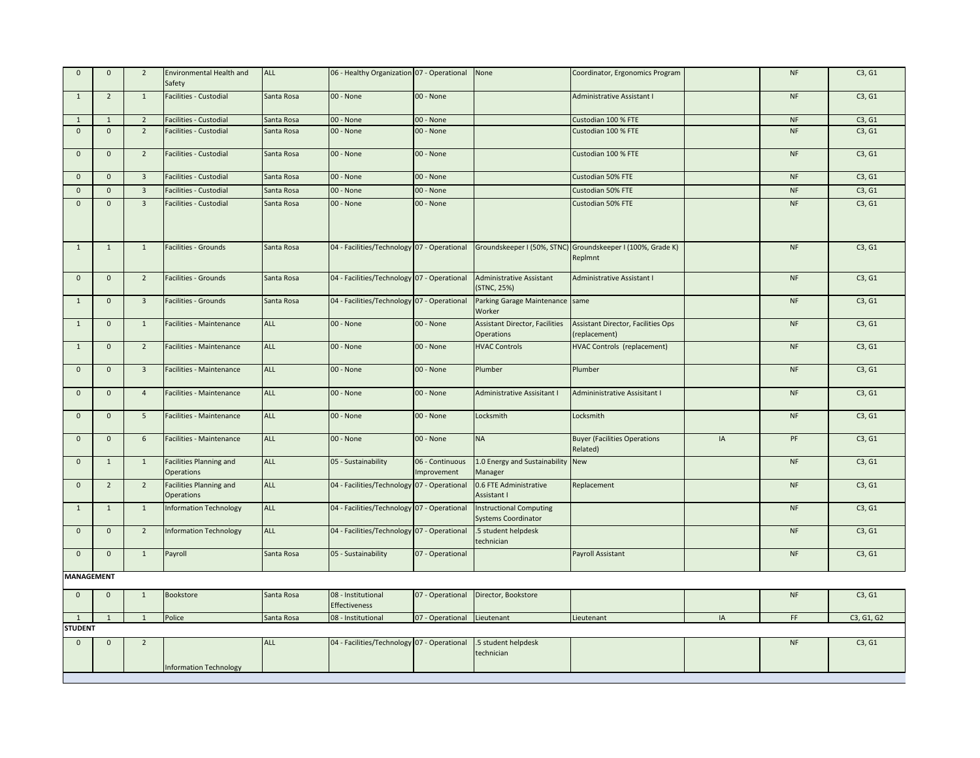| $\mathbf 0$       | $\mathbf 0$    | $\overline{2}$          | <b>Environmental Health and</b><br>Safety           | <b>ALL</b> | 06 - Healthy Organization 07 - Operational  |                                | None                                                         | Coordinator, Ergonomics Program                                        |    | NF        | C3, G1 |
|-------------------|----------------|-------------------------|-----------------------------------------------------|------------|---------------------------------------------|--------------------------------|--------------------------------------------------------------|------------------------------------------------------------------------|----|-----------|--------|
| $\mathbf{1}$      | $\overline{2}$ | $\overline{1}$          | Facilities - Custodial                              | Santa Rosa | 00 - None                                   | 00 - None                      |                                                              | Administrative Assistant I                                             |    | NF        | C3, G1 |
| 1                 | 1              | $\overline{2}$          | Facilities - Custodial                              | Santa Rosa | 00 - None                                   | 00 - None                      |                                                              | Custodian 100 % FTE                                                    |    | <b>NF</b> | C3, G1 |
| $\mathbf 0$       | $\mathbf 0$    | $\overline{2}$          | Facilities - Custodial                              | Santa Rosa | 00 - None                                   | 00 - None                      |                                                              | Custodian 100 % FTE                                                    |    | <b>NF</b> | C3, G1 |
| $\mathbf 0$       | $\mathbf 0$    | $\overline{2}$          | Facilities - Custodial                              | Santa Rosa | 00 - None                                   | 00 - None                      |                                                              | Custodian 100 % FTE                                                    |    | $\sf{NF}$ | C3, G1 |
| $\mathbf 0$       | $\mathbf{0}$   | $\overline{\mathbf{3}}$ | Facilities - Custodial                              | Santa Rosa | 00 - None                                   | 00 - None                      |                                                              | Custodian 50% FTE                                                      |    | NF        | C3, G1 |
| $\mathbf{0}$      | $\mathbf 0$    | $\overline{3}$          | Facilities - Custodial                              | Santa Rosa | 00 - None                                   | 00 - None                      |                                                              | <b>Custodian 50% FTE</b>                                               |    | NF        | C3, G1 |
| $\Omega$          | $\mathbf 0$    | $\overline{3}$          | Facilities - Custodial                              | Santa Rosa | 00 - None                                   | 00 - None                      |                                                              | Custodian 50% FTE                                                      |    | <b>NF</b> | C3, G1 |
| $\mathbf{1}$      | $\mathbf{1}$   | $\overline{1}$          | Facilities - Grounds                                | Santa Rosa | 04 - Facilities/Technology 07 - Operational |                                |                                                              | Groundskeeper I (50%, STNC) Groundskeeper I (100%, Grade K)<br>Replmnt |    | NF        | C3, G1 |
| $\mathbf 0$       | $\mathbf 0$    | $\overline{2}$          | <b>Facilities - Grounds</b>                         | Santa Rosa | 04 - Facilities/Technology 07 - Operational |                                | <b>Administrative Assistant</b><br>(STNC, 25%)               | Administrative Assistant I                                             |    | NF        | C3, G1 |
| $\mathbf{1}$      | $\mathbf 0$    | $\overline{\mathbf{3}}$ | Facilities - Grounds                                | Santa Rosa | 04 - Facilities/Technology 07 - Operational |                                | Parking Garage Maintenance same<br>Worker                    |                                                                        |    | NF        | C3, G1 |
| $\mathbf{1}$      | $\mathbf 0$    | 1                       | Facilities - Maintenance                            | <b>ALL</b> | 00 - None                                   | 00 - None                      | <b>Assistant Director, Facilities</b><br><b>Operations</b>   | Assistant Director, Facilities Ops<br>(replacement)                    |    | NF        | C3, G1 |
| 1                 | $\mathbf{0}$   | $\overline{2}$          | Facilities - Maintenance                            | ALL        | 00 - None                                   | 00 - None                      | <b>HVAC Controls</b>                                         | HVAC Controls (replacement)                                            |    | <b>NF</b> | C3, G1 |
| $\mathbf 0$       | $\mathbf{0}$   | $\overline{\mathbf{3}}$ | Facilities - Maintenance                            | <b>ALL</b> | 00 - None                                   | 00 - None                      | Plumber                                                      | Plumber                                                                |    | <b>NF</b> | C3, G1 |
| $\mathbf 0$       | $\mathbf 0$    | $\overline{4}$          | Facilities - Maintenance                            | <b>ALL</b> | 00 - None                                   | 00 - None                      | <b>Administrative Assisitant I</b>                           | Admininistrative Assisitant I                                          |    | <b>NF</b> | C3, G1 |
| $\mathbf{0}$      | $\mathbf{0}$   | 5                       | Facilities - Maintenance                            | <b>ALL</b> | 00 - None                                   | 00 - None                      | Locksmith                                                    | Locksmith                                                              |    | <b>NF</b> | C3, G1 |
| $\mathbf{0}$      | $\mathbf 0$    | 6                       | Facilities - Maintenance                            | <b>ALL</b> | 00 - None                                   | 00 - None                      | <b>NA</b>                                                    | <b>Buyer (Facilities Operations</b><br>Related)                        | IA | PF        | C3, G1 |
| $\mathbf 0$       | $\mathbf{1}$   | $\mathbf{1}$            | <b>Facilities Planning and</b><br><b>Operations</b> | ALL        | 05 - Sustainability                         | 06 - Continuous<br>Improvement | 1.0 Energy and Sustainability New<br>Manager                 |                                                                        |    | <b>NF</b> | C3, G1 |
| $\mathbf{0}$      | $\overline{2}$ | $\overline{2}$          | <b>Facilities Planning and</b><br><b>Operations</b> | <b>ALL</b> | 04 - Facilities/Technology 07 - Operational |                                | 0.6 FTE Administrative<br>Assistant I                        | Replacement                                                            |    | <b>NF</b> | C3, G1 |
| 1                 | $\mathbf{1}$   | $\overline{1}$          | <b>Information Technology</b>                       | <b>ALL</b> | 04 - Facilities/Technology 07 - Operational |                                | <b>Instructional Computing</b><br><b>Systems Coordinator</b> |                                                                        |    | NF        | C3, G1 |
| $\mathbf{0}$      | $\mathbf 0$    | $\overline{2}$          | <b>Information Technology</b>                       | <b>ALL</b> | 04 - Facilities/Technology 07 - Operational |                                | .5 student helpdesk<br>technician                            |                                                                        |    | <b>NF</b> | C3, G1 |
| $\mathbf 0$       | $\mathbf{0}$   | $\mathbf{1}$            | Payroll                                             | Santa Rosa | 05 - Sustainability                         | 07 - Operational               |                                                              | Payroll Assistant                                                      |    | NF        | C3, G1 |
| <b>MANAGEMENT</b> |                |                         |                                                     |            |                                             |                                |                                                              |                                                                        |    |           |        |
| $\mathbf 0$       | $\mathbf 0$    | $\mathbf{1}$            | Bookstore                                           | Santa Rosa | 08 - Institutional                          |                                | 07 - Operational Director, Bookstore                         |                                                                        |    | $\sf{NF}$ | C3, G1 |

|                |  | Police | Santa Rosa | $ 08 -$<br>Institutional | 07 - Operationa | Lieutenant | Lieutenant |  | $\sim$ $\sim$<br>, GI, GZ |
|----------------|--|--------|------------|--------------------------|-----------------|------------|------------|--|---------------------------|
| <b>STUDENT</b> |  |        |            |                          |                 |            |            |  |                           |

| . |  |                               |            |                                                                |            |  |            |  |
|---|--|-------------------------------|------------|----------------------------------------------------------------|------------|--|------------|--|
|   |  |                               | <b>ALL</b> | 04 - Facilities/Technology 07 - Operational 5 student helpdesk |            |  | <b>INF</b> |  |
|   |  |                               |            |                                                                | technician |  |            |  |
|   |  | <b>Information Technology</b> |            |                                                                |            |  |            |  |
|   |  |                               |            |                                                                |            |  |            |  |

Effectiveness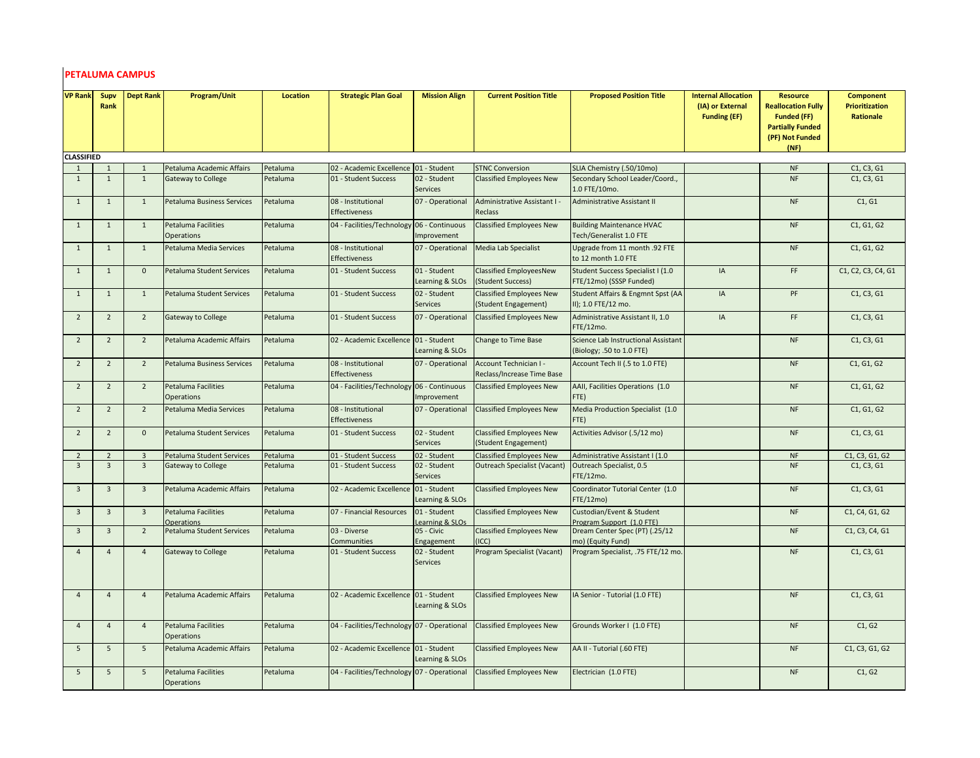# **PETALUMA CAMPUS**

| <b>VP Rank</b>    | Supv<br>Rank   | <b>Dept Rank</b>        | Program/Unit                                    | <b>Location</b> | <b>Strategic Plan Goal</b>                  | <b>Mission Align</b>            | <b>Current Position Title</b>                           | <b>Proposed Position Title</b>                                   | <b>Internal Allocation</b><br>(IA) or External<br><b>Funding (EF)</b> | <b>Resource</b><br><b>Reallocation Fully</b><br><b>Funded (FF)</b><br><b>Partially Funded</b><br>(PF) Not Funded<br>(NF) | <b>Component</b><br>Prioritization<br>Rationale |
|-------------------|----------------|-------------------------|-------------------------------------------------|-----------------|---------------------------------------------|---------------------------------|---------------------------------------------------------|------------------------------------------------------------------|-----------------------------------------------------------------------|--------------------------------------------------------------------------------------------------------------------------|-------------------------------------------------|
| <b>CLASSIFIED</b> |                |                         |                                                 |                 |                                             |                                 |                                                         |                                                                  |                                                                       |                                                                                                                          |                                                 |
| $\mathbf{1}$      | $\mathbf{1}$   | $\mathbf{1}$            | Petaluma Academic Affairs                       | Petaluma        | 02 - Academic Excellence 01 - Student       |                                 | <b>STNC Conversion</b>                                  | SLIA Chemistry (.50/10mo)                                        |                                                                       | <b>NF</b>                                                                                                                | C1, C3, G1                                      |
| $\mathbf{1}$      | $\mathbf{1}$   | 1                       | <b>Gateway to College</b>                       | Petaluma        | 01 - Student Success                        | 02 - Student<br><b>Services</b> | <b>Classified Employees New</b>                         | Secondary School Leader/Coord.,<br>1.0 FTE/10mo.                 |                                                                       | <b>NF</b>                                                                                                                | C1, C3, G1                                      |
| 1                 | $\mathbf{1}$   | 1                       | Petaluma Business Services                      | Petaluma        | 08 - Institutional<br><b>Effectiveness</b>  | 07 - Operational                | Administrative Assistant I -<br>Reclass                 | <b>Administrative Assistant II</b>                               |                                                                       | <b>NF</b>                                                                                                                | C1, G1                                          |
| $\mathbf{1}$      | $\mathbf{1}$   | 1                       | Petaluma Facilities<br><b>Operations</b>        | Petaluma        | 04 - Facilities/Technology 06 - Continuous  | Improvement                     | Classified Employees New                                | <b>Building Maintenance HVAC</b><br>Tech/Generalist 1.0 FTE      |                                                                       | <b>NF</b>                                                                                                                | C1, G1, G2                                      |
| $\mathbf{1}$      | $\mathbf{1}$   | $\mathbf{1}$            | Petaluma Media Services                         | Petaluma        | 08 - Institutional<br><b>Effectiveness</b>  | 07 - Operational                | Media Lab Specialist                                    | Upgrade from 11 month .92 FTE<br>to 12 month 1.0 FTE             |                                                                       | <b>NF</b>                                                                                                                | C1, G1, G2                                      |
| $\mathbf{1}$      | $\mathbf{1}$   | $\mathbf{0}$            | Petaluma Student Services                       | Petaluma        | 01 - Student Success                        | 01 - Student<br>Learning & SLOs | <b>Classified EmployeesNew</b><br>(Student Success)     | Student Success Specialist I (1.0<br>FTE/12mo) (SSSP Funded)     | IA                                                                    | FF                                                                                                                       | C1, C2, C3, C4, G1                              |
| $\mathbf{1}$      | $\mathbf{1}$   | 1                       | Petaluma Student Services                       | Petaluma        | 01 - Student Success                        | 02 - Student<br><b>Services</b> | <b>Classified Employees New</b><br>(Student Engagement) | Student Affairs & Engmnt Spst (AA<br>II); 1.0 FTE/12 mo.         | IA                                                                    | PF                                                                                                                       | C1, C3, G1                                      |
| $\overline{2}$    | $\overline{2}$ | 2                       | Gateway to College                              | Petaluma        | 01 - Student Success                        | 07 - Operational                | <b>Classified Employees New</b>                         | Administrative Assistant II, 1.0<br>FTE/12mo.                    | IA                                                                    | FF                                                                                                                       | C1, C3, G1                                      |
| $\overline{2}$    | $\overline{2}$ | $\overline{2}$          | Petaluma Academic Affairs                       | Petaluma        | 02 - Academic Excellence 01 - Student       | Learning & SLOs                 | Change to Time Base                                     | Science Lab Instructional Assistant<br>(Biology; .50 to 1.0 FTE) |                                                                       | <b>NF</b>                                                                                                                | C1, C3, G1                                      |
| $\overline{2}$    | $\overline{2}$ | 2                       | <b>Petaluma Business Services</b>               | Petaluma        | 08 - Institutional<br>Effectiveness         | 07 - Operational                | Account Technician I -<br>Reclass/Increase Time Base    | Account Tech II (.5 to 1.0 FTE)                                  |                                                                       | <b>NF</b>                                                                                                                | C1, G1, G2                                      |
| $\overline{2}$    | $\overline{2}$ | $\overline{2}$          | <b>Petaluma Facilities</b><br>Operations        | Petaluma        | 04 - Facilities/Technology 06 - Continuous  | Improvement                     | <b>Classified Employees New</b>                         | AAII, Facilities Operations (1.0<br>FTE)                         |                                                                       | <b>NF</b>                                                                                                                | C1, G1, G2                                      |
| $\overline{2}$    | $\overline{2}$ | $\overline{2}$          | Petaluma Media Services                         | Petaluma        | 08 - Institutional<br><b>Effectiveness</b>  | 07 - Operational                | <b>Classified Employees New</b>                         | Media Production Specialist (1.0<br>FTE)                         |                                                                       | <b>NF</b>                                                                                                                | C1, G1, G2                                      |
| $\overline{2}$    | $\overline{2}$ | $\mathbf{0}$            | Petaluma Student Services                       | Petaluma        | 01 - Student Success                        | 02 - Student<br><b>Services</b> | <b>Classified Employees New</b><br>(Student Engagement) | Activities Advisor (.5/12 mo)                                    |                                                                       | <b>NF</b>                                                                                                                | C1, C3, G1                                      |
| $\overline{2}$    | $\overline{2}$ | $\overline{\mathbf{3}}$ | Petaluma Student Services                       | Petaluma        | 01 - Student Success                        | 02 - Student                    | <b>Classified Employees New</b>                         | Administrative Assistant I (1.0                                  |                                                                       | <b>NF</b>                                                                                                                | C1, C3, G1, G2                                  |
| $\overline{3}$    | $\overline{3}$ | $\overline{3}$          | Gateway to College                              | Petaluma        | 01 - Student Success                        | 02 - Student<br><b>Services</b> | <b>Outreach Specialist (Vacant)</b>                     | Outreach Specialist, 0.5<br>FTE/12mo.                            |                                                                       | <b>NF</b>                                                                                                                | C1, C3, G1                                      |
| $\overline{3}$    | $\overline{3}$ | $\overline{3}$          | Petaluma Academic Affairs                       | Petaluma        | 02 - Academic Excellence 01 - Student       | Learning & SLOs                 | Classified Employees New                                | Coordinator Tutorial Center (1.0<br>FTE/12mo)                    |                                                                       | <b>NF</b>                                                                                                                | C1, C3, G1                                      |
| $\overline{3}$    | $\overline{3}$ | $\overline{\mathbf{3}}$ | Petaluma Facilities<br><b>Operations</b>        | Petaluma        | 07 - Financial Resources                    | 01 - Student<br>Learning & SLOs | <b>Classified Employees New</b>                         | Custodian/Event & Student<br>Program Support (1.0 FTE)           |                                                                       | <b>NF</b>                                                                                                                | C1, C4, G1, G2                                  |
| $\overline{3}$    | $\overline{3}$ | $\overline{2}$          | Petaluma Student Services                       | Petaluma        | 03 - Diverse<br>Communities                 | 05 - Civic<br>Engagement        | <b>Classified Employees New</b><br>(ICC)                | Dream Center Spec (PT) (.25/12<br>mo) (Equity Fund)              |                                                                       | <b>NF</b>                                                                                                                | C1, C3, C4, G1                                  |
| $\overline{4}$    | $\overline{4}$ | $\overline{4}$          | Gateway to College                              | Petaluma        | 01 - Student Success                        | 02 - Student<br><b>Services</b> | Program Specialist (Vacant)                             | Program Specialist, .75 FTE/12 mo                                |                                                                       | NF                                                                                                                       | C1, C3, G1                                      |
| $\overline{4}$    | $\overline{4}$ | $\overline{4}$          | Petaluma Academic Affairs                       | Petaluma        | 02 - Academic Excellence 01 - Student       | Learning & SLOs                 | <b>Classified Employees New</b>                         | IA Senior - Tutorial (1.0 FTE)                                   |                                                                       | <b>NF</b>                                                                                                                | C1, C3, G1                                      |
| $\overline{4}$    | $\overline{4}$ | $\overline{4}$          | <b>Petaluma Facilities</b><br><b>Operations</b> | Petaluma        | 04 - Facilities/Technology 07 - Operational |                                 | <b>Classified Employees New</b>                         | Grounds Worker I (1.0 FTE)                                       |                                                                       | <b>NF</b>                                                                                                                | C1, G2                                          |
| 5                 | 5              | 5                       | Petaluma Academic Affairs                       | Petaluma        | 02 - Academic Excellence 01 - Student       | Learning & SLOs                 | <b>Classified Employees New</b>                         | AA II - Tutorial (.60 FTE)                                       |                                                                       | <b>NF</b>                                                                                                                | C1, C3, G1, G2                                  |
| 5                 | 5              | 5                       | Petaluma Facilities<br><b>Operations</b>        | Petaluma        | 04 - Facilities/Technology 07 - Operational |                                 | <b>Classified Employees New</b>                         | Electrician (1.0 FTE)                                            |                                                                       | <b>NF</b>                                                                                                                | C1, G2                                          |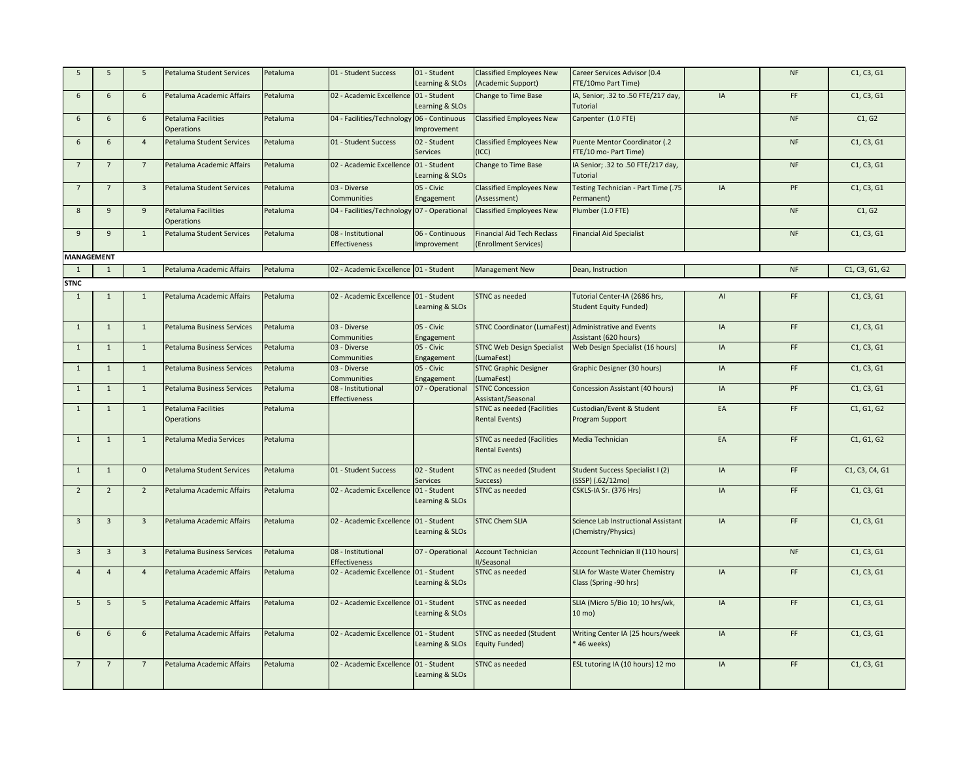| 5                 | $5\overline{5}$         | 5              | Petaluma Student Services                | Petaluma | 01 - Student Success                        | 01 - Student<br>Learning & SLOs | <b>Classified Employees New</b><br>(Academic Support)      | Career Services Advisor (0.4<br>FTE/10mo Part Time)            |    | NF        | C1, C3, G1     |
|-------------------|-------------------------|----------------|------------------------------------------|----------|---------------------------------------------|---------------------------------|------------------------------------------------------------|----------------------------------------------------------------|----|-----------|----------------|
| 6                 | 6                       | 6              | Petaluma Academic Affairs                | Petaluma | 02 - Academic Excellence 01 - Student       | Learning & SLOs                 | Change to Time Base                                        | IA, Senior; .32 to .50 FTE/217 day,<br>Tutorial                | IA | FF        | C1, C3, G1     |
| 6                 | $6\overline{6}$         | 6              | Petaluma Facilities<br><b>Operations</b> | Petaluma | 04 - Facilities/Technology 06 - Continuous  | Improvement                     | <b>Classified Employees New</b>                            | Carpenter (1.0 FTE)                                            |    | NF        | C1, G2         |
| 6                 | 6                       | $\overline{4}$ | Petaluma Student Services                | Petaluma | 01 - Student Success                        | 02 - Student<br>Services        | <b>Classified Employees New</b><br>(ICC)                   | Puente Mentor Coordinator (.2<br>FTE/10 mo- Part Time)         |    | <b>NF</b> | C1, C3, G1     |
| 7                 | $7^{\circ}$             | $\overline{7}$ | Petaluma Academic Affairs                | Petaluma | 02 - Academic Excellence 01 - Student       | Learning & SLOs                 | Change to Time Base                                        | IA Senior; .32 to .50 FTE/217 day,<br>Tutorial                 |    | <b>NF</b> | C1, C3, G1     |
| $7\overline{ }$   | $7\overline{ }$         | $\overline{3}$ | Petaluma Student Services                | Petaluma | 03 - Diverse<br>Communities                 | 05 - Civic<br>Engagement        | <b>Classified Employees New</b><br>(Assessment)            | Testing Technician - Part Time (.75<br>Permanent)              | IA | PF        | C1, C3, G1     |
| $8\phantom{1}$    | 9                       | $\overline{9}$ | <b>Petaluma Facilities</b><br>Operations | Petaluma | 04 - Facilities/Technology 07 - Operational |                                 | <b>Classified Employees New</b>                            | Plumber (1.0 FTE)                                              |    | NF        | C1, G2         |
| 9                 | 9                       | $\mathbf{1}$   | Petaluma Student Services                | Petaluma | 08 - Institutional<br>Effectiveness         | 06 - Continuous<br>mprovement   | <b>Financial Aid Tech Reclass</b><br>(Enrollment Services) | <b>Financial Aid Specialist</b>                                |    | <b>NF</b> | C1, C3, G1     |
| <b>MANAGEMENT</b> |                         |                |                                          |          |                                             |                                 |                                                            |                                                                |    |           |                |
| 1                 | $\mathbf{1}$            | $\mathbf{1}$   | Petaluma Academic Affairs                | Petaluma | 02 - Academic Excellence 01 - Student       |                                 | Management New                                             | Dean, Instruction                                              |    | NF        | C1, C3, G1, G2 |
| <b>STNC</b>       |                         |                |                                          |          |                                             |                                 |                                                            |                                                                |    |           |                |
| 1                 | $\mathbf{1}$            | $\mathbf{1}$   | Petaluma Academic Affairs                | Petaluma | 02 - Academic Excellence 01 - Student       | Learning & SLOs                 | STNC as needed                                             | Tutorial Center-IA (2686 hrs,<br><b>Student Equity Funded)</b> | AI | FF        | C1, C3, G1     |
| $\mathbf{1}$      | $\mathbf 1$             | $1\,$          | Petaluma Business Services               | Petaluma | 03 - Diverse<br>Communities                 | 05 - Civic<br>Engagement        | STNC Coordinator (LumaFest) Administrative and Events      | Assistant (620 hours)                                          | IA | FF        | C1, C3, G1     |
| $\mathbf{1}$      | $\mathbf{1}$            | $\mathbf{1}$   | Petaluma Business Services               | Petaluma | 03 - Diverse<br>Communities                 | 05 - Civic<br>Engagement        | <b>STNC Web Design Specialist</b><br>(LumaFest)            | Web Design Specialist (16 hours)                               | IA | FF        | C1, C3, G1     |
| $\mathbf 1$       | $\mathbf{1}$            | $1\,$          | Petaluma Business Services               | Petaluma | 03 - Diverse<br>Communities                 | 05 - Civic<br>Engagement        | <b>STNC Graphic Designer</b><br>(LumaFest)                 | Graphic Designer (30 hours)                                    | IA | FF        | C1, C3, G1     |
| $\mathbf{1}$      | $\mathbf{1}$            | 1              | Petaluma Business Services               | Petaluma | 08 - Institutional<br>Effectiveness         | 07 - Operational                | <b>STNC Concession</b><br>Assistant/Seasonal               | Concession Assistant (40 hours)                                | IA | PF        | C1, C3, G1     |
| $\mathbf{1}$      | $\mathbf{1}$            | $\mathbf{1}$   | Petaluma Facilities<br>Operations        | Petaluma |                                             |                                 | <b>STNC as needed (Facilities</b><br><b>Rental Events)</b> | Custodian/Event & Student<br>Program Support                   | EA | FF        | C1, G1, G2     |
| $\overline{1}$    | $\mathbf{1}$            | 1              | Petaluma Media Services                  | Petaluma |                                             |                                 | <b>STNC as needed (Facilities</b><br><b>Rental Events)</b> | Media Technician                                               | EA | FF        | C1, G1, G2     |
| $\mathbf{1}$      | $\mathbf{1}$            | $\mathbf 0$    | Petaluma Student Services                | Petaluma | 01 - Student Success                        | 02 - Student<br>Services        | STNC as needed (Student<br>Success)                        | Student Success Specialist I (2)<br>SSSP) (.62/12mo)           | IA | FF        | C1, C3, C4, G1 |
| $\overline{2}$    | $\overline{2}$          | $\overline{2}$ | Petaluma Academic Affairs                | Petaluma | 02 - Academic Excellence 01 - Student       | Learning & SLOs                 | STNC as needed                                             | CSKLS-IA Sr. (376 Hrs)                                         | IA | FF        | C1, C3, G1     |
| $\overline{3}$    | $\overline{\mathbf{3}}$ | $\overline{3}$ | Petaluma Academic Affairs                | Petaluma | 02 - Academic Excellence 01 - Student       | Learning & SLOs                 | <b>STNC Chem SLIA</b>                                      | Science Lab Instructional Assistant<br>(Chemistry/Physics)     | IA | FF        | C1, C3, G1     |
| $\overline{3}$    | $\overline{3}$          | $\overline{3}$ | <b>Petaluma Business Services</b>        | Petaluma | 08 - Institutional<br>Effectiveness         | 07 - Operational                | <b>Account Technician</b><br>II/Seasonal                   | Account Technician II (110 hours)                              |    | <b>NF</b> | C1, C3, G1     |
| $\overline{4}$    | $\overline{4}$          | $\overline{4}$ | Petaluma Academic Affairs                | Petaluma | 02 - Academic Excellence 01 - Student       | Learning & SLOs                 | STNC as needed                                             | SLIA for Waste Water Chemistry<br>Class (Spring -90 hrs)       | IA | FF        | C1, C3, G1     |
| 5                 | 5                       | 5              | Petaluma Academic Affairs                | Petaluma | 02 - Academic Excellence 01 - Student       | Learning & SLOs                 | STNC as needed                                             | SLIA (Micro 5/Bio 10; 10 hrs/wk,<br>$10 \text{ mo}$ )          | IA | FF.       | C1, C3, G1     |
| 6                 | 6                       | 6              | Petaluma Academic Affairs                | Petaluma | 02 - Academic Excellence 01 - Student       | Learning & SLOs                 | <b>STNC as needed (Student</b><br><b>Equity Funded)</b>    | Writing Center IA (25 hours/week<br>46 weeks)                  | IA | FF        | C1, C3, G1     |
| 7                 | $7^{\circ}$             | $\overline{7}$ | Petaluma Academic Affairs                | Petaluma | 02 - Academic Excellence 01 - Student       | Learning & SLOs                 | STNC as needed                                             | ESL tutoring IA (10 hours) 12 mo                               | IA | FF.       | C1, C3, G1     |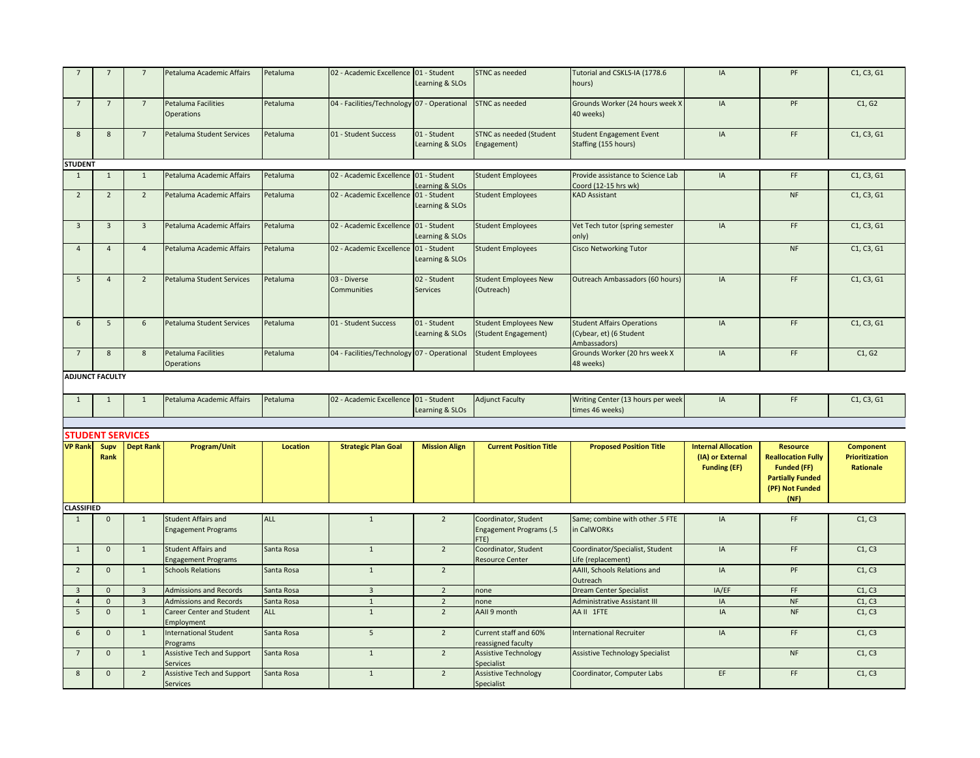|                                   | $7\overline{ }$                     | $7\overline{ }$         | Petaluma Academic Affairs                                            | Petaluma                 | 02 - Academic Excellence 01 - Student       | Learning & SLOs                  | STNC as needed                                                           | Tutorial and CSKLS-IA (1778.6<br>hours)                                      | IA                                                                    | PF                                                                                                               | C1, C3, G1                                             |
|-----------------------------------|-------------------------------------|-------------------------|----------------------------------------------------------------------|--------------------------|---------------------------------------------|----------------------------------|--------------------------------------------------------------------------|------------------------------------------------------------------------------|-----------------------------------------------------------------------|------------------------------------------------------------------------------------------------------------------|--------------------------------------------------------|
| $7\overline{ }$                   | $7\overline{ }$                     | $7\overline{ }$         | Petaluma Facilities<br><b>Operations</b>                             | Petaluma                 | 04 - Facilities/Technology 07 - Operational |                                  | <b>STNC</b> as needed                                                    | Grounds Worker (24 hours week X<br>40 weeks)                                 | IA                                                                    | PF                                                                                                               | C1, G2                                                 |
| 8                                 | 8                                   | $7^{\circ}$             | Petaluma Student Services                                            | Petaluma                 | 01 - Student Success                        | 01 - Student<br>Learning & SLOs  | STNC as needed (Student<br>Engagement)                                   | <b>Student Engagement Event</b><br>Staffing (155 hours)                      | IA                                                                    | FF                                                                                                               | C1, C3, G1                                             |
| <b>STUDENT</b>                    |                                     |                         |                                                                      |                          |                                             |                                  |                                                                          |                                                                              |                                                                       |                                                                                                                  |                                                        |
| 1                                 | $\mathbf{1}$                        | $\mathbf{1}$            | Petaluma Academic Affairs                                            | Petaluma                 | 02 - Academic Excellence 01 - Student       | Learning & SLOs                  | <b>Student Employees</b>                                                 | Provide assistance to Science Lab<br>Coord (12-15 hrs wk)                    | IA                                                                    | FF                                                                                                               | C1, C3, G1                                             |
| $\overline{2}$                    | $\overline{2}$                      | $\overline{2}$          | Petaluma Academic Affairs                                            | Petaluma                 | 02 - Academic Excellence 01 - Student       | Learning & SLOs                  | <b>Student Employees</b>                                                 | <b>KAD Assistant</b>                                                         |                                                                       | NF                                                                                                               | C1, C3, G1                                             |
| $\overline{3}$                    | $\overline{\mathbf{3}}$             | $\overline{\mathbf{3}}$ | Petaluma Academic Affairs                                            | Petaluma                 | 02 - Academic Excellence 01 - Student       | Learning & SLOs                  | <b>Student Employees</b>                                                 | Vet Tech tutor (spring semester<br>only)                                     | IA                                                                    | FF                                                                                                               | C1, C3, G1                                             |
| $\overline{4}$                    | $\overline{4}$                      | $\overline{4}$          | Petaluma Academic Affairs                                            | Petaluma                 | 02 - Academic Excellence 01 - Student       | Learning & SLOs                  | <b>Student Employees</b>                                                 | <b>Cisco Networking Tutor</b>                                                |                                                                       | <b>NF</b>                                                                                                        | C1, C3, G1                                             |
| 5                                 | $\overline{4}$                      | $\overline{2}$          | Petaluma Student Services                                            | Petaluma                 | 03 - Diverse<br>Communities                 | 02 - Student<br><b>Services</b>  | <b>Student Employees New</b><br>(Outreach)                               | Outreach Ambassadors (60 hours)                                              | IA                                                                    | FF                                                                                                               | C1, C3, G1                                             |
| 6                                 | $5\overline{5}$                     | $6\phantom{1}$          | Petaluma Student Services                                            | Petaluma                 | 01 - Student Success                        | 01 - Student<br>Learning & SLOs  | <b>Student Employees New</b><br>(Student Engagement)                     | <b>Student Affairs Operations</b><br>(Cybear, et) (6 Student<br>Ambassadors) | IA                                                                    | FF                                                                                                               | C1, C3, G1                                             |
| $7\overline{ }$                   | 8                                   | 8                       | Petaluma Facilities<br><b>Operations</b>                             | Petaluma                 | 04 - Facilities/Technology 07 - Operational |                                  | <b>Student Employees</b>                                                 | Grounds Worker (20 hrs week X<br>48 weeks)                                   | IA                                                                    | FF                                                                                                               | C1, G2                                                 |
|                                   | <b>ADJUNCT FACULTY</b>              |                         |                                                                      |                          |                                             |                                  |                                                                          |                                                                              |                                                                       |                                                                                                                  |                                                        |
|                                   |                                     |                         |                                                                      |                          |                                             |                                  |                                                                          |                                                                              |                                                                       |                                                                                                                  |                                                        |
|                                   |                                     |                         |                                                                      |                          |                                             |                                  |                                                                          |                                                                              |                                                                       |                                                                                                                  |                                                        |
| 1                                 | $\mathbf 1$                         | $\mathbf{1}$            | Petaluma Academic Affairs                                            | Petaluma                 | 02 - Academic Excellence 01 - Student       | Learning & SLOs                  | <b>Adjunct Faculty</b>                                                   | Writing Center (13 hours per week<br>times 46 weeks)                         | IA                                                                    | FF                                                                                                               | C1, C3, G1                                             |
|                                   |                                     |                         |                                                                      |                          |                                             |                                  |                                                                          |                                                                              |                                                                       |                                                                                                                  |                                                        |
|                                   | <b>STUDENT SERVICES</b>             |                         |                                                                      |                          |                                             |                                  |                                                                          |                                                                              |                                                                       |                                                                                                                  |                                                        |
| <b>VP Rank</b>                    | Supv<br>Rank                        | <b>Dept Rank</b>        | Program/Unit                                                         | <b>Location</b>          | <b>Strategic Plan Goal</b>                  | <b>Mission Align</b>             | <b>Current Position Title</b>                                            | <b>Proposed Position Title</b>                                               | <b>Internal Allocation</b><br>(IA) or External<br><b>Funding (EF)</b> | <b>Resource</b><br><b>Reallocation Fully</b><br><b>Funded (FF)</b><br><b>Partially Funded</b><br>(PF) Not Funded | <b>Component</b><br><b>Prioritization</b><br>Rationale |
|                                   |                                     |                         |                                                                      |                          |                                             |                                  |                                                                          |                                                                              |                                                                       | (NF)                                                                                                             |                                                        |
| <b>CLASSIFIED</b>                 |                                     |                         |                                                                      |                          |                                             |                                  |                                                                          |                                                                              |                                                                       |                                                                                                                  |                                                        |
| $\mathbf{1}$                      | $\mathbf 0$                         | $\mathbf{1}$            | <b>Student Affairs and</b><br><b>Engagement Programs</b>             | <b>ALL</b>               | $\mathbf{1}$                                | $\overline{2}$                   | Coordinator, Student<br><b>Engagement Programs (.5</b><br>FTE)           | Same; combine with other .5 FTE<br>in CalWORKs                               | IA                                                                    | FF                                                                                                               | C1, C3                                                 |
| $\mathbf{1}$                      | $\mathbf{0}$                        | $\mathbf{1}$            | <b>Student Affairs and</b><br><b>Engagement Programs</b>             | Santa Rosa               | $\mathbf{1}$                                | $\overline{2}$                   | Coordinator, Student<br><b>Resource Center</b>                           | Coordinator/Specialist, Student<br>Life (replacement)                        | IA                                                                    | FF                                                                                                               | C1, C3                                                 |
| $\overline{2}$                    | $\mathbf{0}$                        | 1                       | <b>Schools Relations</b>                                             | Santa Rosa               | $\mathbf{1}$                                | $\overline{2}$                   |                                                                          | AAIII, Schools Relations and<br>Outreach                                     | IA                                                                    | PF                                                                                                               | C1, C3                                                 |
| $\overline{\mathbf{3}}$           | $\mathbf{0}$                        | $\overline{3}$          | <b>Admissions and Records</b>                                        | Santa Rosa               | $\overline{\mathbf{3}}$                     | $\overline{2}$                   | none                                                                     | <b>Dream Center Specialist</b>                                               | IA/EF                                                                 | FF                                                                                                               | C1, C3                                                 |
| $\overline{4}$                    | $\pmb{0}$                           | $\overline{\mathbf{3}}$ | <b>Admissions and Records</b>                                        | Santa Rosa               | $\,1\,$                                     | $\overline{2}$                   | none                                                                     | <b>Administrative Assistant III</b>                                          | IA                                                                    | <b>NF</b>                                                                                                        | C1, C3                                                 |
| 5                                 | $\mathbf 0$                         | 1                       | Career Center and Student<br>Employment                              | <b>ALL</b>               | $\mathbf{1}$                                | $\overline{2}$                   | AAII 9 month                                                             | AA II 1FTE                                                                   | IA                                                                    | <b>NF</b>                                                                                                        | C1, C3                                                 |
| 6                                 | $\mathbf{0}$                        | $\mathbf{1}$            | <b>International Student</b><br>Programs                             | Santa Rosa               | $5\overline{5}$                             | $\overline{2}$                   | Current staff and 60%<br>reassigned faculty                              | <b>International Recruiter</b>                                               | IA                                                                    | FF                                                                                                               | C1, C3                                                 |
| $7\overline{ }$<br>$8\phantom{1}$ | $\mathsf{O}\xspace$<br>$\mathbf{0}$ | $\mathbf{1}$<br>2       | Assistive Tech and Support<br>Services<br>Assistive Tech and Support | Santa Rosa<br>Santa Rosa | $1\,$<br>$\mathbf{1}$                       | $\overline{2}$<br>$\overline{2}$ | <b>Assistive Technology</b><br>Specialist<br><b>Assistive Technology</b> | <b>Assistive Technology Specialist</b><br>Coordinator, Computer Labs         | EF                                                                    | $\sf{NF}$<br>FF.                                                                                                 | C1, C3<br>C1, C3                                       |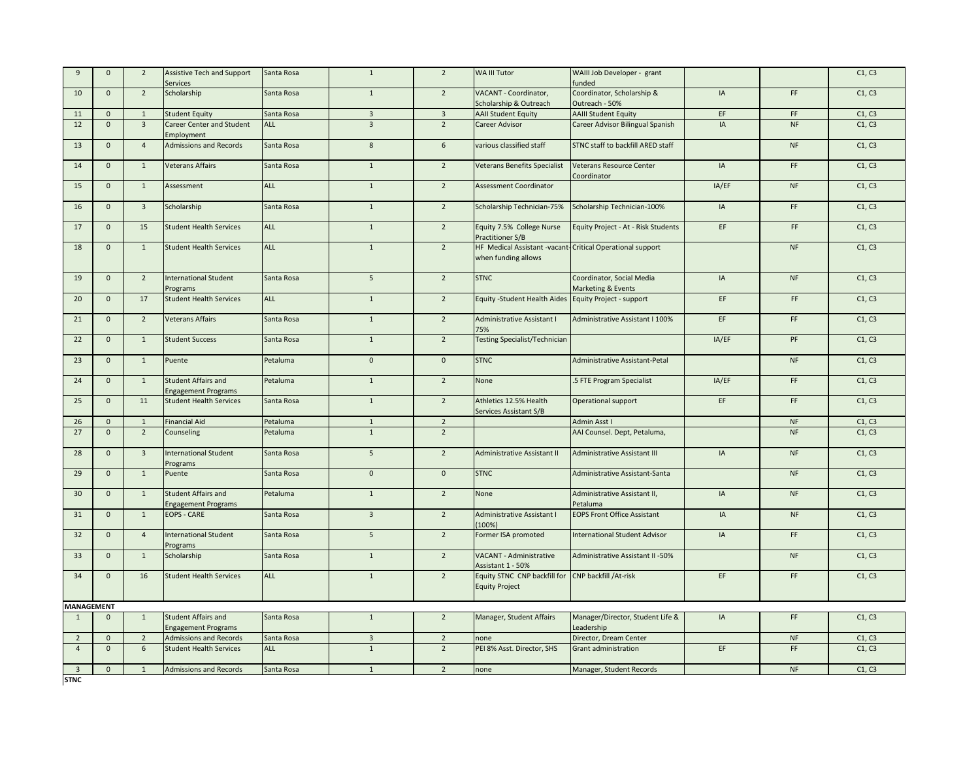| $\overline{9}$                | $\mathbf{0}$ | $\overline{2}$          | Assistive Tech and Support<br><b>Services</b>            | Santa Rosa | $1\,$                   | $\overline{2}$  | WA III Tutor                                                                 | WAIII Job Developer - grant<br>funded                     |       |           | C1, C3 |
|-------------------------------|--------------|-------------------------|----------------------------------------------------------|------------|-------------------------|-----------------|------------------------------------------------------------------------------|-----------------------------------------------------------|-------|-----------|--------|
| 10                            | $\mathbf{0}$ | $\overline{2}$          | Scholarship                                              | Santa Rosa | $\mathbf{1}$            | $\overline{2}$  | <b>VACANT - Coordinator,</b><br>Scholarship & Outreach                       | Coordinator, Scholarship &<br>Outreach - 50%              | IA    | FF        | C1, C3 |
| 11                            | $\mathbf{0}$ | 1                       | <b>Student Equity</b>                                    | Santa Rosa | $\overline{3}$          | $\overline{3}$  | <b>AAII Student Equity</b>                                                   | <b>AAIII Student Equity</b>                               | EF    | FF        | C1, C3 |
| 12                            | $\mathbf{0}$ | $\overline{3}$          | Career Center and Student<br>Employment                  | ALL        | $\overline{3}$          | $\overline{2}$  | Career Advisor                                                               | Career Advisor Bilingual Spanish                          | IA    | NF        | C1, C3 |
| 13                            | $\mathbf{0}$ | $\overline{4}$          | <b>Admissions and Records</b>                            | Santa Rosa | $\boldsymbol{8}$        | $6\overline{6}$ | various classified staff                                                     | STNC staff to backfill ARED staff                         |       | NF        | C1, C3 |
| 14                            | $\mathbf{0}$ | $\mathbf{1}$            | <b>Veterans Affairs</b>                                  | Santa Rosa | $\mathbf{1}$            | $\overline{2}$  | Veterans Benefits Specialist                                                 | Veterans Resource Center<br>Coordinator                   | IA    | FF        | C1, C3 |
| 15                            | $\mathbf 0$  | $\mathbf{1}$            | Assessment                                               | <b>ALL</b> | $\mathbf{1}$            | $\overline{2}$  | Assessment Coordinator                                                       |                                                           | IA/EF | <b>NF</b> | C1, C3 |
| 16                            | $\mathbf{0}$ | $\overline{\mathbf{3}}$ | Scholarship                                              | Santa Rosa | $\overline{1}$          | $\overline{2}$  | Scholarship Technician-75%                                                   | Scholarship Technician-100%                               | IA    | FF        | C1, C3 |
| 17                            | $\mathbf{0}$ | 15                      | <b>Student Health Services</b>                           | ALL        | $\mathbf{1}$            | $\overline{2}$  | Equity 7.5% College Nurse<br>Practitioner S/B                                | Equity Project - At - Risk Students                       | EF    | FF        | C1, C3 |
| 18                            | $\mathbf{0}$ | $\overline{1}$          | <b>Student Health Services</b>                           | <b>ALL</b> | $\mathbf 1$             | $\overline{2}$  | when funding allows                                                          | HF Medical Assistant -vacant-Critical Operational support |       | NF        | C1, C3 |
| 19                            | $\mathbf{0}$ | $\overline{2}$          | <b>International Student</b><br>Programs                 | Santa Rosa | 5                       | $\overline{2}$  | <b>STNC</b>                                                                  | Coordinator, Social Media<br>Marketing & Events           | IA    | <b>NF</b> | C1, C3 |
| 20                            | $\mathbf{0}$ | 17                      | <b>Student Health Services</b>                           | ALL        | $\mathbf{1}$            | $\overline{2}$  | Equity -Student Health Aides Equity Project - support                        |                                                           | EF    | FF        | C1, C3 |
| 21                            | $\mathbf{0}$ | $\overline{2}$          | <b>Veterans Affairs</b>                                  | Santa Rosa | $\mathbf{1}$            | $\overline{2}$  | Administrative Assistant I<br>75%                                            | Administrative Assistant I 100%                           | EF    | FF.       | C1, C3 |
| 22                            | $\mathbf{0}$ | $\mathbf{1}$            | <b>Student Success</b>                                   | Santa Rosa | $\mathbf{1}$            | $\overline{2}$  | <b>Testing Specialist/Technician</b>                                         |                                                           | IA/EF | PF        | C1, C3 |
| 23                            | $\mathbf{0}$ | $\mathbf{1}$            | Puente                                                   | Petaluma   | $\mathbf 0$             | $\mathbf 0$     | <b>STNC</b>                                                                  | Administrative Assistant-Petal                            |       | NF        | C1, C3 |
| 24                            | $\mathbf{0}$ | 1                       | <b>Student Affairs and</b><br><b>Engagement Programs</b> | Petaluma   | $\mathbf{1}$            | $\overline{2}$  | None                                                                         | .5 FTE Program Specialist                                 | IA/EF | FF        | C1, C3 |
| 25                            | $\mathbf{0}$ | 11                      | <b>Student Health Services</b>                           | Santa Rosa | $\mathbf{1}$            | $\overline{2}$  | Athletics 12.5% Health<br>Services Assistant S/B                             | Operational support                                       | EF    | FF        | C1, C3 |
| 26                            | $\mathbf{0}$ | 1                       | <b>Financial Aid</b>                                     | Petaluma   | $\mathbf 1$             | $\overline{2}$  |                                                                              | Admin Asst I                                              |       | <b>NF</b> | C1, C3 |
| 27                            | $\mathbf{0}$ | $\overline{2}$          | Counseling                                               | Petaluma   | $\mathbf{1}$            | $\overline{2}$  |                                                                              | AAI Counsel. Dept, Petaluma,                              |       | NF        | C1, C3 |
| 28                            | $\mathbf{0}$ | $\overline{3}$          | <b>International Student</b><br>Programs                 | Santa Rosa | 5 <sup>5</sup>          | $\overline{2}$  | Administrative Assistant II                                                  | <b>Administrative Assistant III</b>                       | IA    | <b>NF</b> | C1, C3 |
| 29                            | $\mathbf{0}$ | $\mathbf{1}$            | Puente                                                   | Santa Rosa | $\overline{0}$          | $\overline{0}$  | <b>STNC</b>                                                                  | Administrative Assistant-Santa                            |       | <b>NF</b> | C1, C3 |
| 30                            | $\mathbf{0}$ | $\mathbf{1}$            | <b>Student Affairs and</b><br><b>Engagement Programs</b> | Petaluma   | $\mathbf{1}$            | $\overline{2}$  | None                                                                         | Administrative Assistant II,<br>Petaluma                  | IA    | NF        | C1, C3 |
| 31                            | $\mathbf{0}$ | $\mathbf{1}$            | <b>EOPS - CARE</b>                                       | Santa Rosa | $\overline{3}$          | $\overline{2}$  | Administrative Assistant I<br>(100%)                                         | <b>EOPS Front Office Assistant</b>                        | IA    | <b>NF</b> | C1, C3 |
| 32                            | $\mathbf{0}$ | $\overline{4}$          | <b>International Student</b><br>Programs                 | Santa Rosa | $5\overline{5}$         | $\overline{2}$  | Former ISA promoted                                                          | <b>International Student Advisor</b>                      | IA    | FF        | C1, C3 |
| 33                            | $\mathbf{0}$ | $\mathbf{1}$            | Scholarship                                              | Santa Rosa | $\mathbf{1}$            | $\overline{2}$  | VACANT - Administrative<br>Assistant 1 - 50%                                 | Administrative Assistant II -50%                          |       | NF        | C1, C3 |
| 34                            | $\mathbf{0}$ | 16                      | <b>Student Health Services</b>                           | <b>ALL</b> | $\mathbf{1}$            | $\overline{2}$  | Equity STNC CNP backfill for CNP backfill / At-risk<br><b>Equity Project</b> |                                                           | EF    | FF.       | C1, C3 |
| <b>MANAGEMENT</b>             |              |                         |                                                          |            |                         |                 |                                                                              |                                                           |       |           |        |
| $\mathbf{1}$                  | $\mathbf{0}$ | 1                       | Student Affairs and<br><b>Engagement Programs</b>        | Santa Rosa | $\mathbf{1}$            | $\overline{2}$  | Manager, Student Affairs                                                     | Manager/Director, Student Life &<br>Leadership            | IA    | FF        | C1, C3 |
| $\overline{2}$                | $\mathbf{0}$ | $\overline{2}$          | <b>Admissions and Records</b>                            | Santa Rosa | $\overline{\mathbf{3}}$ | $\overline{2}$  | none                                                                         | Director, Dream Center                                    |       | <b>NF</b> | C1, C3 |
| $\overline{4}$                | $\mathbf{0}$ | $\,$ 6 $\,$             | <b>Student Health Services</b>                           | <b>ALL</b> | $1\,$                   | $\overline{2}$  | PEI 8% Asst. Director, SHS                                                   | Grant administration                                      | EF    | FF        | C1, C3 |
| $\overline{3}$<br><b>STNC</b> | $\mathbf{0}$ | 1                       | <b>Admissions and Records</b>                            | Santa Rosa | $\mathbf{1}$            | $\overline{2}$  | none                                                                         | Manager, Student Records                                  |       | <b>NF</b> | C1, C3 |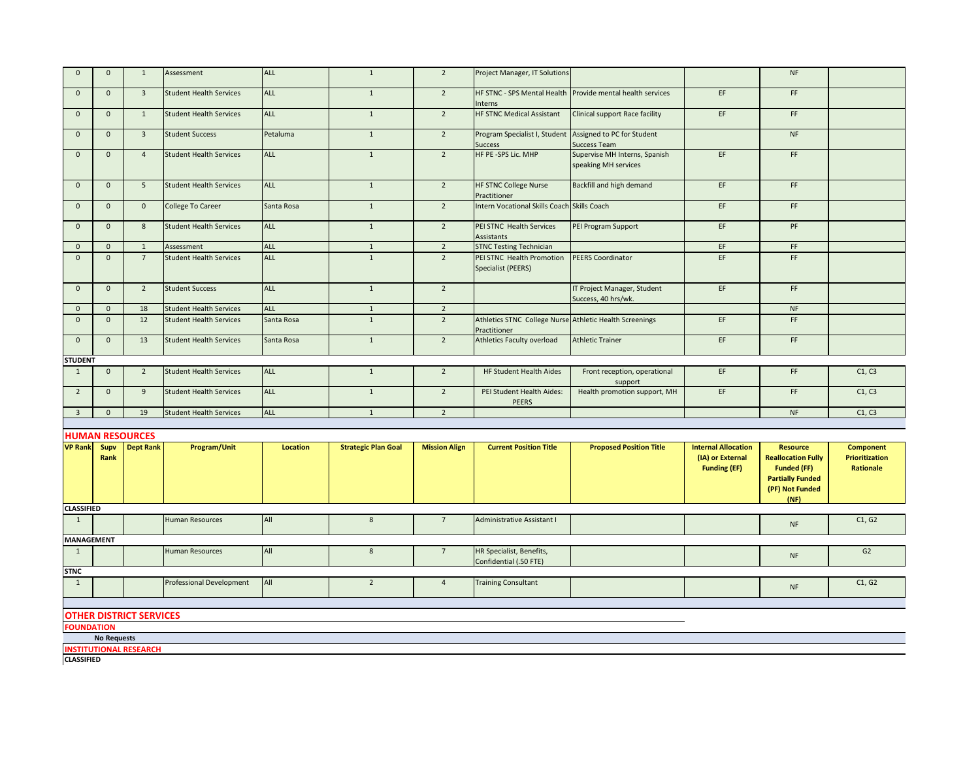| $\Omega$          | $\mathbf 0$  | 1                       | Assessment                     | <b>ALL</b>      | $\mathbf{1}$               | $\overline{2}$       | Project Manager, IT Solutions                                              |                                                       |                                         | <b>NF</b>                                                                                             |                                    |
|-------------------|--------------|-------------------------|--------------------------------|-----------------|----------------------------|----------------------|----------------------------------------------------------------------------|-------------------------------------------------------|-----------------------------------------|-------------------------------------------------------------------------------------------------------|------------------------------------|
| $\mathbf 0$       | $\mathbf 0$  | $\overline{\mathbf{3}}$ | <b>Student Health Services</b> | ALL             | $\mathbf{1}$               | $\overline{2}$       | HF STNC - SPS Mental Health<br>Interns                                     | Provide mental health services                        | EF                                      | FF.                                                                                                   |                                    |
| $\mathbf 0$       | $\mathbf{0}$ | $\mathbf{1}$            | <b>Student Health Services</b> | ALL             | $\mathbf{1}$               | $\overline{2}$       | <b>HF STNC Medical Assistant</b>                                           | <b>Clinical support Race facility</b>                 | EF                                      | FF                                                                                                    |                                    |
| $\mathbf{0}$      | $\mathbf{0}$ | $\overline{3}$          | <b>Student Success</b>         | Petaluma        | $\mathbf{1}$               | $\overline{2}$       | Program Specialist I, Student Assigned to PC for Student<br><b>Success</b> | <b>Success Team</b>                                   |                                         | <b>NF</b>                                                                                             |                                    |
| $\mathbf{0}$      | $\mathbf 0$  | $\overline{4}$          | <b>Student Health Services</b> | ALL             | $\mathbf{1}$               | $\overline{2}$       | HF PE -SPS Lic. MHP                                                        | Supervise MH Interns, Spanish<br>speaking MH services | EF                                      | FF                                                                                                    |                                    |
| $\mathbf 0$       | $\mathbf 0$  | 5                       | <b>Student Health Services</b> | ALL             | $\mathbf{1}$               | $\overline{2}$       | <b>HF STNC College Nurse</b><br>Practitioner                               | Backfill and high demand                              | EF                                      | FF                                                                                                    |                                    |
| $\mathbf 0$       | $\mathbf 0$  | $\mathbf{0}$            | College To Career              | Santa Rosa      | $\mathbf{1}$               | $\overline{2}$       | Intern Vocational Skills Coach Skills Coach                                |                                                       | EF                                      | FF                                                                                                    |                                    |
| $\mathbf{0}$      | $\mathbf{0}$ | 8                       | <b>Student Health Services</b> | <b>ALL</b>      | $\mathbf{1}$               | $\overline{2}$       | PEI STNC Health Services<br>Assistants                                     | PEI Program Support                                   | EF                                      | PF                                                                                                    |                                    |
| $\mathbf 0$       | $\mathbf 0$  | $\mathbf{1}$            | Assessment                     | <b>ALL</b>      | $\mathbf{1}$               | $\overline{2}$       | <b>STNC Testing Technician</b>                                             |                                                       | EF                                      | FF.                                                                                                   |                                    |
| $\mathbf{0}$      | $\mathbf 0$  | $7\overline{ }$         | <b>Student Health Services</b> | ALL             | $\mathbf{1}$               | $\overline{2}$       | PEI STNC Health Promotion<br>Specialist (PEERS)                            | <b>PEERS Coordinator</b>                              | EF                                      | FF.                                                                                                   |                                    |
| $\mathbf{0}$      | $\mathbf{0}$ | 2                       | <b>Student Success</b>         | <b>ALL</b>      | $\mathbf{1}$               | $\overline{2}$       |                                                                            | IT Project Manager, Student<br>Success, 40 hrs/wk.    | EF                                      | FF.                                                                                                   |                                    |
| $\mathbf{0}$      | $\mathbf{0}$ | 18                      | <b>Student Health Services</b> | <b>ALL</b>      | $\mathbf{1}$               | $\overline{2}$       |                                                                            |                                                       |                                         | NF                                                                                                    |                                    |
| $\mathbf{0}$      | $\mathbf 0$  | 12                      | <b>Student Health Services</b> | Santa Rosa      | $\mathbf{1}$               | $\overline{2}$       | Athletics STNC College Nurse Athletic Health Screenings<br>Practitioner    |                                                       | EF                                      | FF                                                                                                    |                                    |
| $\mathbf 0$       | $\mathbf 0$  | 13                      | <b>Student Health Services</b> | Santa Rosa      | $1\,$                      | $\overline{2}$       | <b>Athletics Faculty overload</b>                                          | <b>Athletic Trainer</b>                               | EF                                      | FF                                                                                                    |                                    |
| <b>STUDENT</b>    |              |                         |                                |                 |                            |                      |                                                                            |                                                       |                                         |                                                                                                       |                                    |
| $\mathbf{1}$      | $\mathbf{0}$ | $\overline{2}$          | <b>Student Health Services</b> | <b>ALL</b>      | $\mathbf{1}$               | $\overline{2}$       | HF Student Health Aides                                                    | Front reception, operational<br>support               | EF                                      | FF.                                                                                                   | C1, C3                             |
| $\overline{2}$    | $\mathbf{0}$ | 9                       | <b>Student Health Services</b> | <b>ALL</b>      | $\mathbf{1}$               | $\overline{2}$       | PEI Student Health Aides:<br>PEERS                                         | Health promotion support, MH                          | EF                                      | FF.                                                                                                   | C1, C3                             |
| $\overline{3}$    | $\mathbf 0$  | 19                      | <b>Student Health Services</b> | <b>ALL</b>      | $\mathbf{1}$               | $\overline{2}$       |                                                                            |                                                       |                                         | NF                                                                                                    | C1, C3                             |
|                   |              |                         |                                |                 |                            |                      |                                                                            |                                                       |                                         |                                                                                                       |                                    |
|                   |              | <b>HUMAN RESOURCES</b>  |                                |                 |                            |                      |                                                                            |                                                       |                                         |                                                                                                       |                                    |
| <b>VP Rank</b>    | Supv         | <b>Dept Rank</b>        | Program/Unit                   | <b>Location</b> | <b>Strategic Plan Goal</b> | <b>Mission Align</b> | <b>Current Position Title</b>                                              | <b>Proposed Position Title</b>                        | <b>Internal Allocation</b>              | <b>Resource</b>                                                                                       | <b>Component</b>                   |
|                   | Rank         |                         |                                |                 |                            |                      |                                                                            |                                                       | (IA) or External<br><b>Funding (EF)</b> | <b>Reallocation Fully</b><br><b>Funded (FF)</b><br><b>Partially Funded</b><br>(PF) Not Funded<br>(NF) | <b>Prioritization</b><br>Rationale |
| <b>CLASSIFIED</b> |              |                         |                                |                 |                            |                      |                                                                            |                                                       |                                         |                                                                                                       |                                    |
| 1                 |              |                         | Human Resources                | All             | 8                          | $7^{\circ}$          | Administrative Assistant I                                                 |                                                       |                                         | NF                                                                                                    | C1, G2                             |
| <b>MANAGEMENT</b> |              |                         |                                |                 |                            |                      |                                                                            |                                                       |                                         |                                                                                                       |                                    |
| 1                 |              |                         | <b>Human Resources</b>         | All             | $8\phantom{.}$             | $\overline{7}$       | HR Specialist, Benefits,<br>Confidential (.50 FTE)                         |                                                       |                                         | <b>NF</b>                                                                                             | G2                                 |
| <b>STNC</b>       |              |                         |                                |                 |                            |                      |                                                                            |                                                       |                                         |                                                                                                       |                                    |
| $\overline{1}$    |              |                         | Professional Development       | All             | $\overline{2}$             | $\overline{4}$       | <b>Training Consultant</b>                                                 |                                                       |                                         | <b>NF</b>                                                                                             | C1, G2                             |

**OTHER DISTRICT SERVICES**

**FOUNDATION**

**No Requests**

**INSTITUTIONAL RESEARCH**

**CLASSIFIED**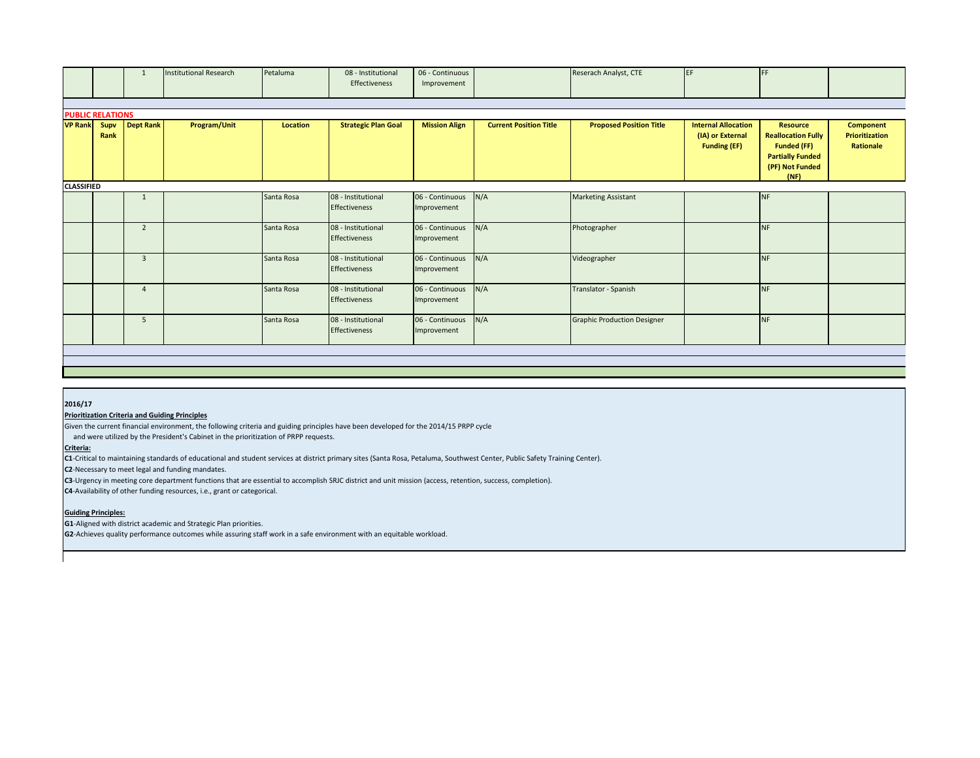|                   |                         | 1                | <b>Institutional Research</b> | Petaluma        | 08 - Institutional<br>Effectiveness        | 06 - Continuous<br>Improvement |                               | Reserach Analyst, CTE              | EF                                                                    | <b>IFF</b>                                                                                                               |                                                 |
|-------------------|-------------------------|------------------|-------------------------------|-----------------|--------------------------------------------|--------------------------------|-------------------------------|------------------------------------|-----------------------------------------------------------------------|--------------------------------------------------------------------------------------------------------------------------|-------------------------------------------------|
|                   |                         |                  |                               |                 |                                            |                                |                               |                                    |                                                                       |                                                                                                                          |                                                 |
|                   | <b>PUBLIC RELATIONS</b> |                  |                               |                 |                                            |                                |                               |                                    |                                                                       |                                                                                                                          |                                                 |
| <b>VP Rank</b>    | Supv<br>Rank            | <b>Dept Rank</b> | Program/Unit                  | <b>Location</b> | <b>Strategic Plan Goal</b>                 | <b>Mission Align</b>           | <b>Current Position Title</b> | <b>Proposed Position Title</b>     | <b>Internal Allocation</b><br>(IA) or External<br><b>Funding (EF)</b> | <b>Resource</b><br><b>Reallocation Fully</b><br><b>Funded (FF)</b><br><b>Partially Funded</b><br>(PF) Not Funded<br>(NF) | <b>Component</b><br>Prioritization<br>Rationale |
| <b>CLASSIFIED</b> |                         |                  |                               |                 |                                            |                                |                               |                                    |                                                                       |                                                                                                                          |                                                 |
|                   |                         | 1                |                               | Santa Rosa      | 08 - Institutional<br>Effectiveness        | 06 - Continuous<br>Improvement | N/A                           | <b>Marketing Assistant</b>         |                                                                       | <b>NF</b>                                                                                                                |                                                 |
|                   |                         | $\overline{2}$   |                               | Santa Rosa      | 08 - Institutional<br><b>Effectiveness</b> | 06 - Continuous<br>Improvement | N/A                           | Photographer                       |                                                                       | <b>NF</b>                                                                                                                |                                                 |
|                   |                         | $\overline{3}$   |                               | Santa Rosa      | 08 - Institutional<br>Effectiveness        | 06 - Continuous<br>Improvement | N/A                           | Videographer                       |                                                                       | <b>NF</b>                                                                                                                |                                                 |
|                   |                         | $\overline{4}$   |                               | Santa Rosa      | 08 - Institutional<br>Effectiveness        | 06 - Continuous<br>Improvement | N/A                           | Translator - Spanish               |                                                                       | <b>NF</b>                                                                                                                |                                                 |
|                   |                         | 5                |                               | Santa Rosa      | 08 - Institutional<br><b>Effectiveness</b> | 06 - Continuous<br>Improvement | N/A                           | <b>Graphic Production Designer</b> |                                                                       | <b>NF</b>                                                                                                                |                                                 |
|                   |                         |                  |                               |                 |                                            |                                |                               |                                    |                                                                       |                                                                                                                          |                                                 |
|                   |                         |                  |                               |                 |                                            |                                |                               |                                    |                                                                       |                                                                                                                          |                                                 |

#### **2016/17**

### **Prioritization Criteria and Guiding Principles**

Given the current financial environment, the following criteria and guiding principles have been developed for the 2014/15 PRPP cycle

and were utilized by the President's Cabinet in the prioritization of PRPP requests.

# **Criteria:**

**C1**-Critical to maintaining standards of educational and student services at district primary sites (Santa Rosa, Petaluma, Southwest Center, Public Safety Training Center).

**C2**-Necessary to meet legal and funding mandates.

**C3**-Urgency in meeting core department functions that are essential to accomplish SRJC district and unit mission (access, retention, success, completion).

**C4**-Availability of other funding resources, i.e., grant or categorical.

#### **Guiding Principles:**

**G1**-Aligned with district academic and Strategic Plan priorities.

**G2**-Achieves quality performance outcomes while assuring staff work in a safe environment with an equitable workload.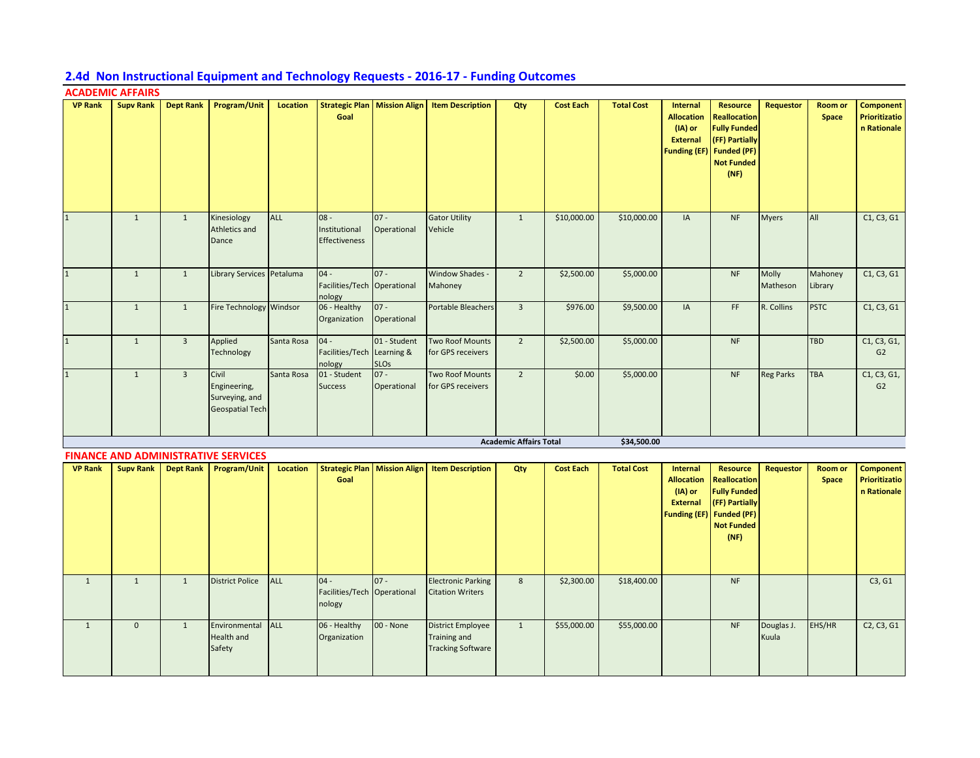# **2.4d Non Instructional Equipment and Technology Requests - 2016-17 - Funding Outcomes**

# **ACADEMIC AFFAIRS**

| <b>VP Rank</b> | <b>Supv Rank</b> | <b>Dept Rank</b> | <b>Program/Unit</b>                                               | <b>Location</b> | <b>Strategic Plan   Mission Align</b><br>Goal   |                             | <b>Item Description</b>                     | Qty                           | <b>Cost Each</b> | <b>Total Cost</b> | Internal<br><b>Allocation</b><br>(IA) or<br><b>External</b><br><b>Funding (EF)</b> | <b>Resource</b><br><b>Reallocation</b><br><b>Fully Funded</b><br>(FF) Partially<br><b>Funded (PF)</b><br><b>Not Funded</b><br>(NF) | Requestor         | <b>Room or</b><br>Space | <b>Component</b><br>Prioritizatio<br>n Rationale |
|----------------|------------------|------------------|-------------------------------------------------------------------|-----------------|-------------------------------------------------|-----------------------------|---------------------------------------------|-------------------------------|------------------|-------------------|------------------------------------------------------------------------------------|------------------------------------------------------------------------------------------------------------------------------------|-------------------|-------------------------|--------------------------------------------------|
|                | $\mathbf{1}$     | $\mathbf{1}$     | Kinesiology<br>Athletics and<br>Dance                             | ALL             | $08 -$<br>Institutional<br><b>Effectiveness</b> | $07 -$<br>Operational       | <b>Gator Utility</b><br>Vehicle             | $\mathbf{1}$                  | \$10,000.00      | \$10,000.00       | $\mathsf{IA}$                                                                      | <b>NF</b>                                                                                                                          | <b>Myers</b>      | All                     | C1, C3, G1                                       |
|                | $\mathbf{1}$     | $\mathbf{1}$     | Library Services Petaluma                                         |                 | $04 -$<br>Facilities/Tech Operational<br>nology | $07 -$                      | Window Shades -<br>Mahoney                  | $\overline{2}$                | \$2,500.00       | \$5,000.00        |                                                                                    | <b>NF</b>                                                                                                                          | Molly<br>Matheson | Mahoney<br>Library      | C1, C3, G1                                       |
|                | $\mathbf{1}$     | $\mathbf{1}$     | Fire Technology Windsor                                           |                 | 06 - Healthy<br>Organization                    | $07 -$<br>Operational       | <b>Portable Bleachers</b>                   | $\overline{3}$                | \$976.00         | \$9,500.00        | IA                                                                                 | FF.                                                                                                                                | R. Collins        | <b>PSTC</b>             | C1, C3, G1                                       |
|                | $\mathbf{1}$     | $\overline{3}$   | Applied<br>Technology                                             | Santa Rosa      | $04 -$<br>Facilities/Tech Learning &<br>nology  | 01 - Student<br><b>SLOs</b> | <b>Two Roof Mounts</b><br>for GPS receivers | $\overline{2}$                | \$2,500.00       | \$5,000.00        |                                                                                    | <b>NF</b>                                                                                                                          |                   | <b>TBD</b>              | C1, C3, G1,<br>G2                                |
| $\mathbf{1}$   | $\mathbf{1}$     | $\overline{3}$   | Civil<br>Engineering,<br>Surveying, and<br><b>Geospatial Tech</b> | Santa Rosa      | 01 - Student<br><b>Success</b>                  | $ 07 -$<br>Operational      | <b>Two Roof Mounts</b><br>for GPS receivers | $\overline{2}$                | \$0.00           | \$5,000.00        |                                                                                    | <b>NF</b>                                                                                                                          | <b>Reg Parks</b>  | <b>TBA</b>              | C1, C3, G1,<br>G2                                |
|                |                  |                  |                                                                   |                 |                                                 |                             |                                             | <b>Academic Affairs Total</b> |                  | \$34,500.00       |                                                                                    |                                                                                                                                    |                   |                         |                                                  |

|                |                  | <b>FINANCE AND ADMINISTRATIVE SERVICES</b> |            |                                                 |             |                                                                      |              |                  |                   |                                                             |                                                                                                                                          |                     |                                |                                                  |
|----------------|------------------|--------------------------------------------|------------|-------------------------------------------------|-------------|----------------------------------------------------------------------|--------------|------------------|-------------------|-------------------------------------------------------------|------------------------------------------------------------------------------------------------------------------------------------------|---------------------|--------------------------------|--------------------------------------------------|
| <b>VP Rank</b> | <b>Supv Rank</b> | Dept Rank   Program/Unit                   | Location   | <b>Strategic Plan   Mission Align</b><br>Goal   |             | <b>Item Description</b>                                              | Qty          | <b>Cost Each</b> | <b>Total Cost</b> | Internal<br><b>Allocation</b><br>(IA) or<br><b>External</b> | Resource<br><b>Reallocation</b><br><b>Fully Funded</b><br>(FF) Partially<br><b>Funding (EF)</b> Funded (PF)<br><b>Not Funded</b><br>(NF) | Requestor           | <b>Room or</b><br><b>Space</b> | Component<br>Prioritizatio<br>n Rationale        |
|                |                  | <b>District Police</b>                     | <b>ALL</b> | $04 -$<br>Facilities/Tech Operational<br>nology | $ 07 -$     | <b>Electronic Parking</b><br><b>Citation Writers</b>                 | 8            | \$2,300.00       | \$18,400.00       |                                                             | <b>NF</b>                                                                                                                                |                     |                                | C3, G1                                           |
|                | $\mathbf 0$      | Environmental<br>Health and<br>Safety      | <b>ALL</b> | 06 - Healthy<br>Organization                    | $00 - None$ | <b>District Employee</b><br>Training and<br><b>Tracking Software</b> | $\mathbf{1}$ | \$55,000.00      | \$55,000.00       |                                                             | <b>NF</b>                                                                                                                                | Douglas J.<br>Kuula | EHS/HR                         | C <sub>2</sub> , C <sub>3</sub> , G <sub>1</sub> |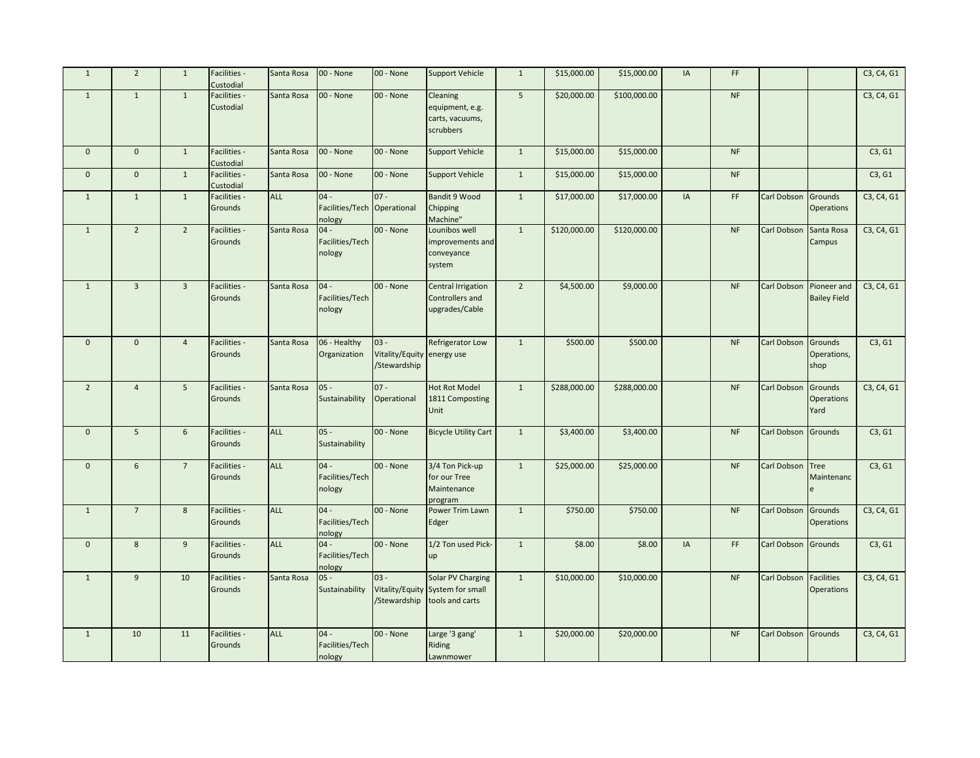| $\mathbf{1}$   | $\overline{2}$  | $\mathbf{1}$   | Facilities -<br>Custodial | Santa Rosa | 00 - None                                       | 00 - None                                            | <b>Support Vehicle</b>                                                   | $\mathbf{1}$   | \$15,000.00  | \$15,000.00  | <b>IA</b> | FF        |                         |                           | C3, C4, G1 |
|----------------|-----------------|----------------|---------------------------|------------|-------------------------------------------------|------------------------------------------------------|--------------------------------------------------------------------------|----------------|--------------|--------------|-----------|-----------|-------------------------|---------------------------|------------|
| $\mathbf{1}$   | $\mathbf{1}$    | $\mathbf{1}$   | Facilities -<br>Custodial | Santa Rosa | 00 - None                                       | 00 - None                                            | Cleaning<br>equipment, e.g.<br>carts, vacuums,<br>scrubbers              | 5              | \$20,000.00  | \$100,000.00 |           | $\sf{NF}$ |                         |                           | C3, C4, G1 |
| $\mathbf 0$    | $\mathbf 0$     | $\mathbf{1}$   | Facilities -<br>Custodial | Santa Rosa | 00 - None                                       | 00 - None                                            | <b>Support Vehicle</b>                                                   | $\mathbf{1}$   | \$15,000.00  | \$15,000.00  |           | <b>NF</b> |                         |                           | C3, G1     |
| $\mathbf 0$    | $\mathbf{0}$    | $\mathbf{1}$   | Facilities -<br>Custodial | Santa Rosa | 00 - None                                       | 00 - None                                            | <b>Support Vehicle</b>                                                   | $\mathbf{1}$   | \$15,000.00  | \$15,000.00  |           | <b>NF</b> |                         |                           | C3, G1     |
| $\mathbf{1}$   | $\mathbf{1}$    | $\mathbf{1}$   | Facilities -<br>Grounds   | ALL        | $04 -$<br>Facilities/Tech Operational<br>nology | $07 -$                                               | <b>Bandit 9 Wood</b><br>Chipping<br>Machine"                             | $\mathbf{1}$   | \$17,000.00  | \$17,000.00  | IA        | FF        | Carl Dobson Grounds     | <b>Operations</b>         | C3, C4, G1 |
| $\mathbf{1}$   | $\overline{2}$  | $2^{\circ}$    | Facilities -<br>Grounds   | Santa Rosa | $04 -$<br>Facilities/Tech<br>nology             | 00 - None                                            | Lounibos well<br>improvements and<br>conveyance<br>system                | $1\,$          | \$120,000.00 | \$120,000.00 |           | <b>NF</b> | <b>Carl Dobson</b>      | Santa Rosa<br>Campus      | C3, C4, G1 |
| $\mathbf{1}$   | $\overline{3}$  | $\overline{3}$ | Facilities -<br>Grounds   | Santa Rosa | $04 -$<br>Facilities/Tech<br>nology             | 00 - None                                            | <b>Central Irrigation</b><br>Controllers and<br>upgrades/Cable           | $\overline{2}$ | \$4,500.00   | \$9,000.00   |           | <b>NF</b> | Carl Dobson Pioneer and | <b>Bailey Field</b>       | C3, C4, G1 |
| $\mathbf 0$    | $\mathbf{0}$    | $\overline{4}$ | Facilities -<br>Grounds   | Santa Rosa | 06 - Healthy<br>Organization                    | $03 -$<br>Vitality/Equity energy use<br>/Stewardship | Refrigerator Low                                                         | $\mathbf{1}$   | \$500.00     | \$500.00     |           | $\sf{NF}$ | Carl Dobson Grounds     | Operations,<br>shop       | C3, G1     |
| $\overline{2}$ | $\overline{4}$  | 5              | Facilities -<br>Grounds   | Santa Rosa | $05 -$<br>Sustainability                        | $07 -$<br>Operational                                | <b>Hot Rot Model</b><br>1811 Composting<br>Unit                          | $1\,$          | \$288,000.00 | \$288,000.00 |           | <b>NF</b> | Carl Dobson Grounds     | <b>Operations</b><br>Yard | C3, C4, G1 |
| $\mathbf 0$    | $5\phantom{.0}$ | $\sqrt{6}$     | Facilities -<br>Grounds   | ALL        | $05 -$<br>Sustainability                        | 00 - None                                            | <b>Bicycle Utility Cart</b>                                              | $1\,$          | \$3,400.00   | \$3,400.00   |           | <b>NF</b> | Carl Dobson Grounds     |                           | C3, G1     |
| $\mathbf 0$    | 6               | $\overline{7}$ | Facilities -<br>Grounds   | ALL        | $04 -$<br>Facilities/Tech<br>nology             | 00 - None                                            | 3/4 Ton Pick-up<br>for our Tree<br>Maintenance<br>program                | $\mathbf{1}$   | \$25,000.00  | \$25,000.00  |           | <b>NF</b> | Carl Dobson Tree        | Maintenanc<br>e           | C3, G1     |
| $\mathbf{1}$   | $\overline{7}$  | 8              | Facilities -<br>Grounds   | <b>ALL</b> | $04 -$<br>Facilities/Tech<br>nology             | 00 - None                                            | Power Trim Lawn<br>Edger                                                 | $\mathbf{1}$   | \$750.00     | \$750.00     |           | <b>NF</b> | Carl Dobson Grounds     | <b>Operations</b>         | C3, C4, G1 |
| $\mathbf 0$    | 8               | 9              | Facilities -<br>Grounds   | <b>ALL</b> | $04 -$<br>Facilities/Tech<br>nology             | 00 - None                                            | 1/2 Ton used Pick-<br>up                                                 | $\mathbf{1}$   | \$8.00       | \$8.00       | IA        | FF        | Carl Dobson             | <b>Grounds</b>            | C3, G1     |
| $\mathbf{1}$   | 9               | 10             | Facilities -<br>Grounds   | Santa Rosa | $05 -$<br>Sustainability                        | $03 -$<br>/Stewardship                               | Solar PV Charging<br>Vitality/Equity System for small<br>tools and carts | $\mathbf{1}$   | \$10,000.00  | \$10,000.00  |           | <b>NF</b> | Carl Dobson Facilities  | <b>Operations</b>         | C3, C4, G1 |
| $\mathbf{1}$   | 10              | 11             | Facilities -<br>Grounds   | ALL        | $04 -$<br>Facilities/Tech<br>nology             | 00 - None                                            | Large '3 gang'<br>Riding<br>Lawnmower                                    | $\mathbf{1}$   | \$20,000.00  | \$20,000.00  |           | <b>NF</b> | Carl Dobson Grounds     |                           | C3, C4, G1 |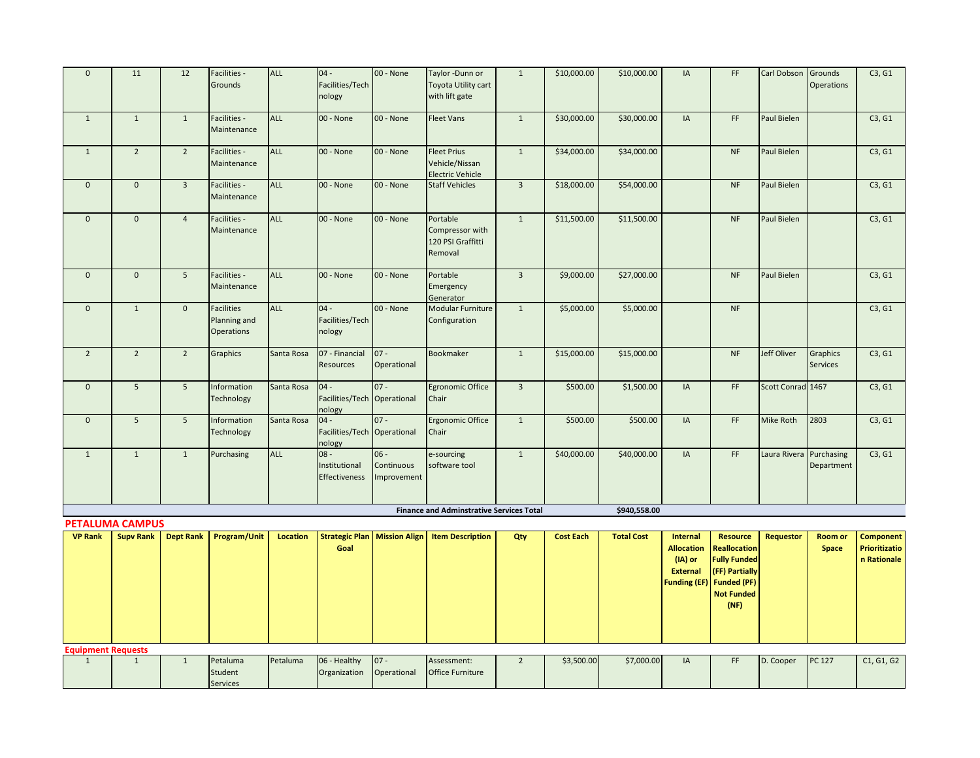| $\mathbf 0$    | 11                                         | 12               | Facilities -<br>Grounds                                | <b>ALL</b>      | $04 -$<br>Facilities/Tech<br>nology             | 00 - None                           | Taylor -Dunn or<br>Toyota Utility cart<br>with lift gate        | $\mathbf{1}$   | \$10,000.00      | \$10,000.00       | IA                                                                     | FF                                                                                                              | Carl Dobson Grounds     | <b>Operations</b>                  | C3, G1                       |
|----------------|--------------------------------------------|------------------|--------------------------------------------------------|-----------------|-------------------------------------------------|-------------------------------------|-----------------------------------------------------------------|----------------|------------------|-------------------|------------------------------------------------------------------------|-----------------------------------------------------------------------------------------------------------------|-------------------------|------------------------------------|------------------------------|
| $\mathbf{1}$   | $\mathbf{1}$                               | $\mathbf{1}$     | Facilities -<br>Maintenance                            | <b>ALL</b>      | 00 - None                                       | 00 - None                           | <b>Fleet Vans</b>                                               | $1\,$          | \$30,000.00      | \$30,000.00       | IA                                                                     | FF                                                                                                              | Paul Bielen             |                                    | C3, G1                       |
| $\mathbf{1}$   | $\overline{2}$                             | $\overline{2}$   | Facilities -<br>Maintenance                            | <b>ALL</b>      | 00 - None                                       | 00 - None                           | <b>Fleet Prius</b><br>Vehicle/Nissan<br><b>Electric Vehicle</b> | $\mathbf{1}$   | \$34,000.00      | \$34,000.00       |                                                                        | <b>NF</b>                                                                                                       | Paul Bielen             |                                    | C3, G1                       |
| $\mathbf 0$    | $\mathbf{0}$                               | $\overline{3}$   | Facilities -<br>Maintenance                            | <b>ALL</b>      | 00 - None                                       | 00 - None                           | <b>Staff Vehicles</b>                                           | $\overline{3}$ | \$18,000.00      | \$54,000.00       |                                                                        | <b>NF</b>                                                                                                       | Paul Bielen             |                                    | C3, G1                       |
| $\mathbf 0$    | $\mathbf 0$                                | $\overline{4}$   | Facilities -<br>Maintenance                            | <b>ALL</b>      | 00 - None                                       | 00 - None                           | Portable<br>Compressor with<br>120 PSI Graffitti<br>Removal     | $\mathbf{1}$   | \$11,500.00      | \$11,500.00       |                                                                        | <b>NF</b>                                                                                                       | Paul Bielen             |                                    | C3, G1                       |
| $\mathbf 0$    | $\mathbf{0}$                               | 5                | Facilities -<br>Maintenance                            | <b>ALL</b>      | 00 - None                                       | 00 - None                           | Portable<br>Emergency<br>Generator                              | $\overline{3}$ | \$9,000.00       | \$27,000.00       |                                                                        | <b>NF</b>                                                                                                       | Paul Bielen             |                                    | C3, G1                       |
| $\mathbf 0$    | $\mathbf{1}$                               | $\mathbf 0$      | <b>Facilities</b><br>Planning and<br><b>Operations</b> | <b>ALL</b>      | $04 -$<br>Facilities/Tech<br>nology             | 00 - None                           | <b>Modular Furniture</b><br>Configuration                       | $\mathbf{1}$   | \$5,000.00       | \$5,000.00        |                                                                        | <b>NF</b>                                                                                                       |                         |                                    | C3, G1                       |
| $\overline{2}$ | $\overline{2}$                             | $\overline{2}$   | Graphics                                               | Santa Rosa      | 07 - Financial<br><b>Resources</b>              | $07 -$<br>Operational               | Bookmaker                                                       | $\mathbf{1}$   | \$15,000.00      | \$15,000.00       |                                                                        | <b>NF</b>                                                                                                       | Jeff Oliver             | <b>Graphics</b><br><b>Services</b> | C3, G1                       |
| $\mathbf 0$    | $\overline{5}$                             | 5 <sup>5</sup>   | Information<br>Technology                              | Santa Rosa      | $04 -$<br>Facilities/Tech Operational<br>nology | $07 -$                              | <b>Egronomic Office</b><br>Chair                                | $\overline{3}$ | \$500.00         | \$1,500.00        | IA                                                                     | FF                                                                                                              | Scott Conrad 1467       |                                    | C3, G1                       |
| $\mathbf 0$    | $\overline{5}$                             | 5                | Information<br>Technology                              | Santa Rosa      | $04 -$<br>Facilities/Tech Operational<br>nology | $07 -$                              | <b>Ergonomic Office</b><br>Chair                                | $\mathbf{1}$   | \$500.00         | \$500.00          | IA                                                                     | FF                                                                                                              | Mike Roth               | 2803                               | C3, G1                       |
| $\mathbf{1}$   | $\mathbf{1}$                               | $\mathbf{1}$     | Purchasing                                             | <b>ALL</b>      | $-80$<br>Institutional<br>Effectiveness         | $06 -$<br>Continuous<br>Improvement | e-sourcing<br>software tool                                     | $\mathbf{1}$   | \$40,000.00      | \$40,000.00       | IA                                                                     | FF                                                                                                              | Laura Rivera Purchasing | Department                         | C3, G1                       |
|                |                                            |                  |                                                        |                 |                                                 |                                     | <b>Finance and Adminstrative Services Total</b>                 |                |                  | \$940,558.00      |                                                                        |                                                                                                                 |                         |                                    |                              |
| <b>VP Rank</b> | <b>PETALUMA CAMPUS</b><br><b>Supv Rank</b> | <b>Dept Rank</b> | Program/Unit                                           | <b>Location</b> | <b>Strategic Plan</b>                           | <b>Mission Align</b>                | <b>Item Description</b>                                         | Qty            | <b>Cost Each</b> | <b>Total Cost</b> | Internal                                                               | <b>Resource</b>                                                                                                 | <b>Requestor</b>        | Room or                            | <b>Component</b>             |
|                |                                            |                  |                                                        |                 | Goal                                            |                                     |                                                                 |                |                  |                   | <b>Allocation</b><br>(IA) or<br><b>External</b><br><b>Funding (EF)</b> | <b>Reallocation</b><br><b>Fully Funded</b><br>(FF) Partially<br><b>Funded (PF)</b><br><b>Not Funded</b><br>(NF) |                         | Space                              | Prioritizatio<br>n Rationale |
|                |                                            |                  |                                                        |                 |                                                 |                                     |                                                                 |                |                  |                   |                                                                        |                                                                                                                 |                         |                                    |                              |

**Equipment Requests**

1 1 1 Petaluma Student Services

Petaluma 06 - Healthy

Organization

 $|07 -$ Operational

Assessment: Office Furniture 2 | \$3,500.00 \$7,000.00 IA | FF D. Cooper PC 127 | C1, G1, G2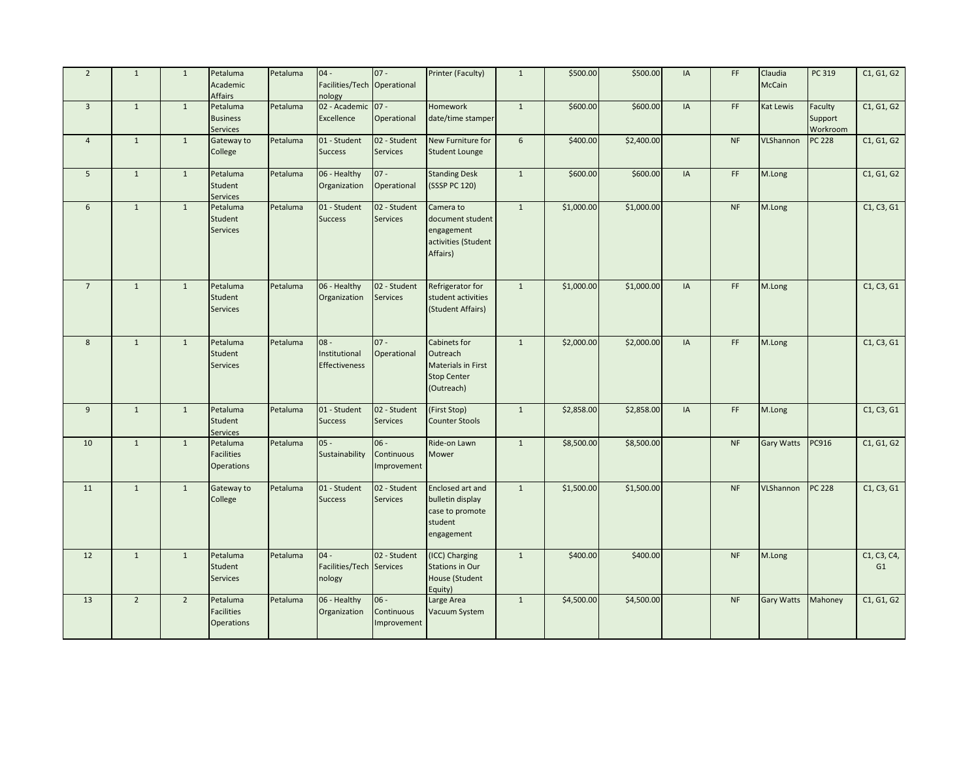| $\overline{2}$ | $\mathbf{1}$   | $\mathbf{1}$   | Petaluma<br>Academic<br>Affairs                    | Petaluma | $04 -$<br>Facilities/Tech Operational<br>nology | $07 -$                              | Printer (Faculty)                                                                  | $\mathbf{1}$   | \$500.00   | \$500.00   | IA | FF.       | Claudia<br><b>McCain</b> | PC 319                         | C1, G1, G2        |
|----------------|----------------|----------------|----------------------------------------------------|----------|-------------------------------------------------|-------------------------------------|------------------------------------------------------------------------------------|----------------|------------|------------|----|-----------|--------------------------|--------------------------------|-------------------|
| $\overline{3}$ | $\mathbf{1}$   | $\mathbf{1}$   | Petaluma<br><b>Business</b><br><b>Services</b>     | Petaluma | 02 - Academic<br>Excellence                     | $07 -$<br>Operational               | Homework<br>date/time stamper                                                      | $\mathbf{1}$   | \$600.00   | \$600.00   | IA | FF        | Kat Lewis                | Faculty<br>Support<br>Workroom | C1, G1, G2        |
| $\overline{4}$ | $\mathbf{1}$   | $\mathbf{1}$   | Gateway to<br>College                              | Petaluma | 01 - Student<br><b>Success</b>                  | 02 - Student<br><b>Services</b>     | New Furniture for<br><b>Student Lounge</b>                                         | $6\phantom{1}$ | \$400.00   | \$2,400.00 |    | <b>NF</b> | VLShannon                | <b>PC 228</b>                  | C1, G1, G2        |
| 5              | $\mathbf{1}$   | 1              | Petaluma<br>Student<br>Services                    | Petaluma | 06 - Healthy<br>Organization                    | $07 -$<br>Operational               | <b>Standing Desk</b><br>(SSSP PC 120)                                              | $1\,$          | \$600.00   | \$600.00   | IA | FF        | M.Long                   |                                | C1, G1, G2        |
| 6              | $\mathbf{1}$   | $\mathbf{1}$   | Petaluma<br>Student<br><b>Services</b>             | Petaluma | 01 - Student<br><b>Success</b>                  | 02 - Student<br>Services            | Camera to<br>document student<br>engagement<br>activities (Student<br>Affairs)     | $\mathbf{1}$   | \$1,000.00 | \$1,000.00 |    | <b>NF</b> | M.Long                   |                                | C1, C3, G1        |
| $\overline{7}$ | $\mathbf{1}$   | $\mathbf{1}$   | Petaluma<br>Student<br><b>Services</b>             | Petaluma | 06 - Healthy<br>Organization                    | 02 - Student<br>Services            | Refrigerator for<br>student activities<br>(Student Affairs)                        | $\mathbf{1}$   | \$1,000.00 | \$1,000.00 | IA | FF        | M.Long                   |                                | C1, C3, G1        |
| 8              | $\mathbf{1}$   | 1              | Petaluma<br>Student<br><b>Services</b>             | Petaluma | $08 -$<br>Institutional<br>Effectiveness        | $07 -$<br>Operational               | Cabinets for<br>Outreach<br>Materials in First<br><b>Stop Center</b><br>(Outreach) | $\mathbf{1}$   | \$2,000.00 | \$2,000.00 | IA | FF        | M.Long                   |                                | C1, C3, G1        |
| 9              | $\mathbf{1}$   | $\mathbf{1}$   | Petaluma<br>Student<br><b>Services</b>             | Petaluma | 01 - Student<br><b>Success</b>                  | 02 - Student<br>Services            | (First Stop)<br><b>Counter Stools</b>                                              | $1\,$          | \$2,858.00 | \$2,858.00 | IA | FF.       | M.Long                   |                                | C1, C3, G1        |
| 10             | $\mathbf{1}$   | $\mathbf{1}$   | Petaluma<br><b>Facilities</b><br><b>Operations</b> | Petaluma | $05 -$<br>Sustainability                        | $06 -$<br>Continuous<br>Improvement | Ride-on Lawn<br>Mower                                                              | $\mathbf 1$    | \$8,500.00 | \$8,500.00 |    | <b>NF</b> | Gary Watts               | PC916                          | C1, G1, G2        |
| 11             | $\mathbf{1}$   | $\mathbf{1}$   | Gateway to<br>College                              | Petaluma | 01 - Student<br><b>Success</b>                  | 02 - Student<br>Services            | Enclosed art and<br>bulletin display<br>case to promote<br>student<br>engagement   | $\mathbf{1}$   | \$1,500.00 | \$1,500.00 |    | <b>NF</b> | VLShannon                | <b>PC 228</b>                  | C1, C3, G1        |
| 12             | $\mathbf{1}$   | 1              | Petaluma<br>Student<br><b>Services</b>             | Petaluma | $04 -$<br>Facilities/Tech Services<br>nology    | 02 - Student                        | (ICC) Charging<br><b>Stations in Our</b><br>House (Student<br>Equity)              | $\mathbf{1}$   | \$400.00   | \$400.00   |    | <b>NF</b> | M.Long                   |                                | C1, C3, C4,<br>G1 |
| 13             | $\overline{2}$ | $\overline{2}$ | Petaluma<br><b>Facilities</b><br><b>Operations</b> | Petaluma | 06 - Healthy<br>Organization                    | $06 -$<br>Continuous<br>Improvement | Large Area<br>Vacuum System                                                        | $1\,$          | \$4,500.00 | \$4,500.00 |    | <b>NF</b> | <b>Gary Watts</b>        | Mahoney                        | C1, G1, G2        |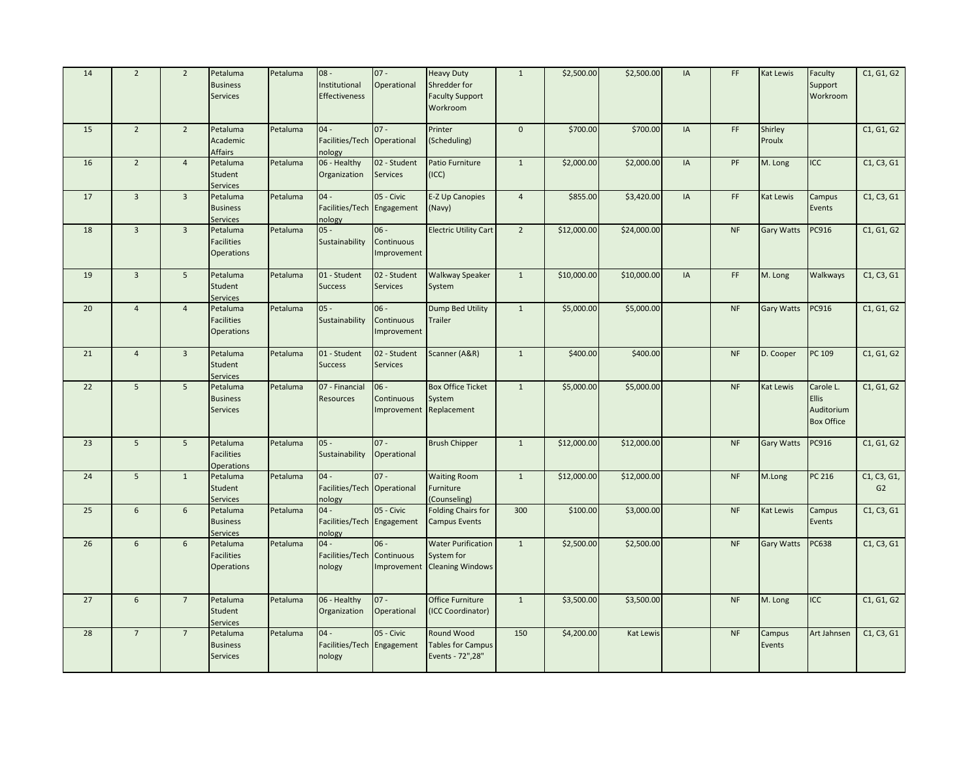| 14 | $\overline{2}$  | $\overline{2}$  | Petaluma<br><b>Business</b><br>Services            | Petaluma | $08 -$<br>Institutional<br>Effectiveness        | $07 -$<br>Operational               | <b>Heavy Duty</b><br>Shredder for<br><b>Faculty Support</b><br>Workroom | $\mathbf{1}$   | \$2,500.00  | \$2,500.00       | IA | FF        | <b>Kat Lewis</b>  | Faculty<br>Support<br>Workroom                               | C1, G1, G2        |
|----|-----------------|-----------------|----------------------------------------------------|----------|-------------------------------------------------|-------------------------------------|-------------------------------------------------------------------------|----------------|-------------|------------------|----|-----------|-------------------|--------------------------------------------------------------|-------------------|
| 15 | $\overline{2}$  | $\overline{2}$  | Petaluma<br>Academic<br><b>Affairs</b>             | Petaluma | $04 -$<br>Facilities/Tech Operational<br>nology | $07 -$                              | Printer<br>(Scheduling)                                                 | $\mathbf 0$    | \$700.00    | \$700.00         | IA | FF        | Shirley<br>Proulx |                                                              | C1, G1, G2        |
| 16 | $\overline{2}$  | $\overline{4}$  | Petaluma<br>Student<br>Services                    | Petaluma | 06 - Healthy<br>Organization                    | 02 - Student<br><b>Services</b>     | Patio Furniture<br>(ICC)                                                | $\mathbf{1}$   | \$2,000.00  | \$2,000.00       | IA | PF        | M. Long           | <b>ICC</b>                                                   | C1, C3, G1        |
| 17 | $\overline{3}$  | $\overline{3}$  | Petaluma<br><b>Business</b><br>Services            | Petaluma | $04 -$<br>Facilities/Tech Engagement<br>nology  | 05 - Civic                          | <b>E-Z Up Canopies</b><br>(Navy)                                        | $\overline{4}$ | \$855.00    | \$3,420.00       | IA | FF        | <b>Kat Lewis</b>  | Campus<br>Events                                             | C1, C3, G1        |
| 18 | $\overline{3}$  | $\overline{3}$  | Petaluma<br><b>Facilities</b><br><b>Operations</b> | Petaluma | $05 -$<br>Sustainability                        | $06 -$<br>Continuous<br>Improvement | <b>Electric Utility Cart</b>                                            | $\overline{2}$ | \$12,000.00 | \$24,000.00      |    | <b>NF</b> | <b>Gary Watts</b> | PC916                                                        | C1, G1, G2        |
| 19 | $\overline{3}$  | 5 <sup>5</sup>  | Petaluma<br>Student<br>Services                    | Petaluma | 01 - Student<br><b>Success</b>                  | 02 - Student<br><b>Services</b>     | <b>Walkway Speaker</b><br>System                                        | $\mathbf{1}$   | \$10,000.00 | \$10,000.00      | IA | FF        | M. Long           | Walkways                                                     | C1, C3, G1        |
| 20 | $\overline{4}$  | $\overline{4}$  | Petaluma<br><b>Facilities</b><br>Operations        | Petaluma | $05 -$<br>Sustainability                        | $06 -$<br>Continuous<br>Improvement | Dump Bed Utility<br><b>Trailer</b>                                      | $\mathbf{1}$   | \$5,000.00  | \$5,000.00       |    | <b>NF</b> | <b>Gary Watts</b> | PC916                                                        | C1, G1, G2        |
| 21 | $\overline{4}$  | $\overline{3}$  | Petaluma<br>Student<br>Services                    | Petaluma | 01 - Student<br><b>Success</b>                  | 02 - Student<br><b>Services</b>     | Scanner (A&R)                                                           | $\mathbf{1}$   | \$400.00    | \$400.00         |    | <b>NF</b> | D. Cooper         | PC 109                                                       | C1, G1, G2        |
| 22 | 5 <sup>5</sup>  | 5 <sup>5</sup>  | Petaluma<br><b>Business</b><br>Services            | Petaluma | 07 - Financial<br><b>Resources</b>              | $06 -$<br>Continuous<br>Improvement | <b>Box Office Ticket</b><br>System<br>Replacement                       | $\mathbf{1}$   | \$5,000.00  | \$5,000.00       |    | <b>NF</b> | <b>Kat Lewis</b>  | Carole L.<br><b>Ellis</b><br>Auditorium<br><b>Box Office</b> | C1, G1, G2        |
| 23 | $\overline{5}$  | $5\overline{5}$ | Petaluma<br><b>Facilities</b><br><b>Operations</b> | Petaluma | $05 -$<br>Sustainability                        | $07 -$<br>Operational               | <b>Brush Chipper</b>                                                    | $\mathbf{1}$   | \$12,000.00 | \$12,000.00      |    | <b>NF</b> | <b>Gary Watts</b> | PC916                                                        | C1, G1, G2        |
| 24 | 5 <sup>5</sup>  | $\mathbf{1}$    | Petaluma<br>Student<br>Services                    | Petaluma | $04 -$<br>Facilities/Tech Operational<br>nology | $07 -$                              | <b>Waiting Room</b><br>Furniture<br>(Counseling)                        | $\mathbf{1}$   | \$12,000.00 | \$12,000.00      |    | <b>NF</b> | M.Long            | PC 216                                                       | C1, C3, G1,<br>G2 |
| 25 | $6\overline{6}$ | 6               | Petaluma<br><b>Business</b><br><b>Services</b>     | Petaluma | $04 -$<br>Facilities/Tech Engagement<br>nology  | 05 - Civic                          | <b>Folding Chairs for</b><br><b>Campus Events</b>                       | 300            | \$100.00    | \$3,000.00       |    | <b>NF</b> | <b>Kat Lewis</b>  | Campus<br>Events                                             | C1, C3, G1        |
| 26 | 6               | 6               | Petaluma<br><b>Facilities</b><br>Operations        | Petaluma | $04 -$<br>Facilities/Tech<br>nology             | $06 -$<br>Continuous                | <b>Water Purification</b><br>System for<br>Improvement Cleaning Windows | $\mathbf{1}$   | \$2,500.00  | \$2,500.00       |    | <b>NF</b> | <b>Gary Watts</b> | <b>PC638</b>                                                 | C1, C3, G1        |
| 27 | 6               | $7\overline{ }$ | Petaluma<br>Student<br>Services                    | Petaluma | 06 - Healthy<br>Organization                    | $07 -$<br>Operational               | <b>Office Furniture</b><br>(ICC Coordinator)                            | $\mathbf{1}$   | \$3,500.00  | \$3,500.00       |    | $\sf{NF}$ | M. Long           | ICC                                                          | C1, G1, G2        |
| 28 | $\overline{7}$  | $\overline{7}$  | Petaluma<br><b>Business</b><br><b>Services</b>     | Petaluma | $04 -$<br>Facilities/Tech Engagement<br>nology  | 05 - Civic                          | Round Wood<br><b>Tables for Campus</b><br>Events - 72", 28"             | 150            | \$4,200.00  | <b>Kat Lewis</b> |    | <b>NF</b> | Campus<br>Events  | Art Jahnsen                                                  | C1, C3, G1        |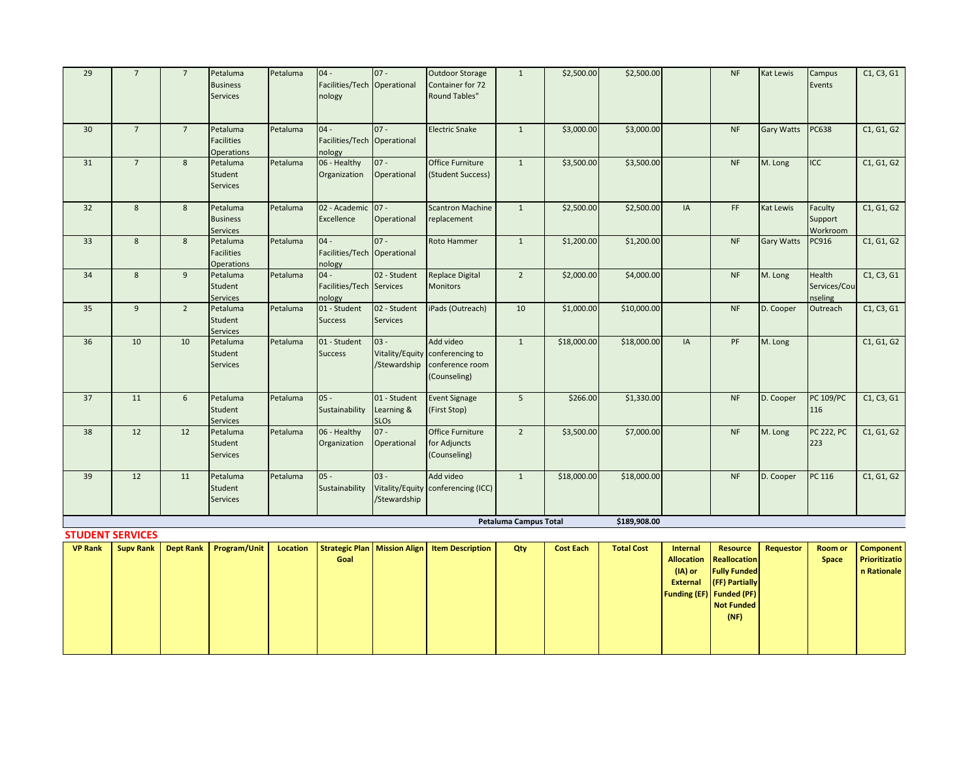| 29 | $7\overline{ }$         | $7^{\circ}$    | Petaluma<br><b>Business</b><br>Services            | Petaluma | $04 -$<br>Facilities/Tech Operational<br>nology | $07 -$                                    | <b>Outdoor Storage</b><br>Container for 72<br><b>Round Tables"</b>              | 1                            | \$2,500.00  | \$2,500.00   |    | <b>NF</b> | <b>Kat Lewis</b>  | Campus<br>Events                  | C1, C3, G1 |
|----|-------------------------|----------------|----------------------------------------------------|----------|-------------------------------------------------|-------------------------------------------|---------------------------------------------------------------------------------|------------------------------|-------------|--------------|----|-----------|-------------------|-----------------------------------|------------|
| 30 | $7\overline{ }$         | $7^{\circ}$    | Petaluma<br><b>Facilities</b><br><b>Operations</b> | Petaluma | $04 -$<br>Facilities/Tech Operational<br>nology | $07 -$                                    | <b>Electric Snake</b>                                                           | $\mathbf{1}$                 | \$3,000.00  | \$3,000.00   |    | <b>NF</b> | <b>Gary Watts</b> | <b>PC638</b>                      | C1, G1, G2 |
| 31 | $7\overline{ }$         | 8              | Petaluma<br>Student<br><b>Services</b>             | Petaluma | 06 - Healthy<br>Organization                    | $07 -$<br>Operational                     | Office Furniture<br>(Student Success)                                           | $\mathbf{1}$                 | \$3,500.00  | \$3,500.00   |    | NF        | M. Long           | <b>ICC</b>                        | C1, G1, G2 |
| 32 | 8                       | 8              | Petaluma<br><b>Business</b><br>Services            | Petaluma | 02 - Academic 07 -<br>Excellence                | Operational                               | <b>Scantron Machine</b><br>replacement                                          | $\mathbf{1}$                 | \$2,500.00  | \$2,500.00   | IA | FF        | <b>Kat Lewis</b>  | Faculty<br>Support<br>Workroom    | C1, G1, G2 |
| 33 | 8                       | 8              | Petaluma<br><b>Facilities</b><br><b>Operations</b> | Petaluma | $04 -$<br>Facilities/Tech Operational<br>nology | $07 -$                                    | <b>Roto Hammer</b>                                                              | $\mathbf{1}$                 | \$1,200.00  | \$1,200.00   |    | <b>NF</b> | <b>Gary Watts</b> | PC916                             | C1, G1, G2 |
| 34 | 8                       | $\overline{9}$ | Petaluma<br>Student<br><b>Services</b>             | Petaluma | $04 -$<br>Facilities/Tech Services<br>nology    | 02 - Student                              | <b>Replace Digital</b><br><b>Monitors</b>                                       | $\overline{2}$               | \$2,000.00  | \$4,000.00   |    | NF        | M. Long           | Health<br>Services/Cou<br>nseling | C1, C3, G1 |
| 35 | 9                       | $\overline{2}$ | Petaluma<br>Student<br><b>Services</b>             | Petaluma | 01 - Student<br><b>Success</b>                  | 02 - Student<br><b>Services</b>           | iPads (Outreach)                                                                | 10                           | \$1,000.00  | \$10,000.00  |    | <b>NF</b> | D. Cooper         | Outreach                          | C1, C3, G1 |
| 36 | 10                      | 10             | Petaluma<br>Student<br><b>Services</b>             | Petaluma | 01 - Student<br><b>Success</b>                  | $03 -$<br>/Stewardship                    | Add video<br>Vitality/Equity conferencing to<br>conference room<br>(Counseling) | $\mathbf{1}$                 | \$18,000.00 | \$18,000.00  | IA | PF        | M. Long           |                                   | C1, G1, G2 |
| 37 | 11                      | 6              | Petaluma<br>Student<br>Services                    | Petaluma | $05 -$<br>Sustainability                        | 01 - Student<br>Learning &<br><b>SLOs</b> | <b>Event Signage</b><br>(First Stop)                                            | 5                            | \$266.00    | \$1,330.00   |    | <b>NF</b> | D. Cooper         | <b>PC 109/PC</b><br>116           | C1, C3, G1 |
| 38 | 12                      | 12             | Petaluma<br>Student<br><b>Services</b>             | Petaluma | 06 - Healthy<br>Organization                    | $07 -$<br>Operational                     | Office Furniture<br>for Adjuncts<br>(Counseling)                                | $\overline{2}$               | \$3,500.00  | \$7,000.00   |    | NF        | M. Long           | <b>PC 222, PC</b><br>223          | C1, G1, G2 |
| 39 | 12                      | 11             | Petaluma<br>Student<br><b>Services</b>             | Petaluma | $05 -$<br>Sustainability                        | $03 -$<br>/Stewardship                    | Add video<br>Vitality/Equity conferencing (ICC)                                 | $\mathbf{1}$                 | \$18,000.00 | \$18,000.00  |    | <b>NF</b> | D. Cooper         | PC 116                            | C1, G1, G2 |
|    |                         |                |                                                    |          |                                                 |                                           |                                                                                 | <b>Petaluma Campus Total</b> |             | \$189,908.00 |    |           |                   |                                   |            |
|    | <b>STUDENT SERVICES</b> |                |                                                    |          |                                                 |                                           |                                                                                 |                              |             |              |    |           |                   |                                   |            |

| <b>VP Rank</b> |  | Supv Rank   Dept Rank   Program/Unit | Location |      | Strategic Plan   Mission Align   Item Description | Qty | <b>Cost Each</b> | <b>Total Cost</b> | Internal | Resource                        | Requestor | <b>Room or</b> | <b>Component</b> |
|----------------|--|--------------------------------------|----------|------|---------------------------------------------------|-----|------------------|-------------------|----------|---------------------------------|-----------|----------------|------------------|
|                |  |                                      |          | Goal |                                                   |     |                  |                   |          | Allocation Reallocation         |           | Space          | Prioritizatio    |
|                |  |                                      |          |      |                                                   |     |                  |                   | (IA) or  | <b>Fully Funded</b>             |           |                | n Rationale      |
|                |  |                                      |          |      |                                                   |     |                  |                   |          | <b>External (FF) Partially</b>  |           |                |                  |
|                |  |                                      |          |      |                                                   |     |                  |                   |          | <b>Funding (EF)</b> Funded (PF) |           |                |                  |
|                |  |                                      |          |      |                                                   |     |                  |                   |          | Not Funded                      |           |                |                  |
|                |  |                                      |          |      |                                                   |     |                  |                   |          | (NF)                            |           |                |                  |
|                |  |                                      |          |      |                                                   |     |                  |                   |          |                                 |           |                |                  |
|                |  |                                      |          |      |                                                   |     |                  |                   |          |                                 |           |                |                  |
|                |  |                                      |          |      |                                                   |     |                  |                   |          |                                 |           |                |                  |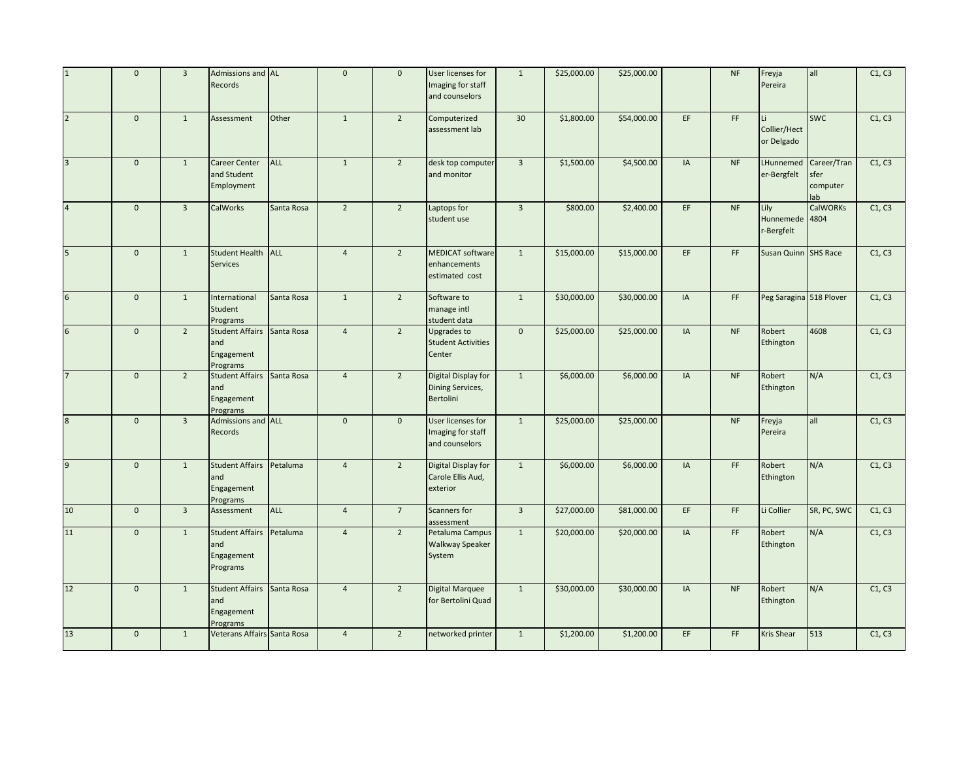|                         | $\mathbf 0$    | $\overline{3}$ | Admissions and AL<br><b>Records</b>                         |            | $\mathbf 0$    | $\mathbf{0}$    | User licenses for<br>Imaging for staff<br>and counselors    | $\mathbf 1$    | \$25,000.00 | \$25,000.00 |    | $\sf{NF}$                    | Freyja<br>Pereira                 | all                                   | C1, C3 |
|-------------------------|----------------|----------------|-------------------------------------------------------------|------------|----------------|-----------------|-------------------------------------------------------------|----------------|-------------|-------------|----|------------------------------|-----------------------------------|---------------------------------------|--------|
| $\overline{2}$          | $\mathbf{0}$   | $\mathbf{1}$   | Assessment                                                  | Other      | $\mathbf{1}$   | $\overline{2}$  | Computerized<br>assessment lab                              | 30             | \$1,800.00  | \$54,000.00 | EF | FF                           | Li.<br>Collier/Hect<br>or Delgado | <b>SWC</b>                            | C1, C3 |
| $\overline{\mathbf{3}}$ | $\mathbf 0$    | $\mathbf{1}$   | <b>Career Center</b><br>and Student<br>Employment           | <b>ALL</b> | $\mathbf{1}$   | $\overline{2}$  | desk top computer<br>and monitor                            | $\overline{3}$ | \$1,500.00  | \$4,500.00  | IA | <b>NF</b>                    | LHunnemed<br>er-Bergfelt          | Career/Tran<br>sfer<br>computer<br>ab | C1, C3 |
| $\overline{4}$          | $\mathbf{0}$   | $\overline{3}$ | <b>CalWorks</b>                                             | Santa Rosa | $\overline{2}$ | $\overline{2}$  | Laptops for<br>student use                                  | $\overline{3}$ | \$800.00    | \$2,400.00  | EF | <b>NF</b>                    | Lily<br>Hunnemede<br>r-Bergfelt   | <b>CalWORKs</b><br>4804               | C1, C3 |
| 5                       | $\mathbf 0$    | $\mathbf{1}$   | Student Health ALL<br><b>Services</b>                       |            | $\overline{4}$ | $\overline{2}$  | <b>MEDICAT software</b><br>enhancements<br>estimated cost   | $\mathbf{1}$   | \$15,000.00 | \$15,000.00 | EF | FF                           | Susan Quinn SHS Race              |                                       | C1, C3 |
| $6\overline{6}$         | $\mathbf 0$    | $\mathbf{1}$   | International<br>Student<br>Programs                        | Santa Rosa | $\mathbf{1}$   | $\overline{2}$  | Software to<br>manage intl<br>student data                  | $1\,$          | \$30,000.00 | \$30,000.00 | IA | FF                           | Peg Saragina 518 Plover           |                                       | C1, C3 |
| 6                       | $\mathbf 0$    | $\overline{2}$ | Student Affairs Santa Rosa<br>and<br>Engagement<br>Programs |            | $\overline{4}$ | $\overline{2}$  | Upgrades to<br><b>Student Activities</b><br>Center          | $\mathbf 0$    | \$25,000.00 | \$25,000.00 | IA | <b>NF</b>                    | Robert<br>Ethington               | 4608                                  | C1, C3 |
| $\overline{7}$          | $\mathbf 0$    | $2^{\circ}$    | Student Affairs Santa Rosa<br>and<br>Engagement<br>Programs |            | $\overline{4}$ | $\overline{2}$  | Digital Display for<br><b>Dining Services,</b><br>Bertolini | $1\,$          | \$6,000.00  | \$6,000.00  | IA | <b>NF</b>                    | Robert<br>Ethington               | N/A                                   | C1, C3 |
| $\overline{8}$          | $\overline{0}$ | $\overline{3}$ | Admissions and ALL<br>Records                               |            | $\overline{0}$ | $\mathbf{0}$    | User licenses for<br>Imaging for staff<br>and counselors    | $\overline{1}$ | \$25,000.00 | \$25,000.00 |    | NF                           | Freyja<br>Pereira                 | $\overline{a}$                        | C1, C3 |
| 9                       | $\mathbf 0$    | $\mathbf{1}$   | <b>Student Affairs</b><br>and<br>Engagement<br>Programs     | Petaluma   | $\overline{4}$ | $\overline{2}$  | Digital Display for<br>Carole Ellis Aud,<br>exterior        | $1\,$          | \$6,000.00  | \$6,000.00  | IA | $\mathsf{FF}% _{\mathsf{F}}$ | Robert<br>Ethington               | N/A                                   | C1, C3 |
| 10                      | $\mathbf 0$    | $\overline{3}$ | Assessment                                                  | <b>ALL</b> | $\overline{4}$ | $7\overline{ }$ | <b>Scanners for</b><br>assessment                           | $\overline{3}$ | \$27,000.00 | \$81,000.00 | EF | $\mathsf{FF}% _{\mathsf{F}}$ | Li Collier                        | SR, PC, SWC                           | C1, C3 |
| 11                      | $\mathbf 0$    | $\mathbf{1}$   | <b>Student Affairs</b><br>and<br>Engagement<br>Programs     | Petaluma   | $\overline{4}$ | $\overline{2}$  | Petaluma Campus<br><b>Walkway Speaker</b><br>System         | $\mathbf{1}$   | \$20,000.00 | \$20,000.00 | IA | FF                           | Robert<br>Ethington               | N/A                                   | C1, C3 |
| 12                      | $\mathbf 0$    | $\mathbf{1}$   | Student Affairs Santa Rosa<br>and<br>Engagement<br>Programs |            | $\overline{4}$ | $\overline{2}$  | <b>Digital Marquee</b><br>for Bertolini Quad                | $\mathbf{1}$   | \$30,000.00 | \$30,000.00 | IA | $\sf{NF}$                    | Robert<br>Ethington               | N/A                                   | C1, C3 |
| 13                      | $\mathbf 0$    | $\mathbf{1}$   | Veterans Affairs Santa Rosa                                 |            | $\overline{4}$ | $\overline{2}$  | networked printer                                           | $1\,$          | \$1,200.00  | \$1,200.00  | EF | FF                           | Kris Shear                        | 513                                   | C1, C3 |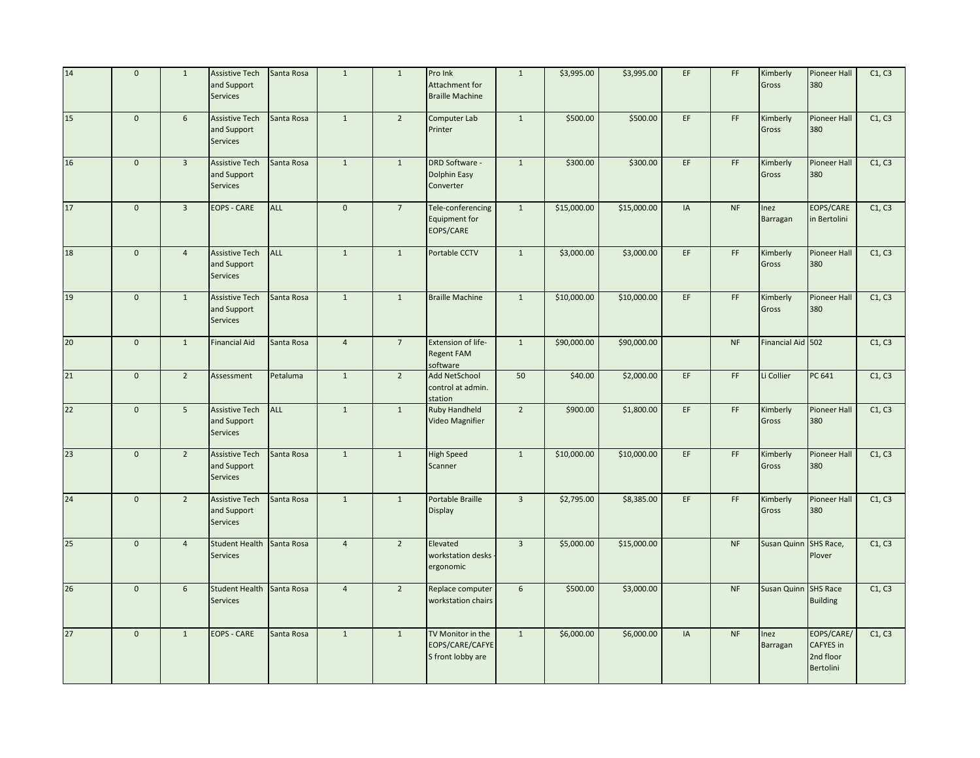| 14              | $\mathbf 0$  | $\mathbf{1}$   | <b>Assistive Tech</b><br>and Support<br>Services        | Santa Rosa | $\mathbf 1$    | $\mathbf{1}$    | Pro Ink<br>Attachment for<br><b>Braille Machine</b>       | $1\,$          | \$3,995.00  | \$3,995.00  | EF | FF                           | Kimberly<br>Gross     | <b>Pioneer Hall</b><br>380                               | C1, C3 |
|-----------------|--------------|----------------|---------------------------------------------------------|------------|----------------|-----------------|-----------------------------------------------------------|----------------|-------------|-------------|----|------------------------------|-----------------------|----------------------------------------------------------|--------|
| 15              | $\mathbf 0$  | 6              | <b>Assistive Tech</b><br>and Support<br>Services        | Santa Rosa | $\mathbf{1}$   | $\overline{2}$  | <b>Computer Lab</b><br>Printer                            | $\mathbf{1}$   | \$500.00    | \$500.00    | EF | $\mathsf{FF}% _{\mathsf{F}}$ | Kimberly<br>Gross     | <b>Pioneer Hall</b><br>380                               | C1, C3 |
| 16              | $\mathbf{0}$ | $\overline{3}$ | <b>Assistive Tech</b><br>and Support<br>Services        | Santa Rosa | $\mathbf{1}$   | $\mathbf{1}$    | <b>DRD Software -</b><br>Dolphin Easy<br>Converter        | $\mathbf{1}$   | \$300.00    | \$300.00    | EF | FF                           | Kimberly<br>Gross     | <b>Pioneer Hall</b><br>380                               | C1, C3 |
| 17              | $\mathbf{0}$ | $\overline{3}$ | <b>EOPS - CARE</b>                                      | <b>ALL</b> | $\mathbf{0}$   | $7\overline{ }$ | Tele-conferencing<br><b>Equipment for</b><br>EOPS/CARE    | $\mathbf{1}$   | \$15,000.00 | \$15,000.00 | IA | <b>NF</b>                    | Inez<br>Barragan      | EOPS/CARE<br>in Bertolini                                | C1, C3 |
| 18              | $\mathsf 0$  | $\overline{4}$ | <b>Assistive Tech</b><br>and Support<br>Services        | <b>ALL</b> | $\mathbf{1}$   | $\mathbf{1}$    | Portable CCTV                                             | $\mathbf 1$    | \$3,000.00  | \$3,000.00  | EF | FF                           | Kimberly<br>Gross     | <b>Pioneer Hall</b><br>380                               | C1, C3 |
| 19              | $\mathbf 0$  | $\mathbf{1}$   | <b>Assistive Tech</b><br>and Support<br>Services        | Santa Rosa | $\mathbf{1}$   | $\mathbf{1}$    | <b>Braille Machine</b>                                    | $\mathbf 1$    | \$10,000.00 | \$10,000.00 | EF | $\mathsf{FF}% _{\mathsf{F}}$ | Kimberly<br>Gross     | <b>Pioneer Hall</b><br>380                               | C1, C3 |
| 20 <sub>2</sub> | $\mathbf{0}$ | $\mathbf{1}$   | <b>Financial Aid</b>                                    | Santa Rosa | $\overline{4}$ | $\overline{7}$  | Extension of life-<br><b>Regent FAM</b><br>software       | $\mathbf{1}$   | \$90,000.00 | \$90,000.00 |    | <b>NF</b>                    | Financial Aid 502     |                                                          | C1, C3 |
| 21              | $\mathbf{0}$ | $\overline{2}$ | Assessment                                              | Petaluma   | $\mathbf{1}$   | $\overline{2}$  | <b>Add NetSchool</b><br>control at admin.<br>station      | 50             | \$40.00     | \$2,000.00  | EF | FF                           | Li Collier            | PC 641                                                   | C1, C3 |
| 22              | $\mathbf{0}$ | 5 <sup>1</sup> | <b>Assistive Tech</b><br>and Support<br>Services        | ALL        | $\mathbf{1}$   | $\mathbf{1}$    | <b>Ruby Handheld</b><br>Video Magnifier                   | $\overline{2}$ | \$900.00    | \$1,800.00  | EF | FF                           | Kimberly<br>Gross     | <b>Pioneer Hall</b><br>380                               | C1, C3 |
| 23              | $\mathbf{0}$ | $\overline{2}$ | <b>Assistive Tech</b><br>and Support<br>Services        | Santa Rosa | $\mathbf{1}$   | $1\,$           | <b>High Speed</b><br>Scanner                              | $\mathbf 1$    | \$10,000.00 | \$10,000.00 | EF | FF                           | Kimberly<br>Gross     | <b>Pioneer Hall</b><br>380                               | C1, C3 |
| 24              | $\mathbf 0$  | $\overline{2}$ | <b>Assistive Tech</b><br>and Support<br><b>Services</b> | Santa Rosa | $\mathbf{1}$   | $\mathbf{1}$    | Portable Braille<br><b>Display</b>                        | $\overline{3}$ | \$2,795.00  | \$8,385.00  | EF | $\mathsf{FF}% _{\mathsf{F}}$ | Kimberly<br>Gross     | <b>Pioneer Hall</b><br>380                               | C1, C3 |
| 25              | $\mathbf{0}$ | $\overline{4}$ | <b>Student Health</b><br>Services                       | Santa Rosa | $\overline{4}$ | $\overline{2}$  | Elevated<br>workstation desks<br>ergonomic                | $\overline{3}$ | \$5,000.00  | \$15,000.00 |    | <b>NF</b>                    | Susan Quinn SHS Race, | Plover                                                   | C1, C3 |
| 26              | $\mathbf 0$  | 6              | <b>Student Health</b><br><b>Services</b>                | Santa Rosa | $\overline{4}$ | $\overline{2}$  | Replace computer<br>workstation chairs                    | 6              | \$500.00    | \$3,000.00  |    | <b>NF</b>                    | Susan Quinn SHS Race  | <b>Building</b>                                          | C1, C3 |
| 27              | $\mathbf{0}$ | $\mathbf{1}$   | <b>EOPS - CARE</b>                                      | Santa Rosa | $\mathbf{1}$   | $\mathbf{1}$    | TV Monitor in the<br>EOPS/CARE/CAFYE<br>S front lobby are | $\mathbf{1}$   | \$6,000.00  | \$6,000.00  | IA | <b>NF</b>                    | Inez<br>Barragan      | EOPS/CARE/<br><b>CAFYES</b> in<br>2nd floor<br>Bertolini | C1, C3 |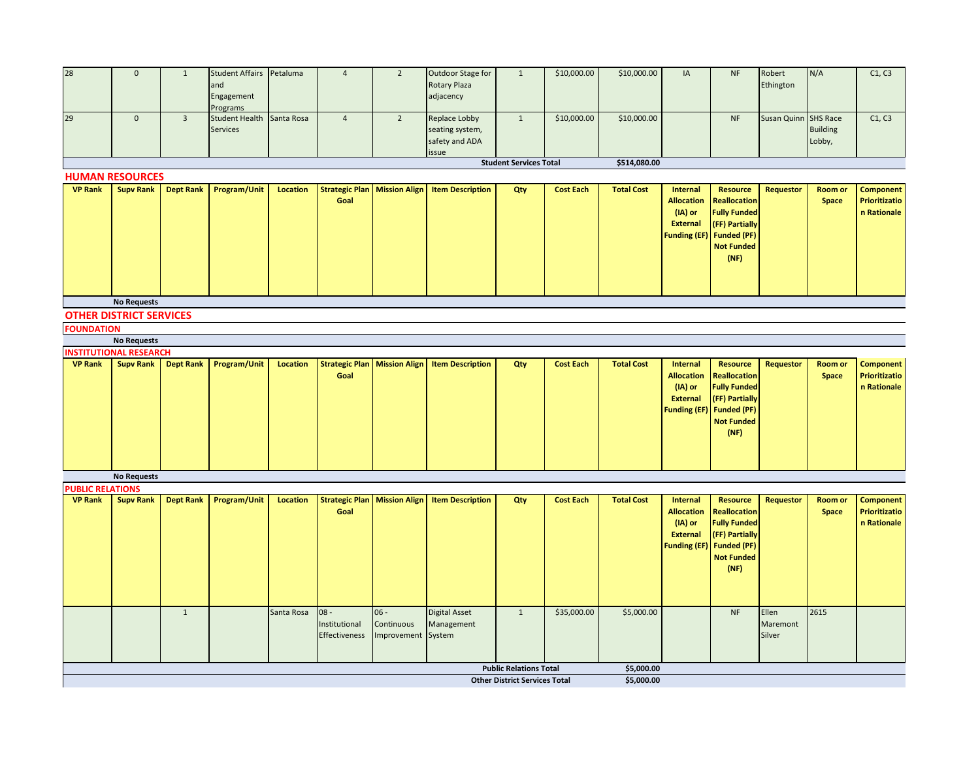| 28                      | $\mathbf 0$                    | $\mathbf{1}$     | <b>Student Affairs</b>            | Petaluma        | $\overline{4}$                        | $\overline{2}$ | Outdoor Stage for       | $1\,$                                | \$10,000.00      | \$10,000.00       | IA                  | <b>NF</b>           | Robert               | N/A             | C1, C3               |
|-------------------------|--------------------------------|------------------|-----------------------------------|-----------------|---------------------------------------|----------------|-------------------------|--------------------------------------|------------------|-------------------|---------------------|---------------------|----------------------|-----------------|----------------------|
|                         |                                |                  | and                               |                 |                                       |                | Rotary Plaza            |                                      |                  |                   |                     |                     | Ethington            |                 |                      |
|                         |                                |                  | Engagement                        |                 |                                       |                | adjacency               |                                      |                  |                   |                     |                     |                      |                 |                      |
| 29                      | $\mathbf 0$                    | $\overline{3}$   | Programs<br><b>Student Health</b> | Santa Rosa      | $\overline{4}$                        | $2^{\circ}$    | Replace Lobby           | $1\,$                                | \$10,000.00      | \$10,000.00       |                     | NF                  | Susan Quinn SHS Race |                 | C1, C3               |
|                         |                                |                  | Services                          |                 |                                       |                | seating system,         |                                      |                  |                   |                     |                     |                      | <b>Building</b> |                      |
|                         |                                |                  |                                   |                 |                                       |                | safety and ADA          |                                      |                  |                   |                     |                     |                      | Lobby,          |                      |
|                         |                                |                  |                                   |                 |                                       |                |                         |                                      |                  |                   |                     |                     |                      |                 |                      |
|                         |                                |                  |                                   |                 |                                       |                | issue                   | <b>Student Services Total</b>        |                  | \$514,080.00      |                     |                     |                      |                 |                      |
|                         | <b>HUMAN RESOURCES</b>         |                  |                                   |                 |                                       |                |                         |                                      |                  |                   |                     |                     |                      |                 |                      |
| <b>VP Rank</b>          | <b>Supv Rank</b>               |                  | Dept Rank   Program/Unit          | <b>Location</b> | <b>Strategic Plan   Mission Align</b> |                | <b>Item Description</b> | Qty                                  | <b>Cost Each</b> | <b>Total Cost</b> | Internal            | <b>Resource</b>     | <b>Requestor</b>     | <b>Room or</b>  | <b>Component</b>     |
|                         |                                |                  |                                   |                 | Goal                                  |                |                         |                                      |                  |                   | <b>Allocation</b>   | <b>Reallocation</b> |                      | Space           | Prioritizatio        |
|                         |                                |                  |                                   |                 |                                       |                |                         |                                      |                  |                   | (IA) or             | <b>Fully Funded</b> |                      |                 | n Rationale          |
|                         |                                |                  |                                   |                 |                                       |                |                         |                                      |                  |                   | <b>External</b>     | (FF) Partially      |                      |                 |                      |
|                         |                                |                  |                                   |                 |                                       |                |                         |                                      |                  |                   | <b>Funding (EF)</b> | <b>Funded (PF)</b>  |                      |                 |                      |
|                         |                                |                  |                                   |                 |                                       |                |                         |                                      |                  |                   |                     | <b>Not Funded</b>   |                      |                 |                      |
|                         |                                |                  |                                   |                 |                                       |                |                         |                                      |                  |                   |                     | (NF)                |                      |                 |                      |
|                         |                                |                  |                                   |                 |                                       |                |                         |                                      |                  |                   |                     |                     |                      |                 |                      |
|                         |                                |                  |                                   |                 |                                       |                |                         |                                      |                  |                   |                     |                     |                      |                 |                      |
|                         |                                |                  |                                   |                 |                                       |                |                         |                                      |                  |                   |                     |                     |                      |                 |                      |
|                         | <b>No Requests</b>             |                  |                                   |                 |                                       |                |                         |                                      |                  |                   |                     |                     |                      |                 |                      |
|                         | <b>OTHER DISTRICT SERVICES</b> |                  |                                   |                 |                                       |                |                         |                                      |                  |                   |                     |                     |                      |                 |                      |
| <b>FOUNDATION</b>       |                                |                  |                                   |                 |                                       |                |                         |                                      |                  |                   |                     |                     |                      |                 |                      |
|                         | <b>No Requests</b>             |                  |                                   |                 |                                       |                |                         |                                      |                  |                   |                     |                     |                      |                 |                      |
|                         | <b>INSTITUTIONAL RESEARCH</b>  |                  |                                   |                 |                                       |                |                         |                                      |                  |                   |                     |                     |                      |                 |                      |
| <b>VP Rank</b>          | <b>Supv Rank</b>               |                  | Dept Rank   Program/Unit          | <b>Location</b> | <b>Strategic Plan   Mission Align</b> |                | <b>Item Description</b> | Qty                                  | <b>Cost Each</b> | <b>Total Cost</b> | Internal            | <b>Resource</b>     | <b>Requestor</b>     | Room or         | <b>Component</b>     |
|                         |                                |                  |                                   |                 | Goal                                  |                |                         |                                      |                  |                   | <b>Allocation</b>   | <b>Reallocation</b> |                      | Space           | <b>Prioritizatio</b> |
|                         |                                |                  |                                   |                 |                                       |                |                         |                                      |                  |                   | (IA) or             | <b>Fully Funded</b> |                      |                 | n Rationale          |
|                         |                                |                  |                                   |                 |                                       |                |                         |                                      |                  |                   | <b>External</b>     | (FF) Partially      |                      |                 |                      |
|                         |                                |                  |                                   |                 |                                       |                |                         |                                      |                  |                   | <b>Funding (EF)</b> | <b>Funded (PF)</b>  |                      |                 |                      |
|                         |                                |                  |                                   |                 |                                       |                |                         |                                      |                  |                   |                     | <b>Not Funded</b>   |                      |                 |                      |
|                         |                                |                  |                                   |                 |                                       |                |                         |                                      |                  |                   |                     | (NF)                |                      |                 |                      |
|                         |                                |                  |                                   |                 |                                       |                |                         |                                      |                  |                   |                     |                     |                      |                 |                      |
|                         |                                |                  |                                   |                 |                                       |                |                         |                                      |                  |                   |                     |                     |                      |                 |                      |
|                         |                                |                  |                                   |                 |                                       |                |                         |                                      |                  |                   |                     |                     |                      |                 |                      |
|                         | <b>No Requests</b>             |                  |                                   |                 |                                       |                |                         |                                      |                  |                   |                     |                     |                      |                 |                      |
| <b>PUBLIC RELATIONS</b> |                                |                  |                                   |                 |                                       |                |                         |                                      |                  |                   |                     |                     |                      |                 |                      |
| <b>VP Rank</b>          | <b>Supv Rank</b>               | <b>Dept Rank</b> | Program/Unit                      | Location        | <b>Strategic Plan   Mission Align</b> |                | <b>Item Description</b> | Qty                                  | <b>Cost Each</b> | <b>Total Cost</b> | Internal            | <b>Resource</b>     | <b>Requestor</b>     | Room or         | <b>Component</b>     |
|                         |                                |                  |                                   |                 | Goal                                  |                |                         |                                      |                  |                   | <b>Allocation</b>   | <b>Reallocation</b> |                      | Space           | <b>Prioritizatio</b> |
|                         |                                |                  |                                   |                 |                                       |                |                         |                                      |                  |                   | (IA) or             | <b>Fully Funded</b> |                      |                 | n Rationale          |
|                         |                                |                  |                                   |                 |                                       |                |                         |                                      |                  |                   | <b>External</b>     | (FF) Partially      |                      |                 |                      |
|                         |                                |                  |                                   |                 |                                       |                |                         |                                      |                  |                   | <b>Funding (EF)</b> | <b>Funded (PF)</b>  |                      |                 |                      |
|                         |                                |                  |                                   |                 |                                       |                |                         |                                      |                  |                   |                     | <b>Not Funded</b>   |                      |                 |                      |
|                         |                                |                  |                                   |                 |                                       |                |                         |                                      |                  |                   |                     | (NF)                |                      |                 |                      |
|                         |                                |                  |                                   |                 |                                       |                |                         |                                      |                  |                   |                     |                     |                      |                 |                      |
|                         |                                |                  |                                   |                 |                                       |                |                         |                                      |                  |                   |                     |                     |                      |                 |                      |
|                         |                                | $\mathbf{1}$     |                                   | Santa Rosa      | $08 -$                                | $06 -$         | <b>Digital Asset</b>    | $\mathbf{1}$                         | \$35,000.00      | \$5,000.00        |                     | <b>NF</b>           | Ellen                | 2615            |                      |
|                         |                                |                  |                                   |                 | Institutional                         | Continuous     | Management              |                                      |                  |                   |                     |                     | Maremont             |                 |                      |
|                         |                                |                  |                                   |                 | Effectiveness                         | Improvement    | System                  |                                      |                  |                   |                     |                     | Silver               |                 |                      |
|                         |                                |                  |                                   |                 |                                       |                |                         |                                      |                  |                   |                     |                     |                      |                 |                      |
|                         |                                |                  |                                   |                 |                                       |                |                         |                                      |                  |                   |                     |                     |                      |                 |                      |
|                         |                                |                  |                                   |                 |                                       |                |                         | <b>Public Relations Total</b>        |                  | \$5,000.00        |                     |                     |                      |                 |                      |
|                         |                                |                  |                                   |                 |                                       |                |                         | <b>Other District Services Total</b> |                  | \$5,000.00        |                     |                     |                      |                 |                      |